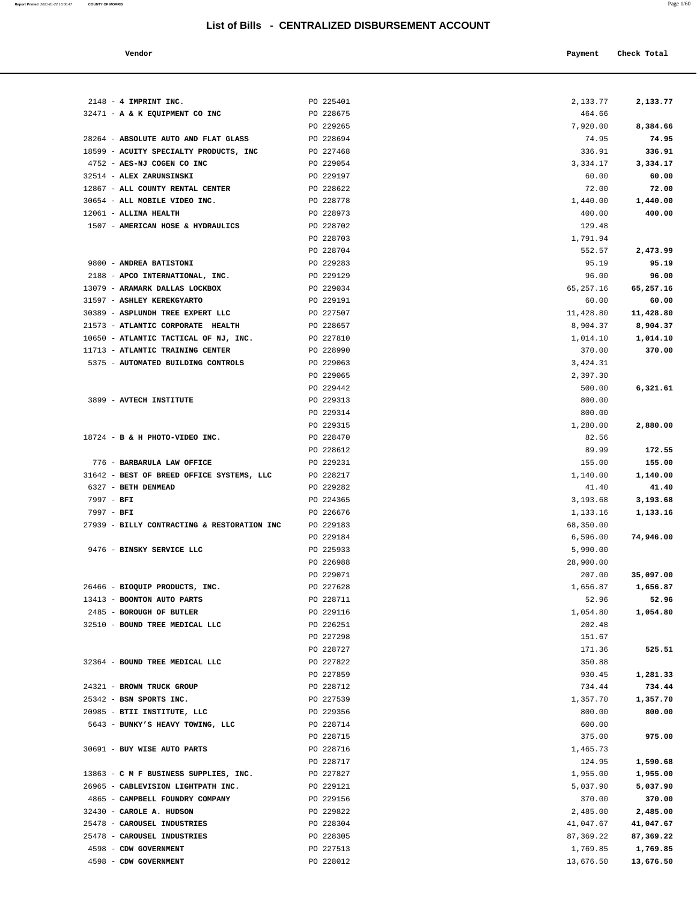**Report Printed** 2021-01-22 16:00:47 **COUNTY OF MORRIS** Page 1/60

#### **Vendor Check Total Payment Check Total**

| $2148 - 4$ IMPRINT INC.                                               | PO 225401              | 2,133.77             | 2,133.77           |
|-----------------------------------------------------------------------|------------------------|----------------------|--------------------|
| 32471 - A & K EQUIPMENT CO INC                                        | PO 228675              | 464.66               |                    |
|                                                                       | PO 229265              | 7,920.00             | 8,384.66           |
| 28264 - ABSOLUTE AUTO AND FLAT GLASS                                  | PO 228694              | 74.95                | 74.95              |
| 18599 - ACUITY SPECIALTY PRODUCTS, INC                                | PO 227468              | 336.91               | 336.91             |
| 4752 - AES-NJ COGEN CO INC                                            | PO 229054              | 3,334.17             | 3,334.17           |
| 32514 - ALEX ZARUNSINSKI                                              | PO 229197              | 60.00                | 60.00              |
| 12867 - ALL COUNTY RENTAL CENTER                                      | PO 228622              | 72.00                | 72.00              |
| 30654 - ALL MOBILE VIDEO INC.                                         | PO 228778              | 1,440.00             | 1,440.00           |
| 12061 - ALLINA HEALTH                                                 | PO 228973              | 400.00               | 400.00             |
| 1507 - AMERICAN HOSE & HYDRAULICS                                     | PO 228702              | 129.48               |                    |
|                                                                       | PO 228703              | 1,791.94             |                    |
|                                                                       | PO 228704              | 552.57               | 2,473.99           |
| 9800 - ANDREA BATISTONI                                               | PO 229283<br>PO 229129 | 95.19                | 95.19<br>96.00     |
| 2188 - APCO INTERNATIONAL, INC.<br>13079 - ARAMARK DALLAS LOCKBOX     | PO 229034              | 96.00<br>65, 257. 16 | 65,257.16          |
| 31597 - ASHLEY KEREKGYARTO                                            | PO 229191              | 60.00                | 60.00              |
| 30389 - ASPLUNDH TREE EXPERT LLC                                      | PO 227507              | 11,428.80            | 11,428.80          |
| 21573 - ATLANTIC CORPORATE HEALTH                                     | PO 228657              | 8,904.37             | 8,904.37           |
| 10650 - ATLANTIC TACTICAL OF NJ, INC.                                 | PO 227810              | 1,014.10             | 1,014.10           |
| 11713 - ATLANTIC TRAINING CENTER                                      | PO 228990              | 370.00               | 370.00             |
| 5375 - AUTOMATED BUILDING CONTROLS                                    | PO 229063              | 3,424.31             |                    |
|                                                                       | PO 229065              | 2,397.30             |                    |
|                                                                       | PO 229442              | 500.00               | 6,321.61           |
| 3899 - AVTECH INSTITUTE                                               | PO 229313              | 800.00               |                    |
|                                                                       | PO 229314              | 800.00               |                    |
|                                                                       | PO 229315              | 1,280.00             | 2,880.00           |
| 18724 - B & H PHOTO-VIDEO INC.                                        | PO 228470              | 82.56                |                    |
|                                                                       | PO 228612              | 89.99                | 172.55             |
| 776 - BARBARULA LAW OFFICE                                            | PO 229231              | 155.00               | 155.00             |
| 31642 - BEST OF BREED OFFICE SYSTEMS, LLC                             | PO 228217              | 1,140.00             | 1,140.00           |
| 6327 - BETH DENMEAD                                                   | PO 229282              | 41.40                | 41.40              |
| $7997 - BFI$                                                          | PO 224365              | 3,193.68             | 3,193.68           |
| $7997 - BFI$                                                          | PO 226676              | 1,133.16             | 1,133.16           |
| 27939 - BILLY CONTRACTING & RESTORATION INC                           | PO 229183<br>PO 229184 | 68,350.00            |                    |
| 9476 - BINSKY SERVICE LLC                                             | PO 225933              | 6,596.00<br>5,990.00 | 74,946.00          |
|                                                                       | PO 226988              | 28,900.00            |                    |
|                                                                       | PO 229071              | 207.00               | 35,097.00          |
| 26466 - BIOQUIP PRODUCTS, INC.                                        | PO 227628              | 1,656.87             | 1,656.87           |
| 13413 - BOONTON AUTO PARTS                                            | PO 228711              | 52.96                | 52.96              |
| 2485 - BOROUGH OF BUTLER                                              | PO 229116              | 1,054.80             | 1,054.80           |
| 32510 - BOUND TREE MEDICAL LLC                                        | PO 226251              | 202.48               |                    |
|                                                                       | PO 227298              | 151.67               |                    |
|                                                                       | PO 228727              | 171.36               | 525.51             |
| 32364 - BOUND TREE MEDICAL LLC                                        | PO 227822              | 350.88               |                    |
|                                                                       | PO 227859              | 930.45               | 1,281.33           |
| 24321 - BROWN TRUCK GROUP                                             | PO 228712              | 734.44               | 734.44             |
| 25342 - BSN SPORTS INC.                                               | PO 227539              | 1,357.70             | 1,357.70           |
| 20985 - BTII INSTITUTE, LLC                                           | PO 229356              | 800.00               | 800.00             |
| 5643 - BUNKY'S HEAVY TOWING, LLC                                      | PO 228714              | 600.00               |                    |
|                                                                       | PO 228715              | 375.00               | 975.00             |
| 30691 - BUY WISE AUTO PARTS                                           | PO 228716              | 1,465.73             |                    |
|                                                                       | PO 228717              | 124.95               | 1,590.68           |
| 13863 - C M F BUSINESS SUPPLIES, INC.                                 | PO 227827              | 1,955.00             | 1,955.00           |
| 26965 - CABLEVISION LIGHTPATH INC.<br>4865 - CAMPBELL FOUNDRY COMPANY | PO 229121<br>PO 229156 | 5,037.90<br>370.00   | 5,037.90<br>370.00 |
| 32430 - CAROLE A. HUDSON                                              | PO 229822              | 2,485.00             | 2,485.00           |
| 25478 - CAROUSEL INDUSTRIES                                           | PO 228304              | 41,047.67            | 41,047.67          |
| 25478 - CAROUSEL INDUSTRIES                                           | PO 228305              | 87, 369. 22          | 87,369.22          |
| 4598 - CDW GOVERNMENT                                                 | PO 227513              | 1,769.85             | 1,769.85           |

4598 - **CDW GOVERNMENT** PO 228012 13,676.50 **13,676.50**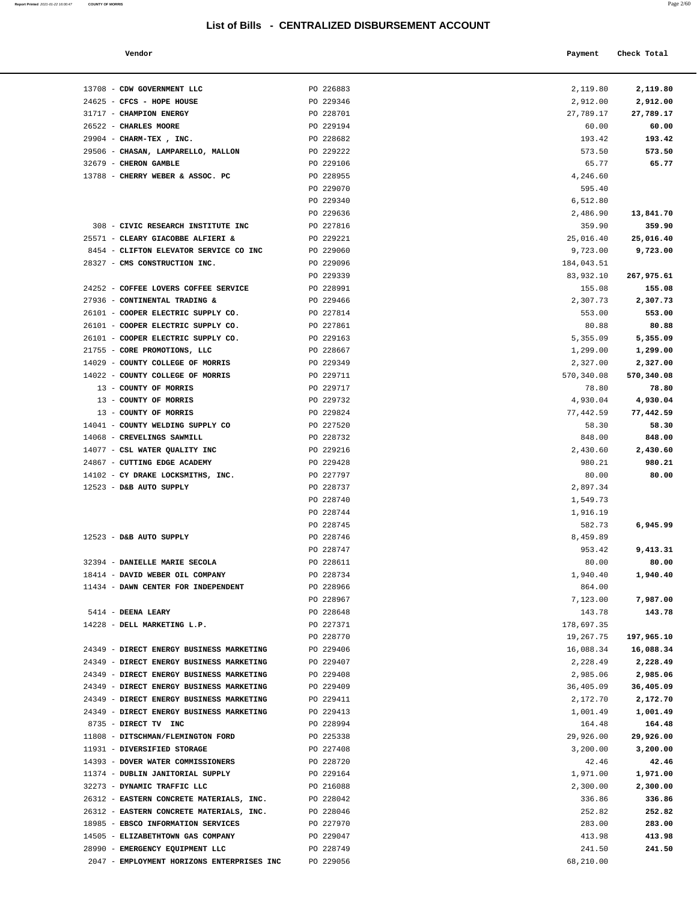#### **Vendor Check Total Payment Check Total**

13708 - **CDW GOVERNMENT LLC** PO 226883 24625 - **CFCS - HOPE HOUSE PO** 229346

2047 - **EMPLOYMENT HORIZONS ENTERPRISES INC** PO 229056

**Report Printed 2021-01-22 16:00:47** COUNTY OF MORRIS

| I |  |
|---|--|
|   |  |

| 2,119.80   | 2,119.80   |
|------------|------------|
| 2,912.00   | 2,912.00   |
| 27,789.17  | 27,789.17  |
| 60.00      | 60.00      |
| 193.42     | 193.42     |
| 573.50     | 573.50     |
| 65.77      | 65.77      |
| 4,246.60   |            |
| 595.40     |            |
| 6,512.80   |            |
| 2,486.90   | 13,841.70  |
| 359.90     | 359.90     |
| 25,016.40  | 25,016.40  |
| 9,723.00   | 9,723.00   |
|            |            |
| 184,043.51 |            |
| 83,932.10  | 267,975.61 |
| 155.08     | 155.08     |
| 2,307.73   | 2,307.73   |
| 553.00     | 553.00     |
| 80.88      | 80.88      |
| 5,355.09   | 5,355.09   |
| 1,299.00   | 1,299.00   |
| 2,327.00   | 2,327.00   |
| 570,340.08 | 570,340.08 |
| 78.80      | 78.80      |
| 4,930.04   | 4,930.04   |
| 77,442.59  | 77,442.59  |
| 58.30      | 58.30      |
| 848.00     | 848.00     |
| 2,430.60   | 2,430.60   |
| 980.21     | 980.21     |
| 80.00      | 80.00      |
| 2,897.34   |            |
| 1,549.73   |            |
| 1,916.19   |            |
| 582.73     | 6,945.99   |
| 8,459.89   |            |
| 953.42     |            |
|            | 9,413.31   |
| 80.00      | 80.00      |
| 1,940.40   | 1,940.40   |
| 864.00     |            |
| 7,123.00   | 7,987.00   |
| 143.78     | 143.78     |
| 178,697.35 |            |
| 19,267.75  | 197,965.10 |
| 16,088.34  | 16,088.34  |
| 2,228.49   | 2,228.49   |
| 2,985.06   | 2,985.06   |
| 36,405.09  | 36,405.09  |
| 2,172.70   | 2,172.70   |
| 1,001.49   | 1,001.49   |
| 164.48     | 164.48     |
| 29,926.00  | 29,926.00  |
| 3,200.00   | 3,200.00   |
| 42.46      | 42.46      |
| 1,971.00   | 1,971.00   |
| 2,300.00   | 2,300.00   |
| 336.86     | 336.86     |
| 252.82     | 252.82     |
| 283.00     | 283.00     |
| 413.98     | 413.98     |
| 241.50     | 241.50     |
| 68,210.00  |            |
|            |            |

| 31717 - CHAMPION ENERGY                  | PO 228701 | 27,789.17  | 27,789.17  |
|------------------------------------------|-----------|------------|------------|
| 26522 - CHARLES MOORE                    | PO 229194 | 60.00      | 60.00      |
| 29904 - CHARM-TEX, INC.                  | PO 228682 | 193.42     | 193.42     |
| 29506 - CHASAN, LAMPARELLO, MALLON       | PO 229222 | 573.50     | 573.50     |
| 32679 - CHERON GAMBLE                    | PO 229106 | 65.77      | 65.77      |
| 13788 - CHERRY WEBER & ASSOC. PC         | PO 228955 | 4,246.60   |            |
|                                          | PO 229070 | 595.40     |            |
|                                          | PO 229340 | 6,512.80   |            |
|                                          | PO 229636 | 2,486.90   | 13,841.70  |
| 308 - CIVIC RESEARCH INSTITUTE INC       | PO 227816 | 359.90     | 359.90     |
| 25571 - CLEARY GIACOBBE ALFIERI &        | PO 229221 | 25,016.40  | 25,016.40  |
| 8454 - CLIFTON ELEVATOR SERVICE CO INC   | PO 229060 | 9,723.00   | 9,723.00   |
| 28327 - CMS CONSTRUCTION INC.            | PO 229096 | 184,043.51 |            |
|                                          | PO 229339 | 83,932.10  | 267,975.61 |
| 24252 - COFFEE LOVERS COFFEE SERVICE     | PO 228991 | 155.08     | 155.08     |
| 27936 - CONTINENTAL TRADING &            | PO 229466 | 2,307.73   | 2,307.73   |
| 26101 - COOPER ELECTRIC SUPPLY CO.       | PO 227814 | 553.00     | 553.00     |
| 26101 - COOPER ELECTRIC SUPPLY CO.       | PO 227861 | 80.88      | 80.88      |
| 26101 - COOPER ELECTRIC SUPPLY CO.       | PO 229163 | 5,355.09   | 5,355.09   |
| 21755 - CORE PROMOTIONS, LLC             | PO 228667 | 1,299.00   | 1,299.00   |
| 14029 - COUNTY COLLEGE OF MORRIS         | PO 229349 | 2,327.00   | 2,327.00   |
| 14022 - COUNTY COLLEGE OF MORRIS         | PO 229711 | 570,340.08 | 570,340.08 |
| 13 - COUNTY OF MORRIS                    | PO 229717 | 78.80      | 78.80      |
| 13 - COUNTY OF MORRIS                    | PO 229732 | 4,930.04   | 4,930.04   |
| 13 - COUNTY OF MORRIS                    | PO 229824 | 77,442.59  | 77,442.59  |
| 14041 - COUNTY WELDING SUPPLY CO         | PO 227520 | 58.30      | 58.30      |
| 14068 - CREVELINGS SAWMILL               | PO 228732 | 848.00     | 848.00     |
| 14077 - CSL WATER QUALITY INC            | PO 229216 | 2,430.60   | 2,430.60   |
| 24867 - CUTTING EDGE ACADEMY             | PO 229428 | 980.21     | 980.21     |
| 14102 - CY DRAKE LOCKSMITHS, INC.        | PO 227797 | 80.00      | 80.00      |
| 12523 - D&B AUTO SUPPLY                  | PO 228737 | 2,897.34   |            |
|                                          | PO 228740 | 1,549.73   |            |
|                                          | PO 228744 | 1,916.19   |            |
|                                          | PO 228745 | 582.73     | 6,945.99   |
| 12523 - D&B AUTO SUPPLY                  | PO 228746 | 8,459.89   |            |
|                                          | PO 228747 | 953.42     | 9,413.31   |
| 32394 - DANIELLE MARIE SECOLA            | PO 228611 | 80.00      | 80.00      |
| 18414 - DAVID WEBER OIL COMPANY          | PO 228734 | 1,940.40   | 1,940.40   |
| 11434 - DAWN CENTER FOR INDEPENDENT      | PO 228966 | 864.00     |            |
|                                          | PO 228967 | 7,123.00   | 7,987.00   |
| 5414 - DEENA LEARY                       | PO 228648 | 143.78     | 143.78     |
| 14228 - DELL MARKETING L.P.              | PO 227371 | 178,697.35 |            |
|                                          | PO 228770 | 19,267.75  | 197,965.10 |
| 24349 - DIRECT ENERGY BUSINESS MARKETING | PO 229406 | 16,088.34  | 16,088.34  |
| 24349 - DIRECT ENERGY BUSINESS MARKETING | PO 229407 | 2,228.49   | 2,228.49   |
| 24349 - DIRECT ENERGY BUSINESS MARKETING | PO 229408 | 2,985.06   | 2,985.06   |
| 24349 - DIRECT ENERGY BUSINESS MARKETING | PO 229409 | 36,405.09  | 36,405.09  |
| 24349 - DIRECT ENERGY BUSINESS MARKETING | PO 229411 | 2,172.70   | 2,172.70   |
| 24349 - DIRECT ENERGY BUSINESS MARKETING | PO 229413 | 1,001.49   | 1,001.49   |
| 8735 - DIRECT TV INC                     | PO 228994 | 164.48     | 164.48     |
| 11808 - DITSCHMAN/FLEMINGTON FORD        | PO 225338 | 29,926.00  | 29,926.00  |
| 11931 - DIVERSIFIED STORAGE              | PO 227408 | 3,200.00   | 3,200.00   |
| 14393 - DOVER WATER COMMISSIONERS        | PO 228720 | 42.46      | 42.46      |
| 11374 - DUBLIN JANITORIAL SUPPLY         | PO 229164 | 1,971.00   | 1,971.00   |
| 32273 - DYNAMIC TRAFFIC LLC              | PO 216088 | 2,300.00   | 2,300.00   |
| 26312 - EASTERN CONCRETE MATERIALS, INC. | PO 228042 | 336.86     | 336.86     |
| 26312 - EASTERN CONCRETE MATERIALS, INC. | PO 228046 | 252.82     | 252.82     |
| 18985 - EBSCO INFORMATION SERVICES       | PO 227970 | 283.00     | 283.00     |
| 14505 - ELIZABETHTOWN GAS COMPANY        | PO 229047 | 413.98     | 413.98     |
| 28990 - EMERGENCY EQUIPMENT LLC          | PO 228749 | 241.50     | 241.50     |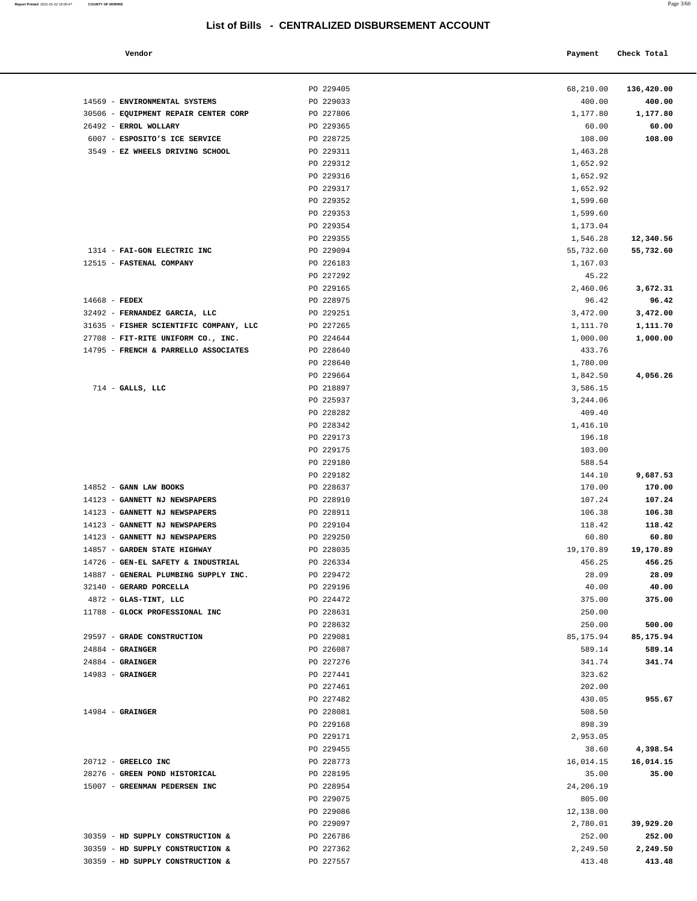#### **Report Printed** 2021-01-22 16:00:47 **COUNTY OF MORRIS** Page 3/60

| Vendor | Payment | Check Total |
|--------|---------|-------------|
|        |         |             |

|                                        |                        |                     | 136,420.00 |
|----------------------------------------|------------------------|---------------------|------------|
| 14569 - ENVIRONMENTAL SYSTEMS          | PO 229405<br>PO 229033 | 68,210.00<br>400.00 | 400.00     |
| 30506 - EQUIPMENT REPAIR CENTER CORP   | PO 227806              | 1,177.80            | 1,177.80   |
| 26492 - ERROL WOLLARY                  | PO 229365              | 60.00               | 60.00      |
| 6007 - ESPOSITO'S ICE SERVICE          | PO 228725              | 108.00              | 108.00     |
| 3549 - EZ WHEELS DRIVING SCHOOL        | PO 229311              | 1,463.28            |            |
|                                        | PO 229312              | 1,652.92            |            |
|                                        | PO 229316              | 1,652.92            |            |
|                                        | PO 229317              | 1,652.92            |            |
|                                        | PO 229352              | 1,599.60            |            |
|                                        | PO 229353              | 1,599.60            |            |
|                                        | PO 229354              | 1,173.04            |            |
|                                        | PO 229355              | 1,546.28            | 12,340.56  |
| 1314 - FAI-GON ELECTRIC INC            | PO 229094              | 55,732.60           | 55,732.60  |
| 12515 - FASTENAL COMPANY               | PO 226183              | 1,167.03            |            |
|                                        | PO 227292              | 45.22               |            |
|                                        | PO 229165              | 2,460.06            | 3,672.31   |
| 14668 - FEDEX                          | PO 228975              | 96.42               | 96.42      |
| 32492 - FERNANDEZ GARCIA, LLC          | PO 229251              | 3,472.00            | 3,472.00   |
| 31635 - FISHER SCIENTIFIC COMPANY, LLC | PO 227265              | 1,111.70            | 1,111.70   |
| 27708 - FIT-RITE UNIFORM CO., INC.     | PO 224644              | 1,000.00            | 1,000.00   |
| 14795 - FRENCH & PARRELLO ASSOCIATES   | PO 228640              | 433.76              |            |
|                                        | PO 228640              | 1,780.00            |            |
|                                        | PO 229664              | 1,842.50            | 4,056.26   |
| $714$ - GALLS, LLC                     | PO 218897              | 3,586.15            |            |
|                                        | PO 225937              | 3,244.06            |            |
|                                        | PO 228282              | 409.40              |            |
|                                        | PO 228342              | 1,416.10            |            |
|                                        | PO 229173              | 196.18              |            |
|                                        | PO 229175              | 103.00              |            |
|                                        | PO 229180              | 588.54              |            |
|                                        | PO 229182              | 144.10              | 9,687.53   |
| 14852 - GANN LAW BOOKS                 | PO 228637              | 170.00              | 170.00     |
| 14123 - GANNETT NJ NEWSPAPERS          | PO 228910              | 107.24              | 107.24     |
| 14123 - GANNETT NJ NEWSPAPERS          | PO 228911              | 106.38              | 106.38     |
| 14123 - GANNETT NJ NEWSPAPERS          | PO 229104              | 118.42              | 118.42     |
| 14123 - GANNETT NJ NEWSPAPERS          | PO 229250              | 60.80               | 60.80      |
| 14857 - GARDEN STATE HIGHWAY           | PO 228035              | 19,170.89           | 19,170.89  |
| 14726 - GEN-EL SAFETY & INDUSTRIAL     | PO 226334              | 456.25              | 456.25     |
| 14887 - GENERAL PLUMBING SUPPLY INC.   | PO 229472              | 28.09               | 28.09      |
| 32140 - GERARD PORCELLA                | PO 229196              | 40.00               | 40.00      |
| $4872$ - GLAS-TINT, LLC                | PO 224472              | 375.00              | 375.00     |
| 11788 - GLOCK PROFESSIONAL INC         | PO 228631              | 250.00              |            |
|                                        | PO 228632              | 250.00              | 500.00     |
| 29597 - GRADE CONSTRUCTION             | PO 229081              | 85, 175.94          | 85,175.94  |
| $24884$ - GRAINGER                     | PO 226087              | 589.14              | 589.14     |
| $24884$ - GRAINGER                     | PO 227276              | 341.74              | 341.74     |
| $14983$ - GRAINGER                     | PO 227441              | 323.62              |            |
|                                        | PO 227461              | 202.00              |            |
|                                        | PO 227482              | 430.05              | 955.67     |
| $14984$ - GRAINGER                     | PO 228081              | 508.50              |            |
|                                        | PO 229168              | 898.39              |            |
|                                        | PO 229171              | 2,953.05            |            |
|                                        | PO 229455              | 38.60               | 4,398.54   |
| 20712 - GREELCO INC                    | PO 228773              | 16,014.15           | 16,014.15  |
| 28276 - GREEN POND HISTORICAL          | PO 228195              | 35.00               | 35.00      |
| 15007 - GREENMAN PEDERSEN INC          | PO 228954              | 24,206.19           |            |
|                                        | PO 229075              | 805.00              |            |
|                                        | PO 229086              | 12,138.00           |            |
|                                        | PO 229097              | 2,780.01            | 39,929.20  |
| 30359 - HD SUPPLY CONSTRUCTION &       | PO 226786              | 252.00              | 252.00     |
| 30359 - HD SUPPLY CONSTRUCTION &       | PO 227362              | 2,249.50            | 2,249.50   |
| 30359 - HD SUPPLY CONSTRUCTION &       | PO 227557              | 413.48              | 413.48     |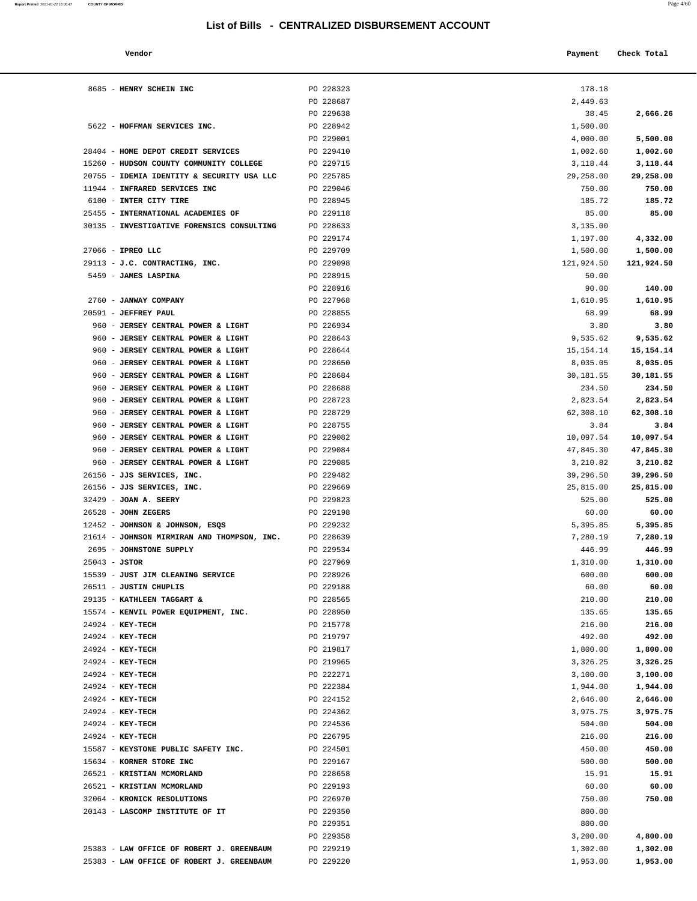#### **Vendor Check Total Payment** Check Total **Payment**

| Report Printed 2021-01-22 16:00:47 COUNTY OF MORRIS |  |  |  | Page 4/60 |
|-----------------------------------------------------|--|--|--|-----------|
|                                                     |  |  |  |           |

| 178.18                |                       |
|-----------------------|-----------------------|
| 2,449.63              |                       |
| 38.45                 | 2,666.26              |
| 1,500.00              |                       |
| 4,000.00              | 5,500.00              |
| 1,002.60<br>3,118.44  | 1,002.60              |
| 29,258.00             | 3,118.44<br>29,258.00 |
| 750.00                | 750.00                |
| 185.72                | 185.72                |
| 85.00                 | 85.00                 |
| 3,135.00              |                       |
| 1,197.00              | 4,332.00              |
| 1,500.00              | 1,500.00              |
| 121,924.50            | 121,924.50            |
| 50.00                 |                       |
| 90.00                 | 140.00                |
| 1,610.95              | 1,610.95              |
| 68.99                 | 68.99                 |
| 3.80                  | 3.80                  |
| 9,535.62              | 9,535.62              |
| 15, 154. 14           | 15, 154. 14           |
| 8,035.05              | 8,035.05              |
| 30,181.55             | 30,181.55<br>234.50   |
| 234.50                | 2,823.54              |
| 2,823.54<br>62,308.10 | 62,308.10             |
| 3.84                  | 3.84                  |
| 10,097.54             | 10,097.54             |
| 47,845.30             | 47,845.30             |
| 3,210.82              | 3,210.82              |
| 39,296.50             | 39,296.50             |
| 25,815.00             | 25,815.00             |
| 525.00                | 525.00                |
| 60.00                 | 60.00                 |
| 5,395.85              | 5,395.85              |
| 7,280.19              | 7,280.19              |
| 446.99                | 446.99                |
| 1,310.00              | 1,310.00              |
| 600.00                | 600.00                |
| 60.00<br>210.00       | 60.00<br>210.00       |
| 135.65                | 135.65                |
| 216.00                | 216.00                |
| 492.00                | 492.00                |
| 1,800.00              | 1,800.00              |
| 3,326.25              | 3,326.25              |
| 3,100.00              | 3,100.00              |
| 1,944.00              | 1,944.00              |
| 2,646.00              | 2,646.00              |
| 3,975.75              | 3,975.75              |
| 504.00                | 504.00                |
| 216.00                | 216.00                |
| 450.00                | 450.00                |
| 500.00                | 500.00                |
| 15.91                 | 15.91                 |
| 60.00                 | 60.00                 |
| 750.00                | 750.00                |
| 800.00<br>800.00      |                       |
| 3,200.00              | 4,800.00              |
| 1,302.00              | 1,302.00              |
| 1,953.00              | 1,953.00              |
|                       |                       |

| 8685 - HENRY SCHEIN INC                     | PO 228323 | 178.18     |                    |
|---------------------------------------------|-----------|------------|--------------------|
|                                             | PO 228687 | 2,449.63   |                    |
|                                             | PO 229638 | 38.45      | 2,666.26           |
| 5622 - HOFFMAN SERVICES INC.                | PO 228942 | 1,500.00   |                    |
|                                             | PO 229001 | 4,000.00   | 5,500.00           |
| 28404 - HOME DEPOT CREDIT SERVICES          | PO 229410 | 1,002.60   | 1,002.60           |
| 15260 - HUDSON COUNTY COMMUNITY COLLEGE     | PO 229715 | 3,118.44   | 3,118.44           |
| 20755 - IDEMIA IDENTITY & SECURITY USA LLC  | PO 225785 | 29,258.00  | 29,258.00          |
|                                             |           |            |                    |
| 11944 - INFRARED SERVICES INC               | PO 229046 | 750.00     | 750.00             |
| 6100 - INTER CITY TIRE                      | PO 228945 | 185.72     | 185.72             |
| 25455 - INTERNATIONAL ACADEMIES OF          | PO 229118 | 85.00      | 85.00              |
| 30135 - INVESTIGATIVE FORENSICS CONSULTING  | PO 228633 | 3,135.00   |                    |
|                                             | PO 229174 | 1,197.00   | 4,332.00           |
| 27066 - IPREO LLC                           | PO 229709 | 1,500.00   | 1,500.00           |
| 29113 - J.C. CONTRACTING, INC.              | PO 229098 | 121,924.50 | 121,924.50         |
| 5459 - JAMES LASPINA                        | PO 228915 | 50.00      |                    |
|                                             | PO 228916 | 90.00      | 140.00             |
| 2760 - JANWAY COMPANY                       | PO 227968 | 1,610.95   | 1,610.95           |
| 20591 - JEFFREY PAUL                        | PO 228855 | 68.99      | 68.99              |
| 960 - JERSEY CENTRAL POWER & LIGHT          | PO 226934 | 3.80       | 3.80               |
| 960 - JERSEY CENTRAL POWER & LIGHT          | PO 228643 | 9,535.62   | 9,535.62           |
| 960 - JERSEY CENTRAL POWER & LIGHT          | PO 228644 | 15,154.14  | 15,154.14          |
| 960 - JERSEY CENTRAL POWER & LIGHT          | PO 228650 | 8,035.05   | 8,035.05           |
| 960 - JERSEY CENTRAL POWER & LIGHT          | PO 228684 | 30,181.55  | 30,181.55          |
| 960 - JERSEY CENTRAL POWER & LIGHT          | PO 228688 | 234.50     | 234.50             |
| 960 - JERSEY CENTRAL POWER & LIGHT          | PO 228723 | 2,823.54   | 2,823.54           |
| 960 - JERSEY CENTRAL POWER & LIGHT          | PO 228729 | 62,308.10  | 62,308.10          |
| 960 - JERSEY CENTRAL POWER & LIGHT          | PO 228755 | 3.84       | 3.84               |
| 960 - JERSEY CENTRAL POWER & LIGHT          | PO 229082 | 10,097.54  | 10,097.54          |
| 960 - JERSEY CENTRAL POWER & LIGHT          | PO 229084 | 47,845.30  | 47,845.30          |
| 960 - JERSEY CENTRAL POWER & LIGHT          | PO 229085 | 3,210.82   | 3,210.82           |
| 26156 - JJS SERVICES, INC.                  | PO 229482 | 39,296.50  | 39,296.50          |
| 26156 - JJS SERVICES, INC.                  | PO 229669 | 25,815.00  | 25,815.00          |
| 32429 - JOAN A. SEERY                       | PO 229823 | 525.00     | 525.00             |
| 26528 - JOHN ZEGERS                         | PO 229198 | 60.00      | 60.00              |
| 12452 - JOHNSON & JOHNSON, ESQS             | PO 229232 |            | 5,395.85           |
|                                             |           | 5,395.85   | 7,280.19           |
| 21614 - JOHNSON MIRMIRAN AND THOMPSON, INC. | PO 228639 | 7,280.19   |                    |
| 2695 - JOHNSTONE SUPPLY                     | PO 229534 | 446.99     | 446.99             |
| $25043 - JSTOR$                             | PO 227969 | 1,310.00   | 1,310.00<br>600.00 |
| 15539 - JUST JIM CLEANING SERVICE           | PO 228926 | 600.00     |                    |
| 26511 - JUSTIN CHUPLIS                      | PO 229188 | 60.00      | 60.00              |
| 29135 - KATHLEEN TAGGART &                  | PO 228565 | 210.00     | 210.00             |
| 15574 - KENVIL POWER EQUIPMENT, INC.        | PO 228950 | 135.65     | 135.65             |
| 24924 - KEY-TECH                            | PO 215778 | 216.00     | 216.00             |
| 24924 - KEY-TECH                            | PO 219797 | 492.00     | 492.00             |
| $24924 - KEY-TECH$                          | PO 219817 | 1,800.00   | 1,800.00           |
| 24924 - KEY-TECH                            | PO 219965 | 3,326.25   | 3,326.25           |
| 24924 - KEY-TECH                            | PO 222271 | 3,100.00   | 3,100.00           |
| 24924 - KEY-TECH                            | PO 222384 | 1,944.00   | 1,944.00           |
| 24924 - KEY-TECH                            | PO 224152 | 2,646.00   | 2,646.00           |
| 24924 - KEY-TECH                            | PO 224362 | 3,975.75   | 3,975.75           |
| 24924 - KEY-TECH                            | PO 224536 | 504.00     | 504.00             |
| 24924 - KEY-TECH                            | PO 226795 | 216.00     | 216.00             |
| 15587 - KEYSTONE PUBLIC SAFETY INC.         | PO 224501 | 450.00     | 450.00             |
| 15634 - KORNER STORE INC                    | PO 229167 | 500.00     | 500.00             |
| 26521 - KRISTIAN MCMORLAND                  | PO 228658 | 15.91      | 15.91              |
| 26521 - KRISTIAN MCMORLAND                  | PO 229193 | 60.00      | 60.00              |
| 32064 - KRONICK RESOLUTIONS                 | PO 226970 | 750.00     | 750.00             |
| 20143 - LASCOMP INSTITUTE OF IT             | PO 229350 | 800.00     |                    |
|                                             | PO 229351 | 800.00     |                    |
|                                             | PO 229358 | 3,200.00   | 4,800.00           |
| 25383 - LAW OFFICE OF ROBERT J. GREENBAUM   | PO 229219 | 1,302.00   | 1,302.00           |
| 25383 - LAW OFFICE OF ROBERT J. GREENBAUM   | PO 229220 | 1,953.00   | 1,953.00           |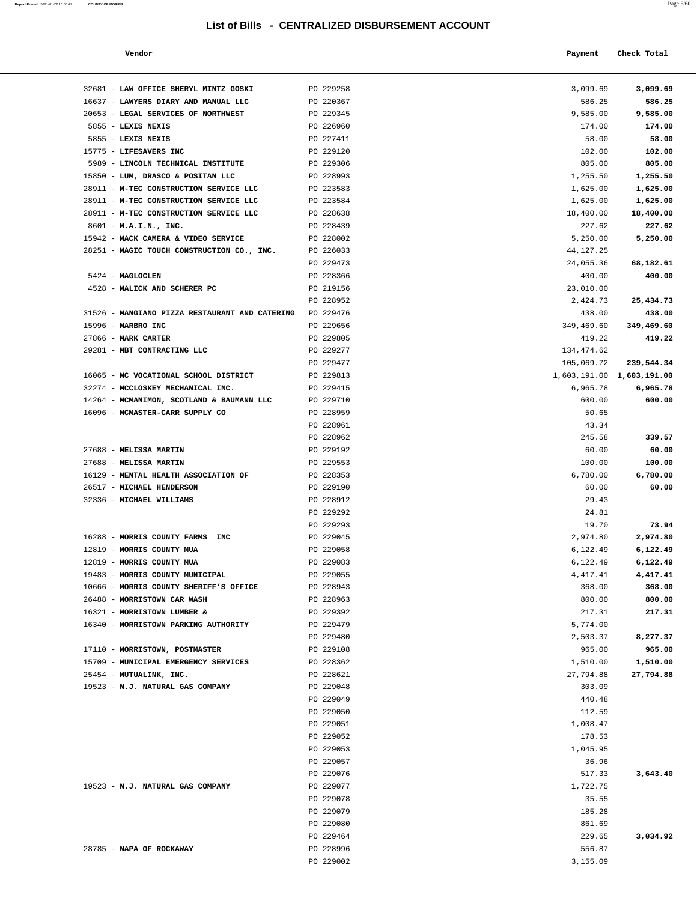|  | a.<br>I | ٦<br>. . |  |
|--|---------|----------|--|
|  |         |          |  |
|  |         |          |  |

| Report Printed 2021-01-22 16:00:47 | <b>COUNTY OF MORRIS</b>                                        | List of Bills - CENTRALIZED DISBURSEMENT ACCOUNT |                      | Page 5/60                 |  |
|------------------------------------|----------------------------------------------------------------|--------------------------------------------------|----------------------|---------------------------|--|
|                                    | Vendor                                                         |                                                  | Payment              | Check Total               |  |
|                                    |                                                                |                                                  |                      |                           |  |
|                                    | 32681 - LAW OFFICE SHERYL MINTZ GOSKI                          | PO 229258                                        | 3,099.69             | 3,099.69                  |  |
|                                    | 16637 - LAWYERS DIARY AND MANUAL LLC                           | PO 220367                                        | 586.25               | 586.25                    |  |
|                                    | 20653 - LEGAL SERVICES OF NORTHWEST                            | PO 229345                                        | 9,585.00             | 9,585.00                  |  |
|                                    | 5855 - LEXIS NEXIS                                             | PO 226960                                        | 174.00               | 174.00                    |  |
|                                    | 5855 - LEXIS NEXIS                                             | PO 227411                                        | 58.00                | 58.00                     |  |
|                                    | 15775 - LIFESAVERS INC                                         | PO 229120                                        | 102.00               | 102.00                    |  |
|                                    | 5989 - LINCOLN TECHNICAL INSTITUTE                             | PO 229306                                        | 805.00               | 805.00                    |  |
|                                    | 15850 - LUM, DRASCO & POSITAN LLC                              | PO 228993                                        | 1,255.50             | 1,255.50                  |  |
|                                    | 28911 - M-TEC CONSTRUCTION SERVICE LLC                         | PO 223583                                        | 1,625.00             | 1,625.00                  |  |
|                                    | 28911 - M-TEC CONSTRUCTION SERVICE LLC                         | PO 223584                                        | 1,625.00             | 1,625.00                  |  |
|                                    | 28911 - M-TEC CONSTRUCTION SERVICE LLC                         | PO 228638                                        | 18,400.00            | 18,400.00                 |  |
|                                    | 8601 - M.A.I.N., INC.                                          | PO 228439                                        | 227.62               | 227.62                    |  |
|                                    | 15942 - MACK CAMERA & VIDEO SERVICE                            | PO 228002                                        | 5,250.00             | 5,250.00                  |  |
|                                    | 28251 - MAGIC TOUCH CONSTRUCTION CO., INC.                     | PO 226033                                        | 44, 127. 25          |                           |  |
|                                    |                                                                | PO 229473                                        | 24,055.36            | 68,182.61                 |  |
|                                    | 5424 - MAGLOCLEN                                               | PO 228366                                        | 400.00               | 400.00                    |  |
|                                    | 4528 - MALICK AND SCHERER PC                                   | PO 219156                                        | 23,010.00            |                           |  |
|                                    |                                                                | PO 228952                                        | 2,424.73             | 25,434.73                 |  |
|                                    | 31526 - MANGIANO PIZZA RESTAURANT AND CATERING                 | PO 229476                                        | 438.00               | 438.00                    |  |
|                                    | 15996 - MARBRO INC                                             | PO 229656                                        | 349,469.60           | 349,469.60                |  |
|                                    | 27866 - MARK CARTER                                            | PO 229805                                        | 419.22               | 419.22                    |  |
|                                    | 29281 - MBT CONTRACTING LLC                                    | PO 229277                                        | 134, 474.62          |                           |  |
|                                    |                                                                | PO 229477                                        | 105,069.72           | 239,544.34                |  |
|                                    | 16065 - MC VOCATIONAL SCHOOL DISTRICT                          | PO 229813                                        |                      | 1,603,191.00 1,603,191.00 |  |
|                                    | 32274 - MCCLOSKEY MECHANICAL INC.                              | PO 229415                                        | 6,965.78             | 6,965.78                  |  |
|                                    | 14264 - MCMANIMON, SCOTLAND & BAUMANN LLC                      | PO 229710                                        | 600.00               | 600.00                    |  |
|                                    | 16096 - MCMASTER-CARR SUPPLY CO                                | PO 228959                                        | 50.65                |                           |  |
|                                    |                                                                | PO 228961                                        | 43.34                |                           |  |
|                                    |                                                                | PO 228962                                        | 245.58               | 339.57                    |  |
|                                    | 27688 - MELISSA MARTIN                                         | PO 229192                                        | 60.00                | 60.00                     |  |
|                                    | 27688 - MELISSA MARTIN                                         | PO 229553                                        | 100.00               | 100.00                    |  |
|                                    | 16129 - MENTAL HEALTH ASSOCIATION OF                           | PO 228353                                        | 6,780.00             | 6,780.00                  |  |
|                                    | 26517 - MICHAEL HENDERSON                                      | PO 229190                                        | 60.00                | 60.00                     |  |
|                                    | 32336 - MICHAEL WILLIAMS                                       | PO 228912                                        | 29.43                |                           |  |
|                                    |                                                                | PO 229292                                        | 24.81                |                           |  |
|                                    |                                                                | PO 229293                                        | 19.70                | 73.94                     |  |
|                                    | 16288 - MORRIS COUNTY FARMS INC<br>$10010$ MODDIC COUNTRY MILE | PO 229045<br>DO 220050                           | 2,974.80<br>6.122.40 | 2,974.80<br>6.322.40      |  |
|                                    |                                                                |                                                  |                      |                           |  |

| 20653 - LEGAL SERVICES OF NORTHWEST                      | PO 229345 | 9,585.00                  | 9,585.00   |
|----------------------------------------------------------|-----------|---------------------------|------------|
| 5855 - LEXIS NEXIS                                       | PO 226960 | 174.00                    | 174.00     |
| 5855 - LEXIS NEXIS                                       | PO 227411 | 58.00                     | 58.00      |
| 15775 - LIFESAVERS INC                                   | PO 229120 | 102.00                    | 102.00     |
| 5989 - LINCOLN TECHNICAL INSTITUTE                       | PO 229306 | 805.00                    | 805.00     |
| 15850 - LUM, DRASCO & POSITAN LLC                        | PO 228993 | 1,255.50                  | 1,255.50   |
| 28911 - M-TEC CONSTRUCTION SERVICE LLC                   | PO 223583 | 1,625.00                  | 1,625.00   |
| 28911 - M-TEC CONSTRUCTION SERVICE LLC                   | PO 223584 | 1,625.00                  | 1,625.00   |
| 28911 - M-TEC CONSTRUCTION SERVICE LLC                   | PO 228638 | 18,400.00                 | 18,400.00  |
| 8601 - M.A.I.N., INC.                                    | PO 228439 | 227.62                    | 227.62     |
| 15942 - MACK CAMERA & VIDEO SERVICE                      | PO 228002 | 5,250.00                  | 5,250.00   |
| 28251 - MAGIC TOUCH CONSTRUCTION CO., INC.               | PO 226033 | 44,127.25                 |            |
|                                                          | PO 229473 | 24,055.36                 | 68,182.61  |
| 5424 - MAGLOCLEN                                         | PO 228366 | 400.00                    | 400.00     |
| 4528 - MALICK AND SCHERER PC                             | PO 219156 | 23,010.00                 |            |
|                                                          | PO 228952 |                           |            |
|                                                          |           | 2,424.73                  | 25,434.73  |
| 31526 - MANGIANO PIZZA RESTAURANT AND CATERING PO 229476 |           | 438.00                    | 438.00     |
| 15996 - MARBRO INC                                       | PO 229656 | 349,469.60                | 349,469.60 |
| 27866 - MARK CARTER                                      | PO 229805 | 419.22                    | 419.22     |
| 29281 - MBT CONTRACTING LLC                              | PO 229277 | 134,474.62                |            |
|                                                          | PO 229477 | 105,069.72                | 239,544.34 |
| 16065 - MC VOCATIONAL SCHOOL DISTRICT                    | PO 229813 | 1,603,191.00 1,603,191.00 |            |
| 32274 - MCCLOSKEY MECHANICAL INC.                        | PO 229415 | 6,965.78                  | 6,965.78   |
| 14264 - MCMANIMON, SCOTLAND & BAUMANN LLC PO 229710      |           | 600.00                    | 600.00     |
| 16096 - MCMASTER-CARR SUPPLY CO                          | PO 228959 | 50.65                     |            |
|                                                          | PO 228961 | 43.34                     |            |
|                                                          | PO 228962 | 245.58                    | 339.57     |
| 27688 - MELISSA MARTIN                                   | PO 229192 | 60.00                     | 60.00      |
| 27688 - MELISSA MARTIN                                   | PO 229553 | 100.00                    | 100.00     |
| 16129 - MENTAL HEALTH ASSOCIATION OF                     | PO 228353 | 6,780.00                  | 6,780.00   |
| 26517 - MICHAEL HENDERSON                                | PO 229190 | 60.00                     | 60.00      |
| 32336 - MICHAEL WILLIAMS                                 | PO 228912 | 29.43                     |            |
|                                                          | PO 229292 | 24.81                     |            |
|                                                          | PO 229293 | 19.70                     | 73.94      |
| 16288 - MORRIS COUNTY FARMS INC                          | PO 229045 | 2,974.80                  | 2,974.80   |
| 12819 - MORRIS COUNTY MUA                                | PO 229058 | 6,122.49                  | 6,122.49   |
| 12819 - MORRIS COUNTY MUA                                | PO 229083 | 6,122.49                  | 6,122.49   |
| 19483 - MORRIS COUNTY MUNICIPAL                          | PO 229055 | 4,417.41                  | 4,417.41   |
| 10666 - MORRIS COUNTY SHERIFF'S OFFICE                   | PO 228943 | 368.00                    | 368.00     |
| 26488 - MORRISTOWN CAR WASH                              | PO 228963 | 800.00                    | 800.00     |
| 16321 - MORRISTOWN LUMBER &                              | PO 229392 | 217.31                    | 217.31     |
| 16340 - MORRISTOWN PARKING AUTHORITY                     | PO 229479 | 5,774.00                  |            |
|                                                          | PO 229480 | 2,503.37                  | 8,277.37   |
| 17110 - MORRISTOWN, POSTMASTER                           | PO 229108 | 965.00                    | 965.00     |
| 15709 - MUNICIPAL EMERGENCY SERVICES                     | PO 228362 | 1,510.00                  | 1,510.00   |
| 25454 - MUTUALINK, INC.                                  | PO 228621 | 27,794.88                 | 27,794.88  |
| 19523 - N.J. NATURAL GAS COMPANY                         | PO 229048 | 303.09                    |            |
|                                                          | PO 229049 | 440.48                    |            |
|                                                          | PO 229050 | 112.59                    |            |
|                                                          | PO 229051 | 1,008.47                  |            |
|                                                          | PO 229052 | 178.53                    |            |
|                                                          | PO 229053 | 1,045.95                  |            |
|                                                          | PO 229057 | 36.96                     |            |
|                                                          | PO 229076 | 517.33                    | 3,643.40   |
| 19523 - N.J. NATURAL GAS COMPANY                         | PO 229077 |                           |            |
|                                                          |           | 1,722.75                  |            |
|                                                          | PO 229078 | 35.55                     |            |
|                                                          | PO 229079 | 185.28                    |            |
|                                                          | PO 229080 | 861.69                    |            |
|                                                          | PO 229464 | 229.65                    | 3,034.92   |
| 28785 - NAPA OF ROCKAWAY                                 | PO 228996 | 556.87                    |            |
|                                                          | PO 229002 | 3,155.09                  |            |
|                                                          |           |                           |            |
|                                                          |           |                           |            |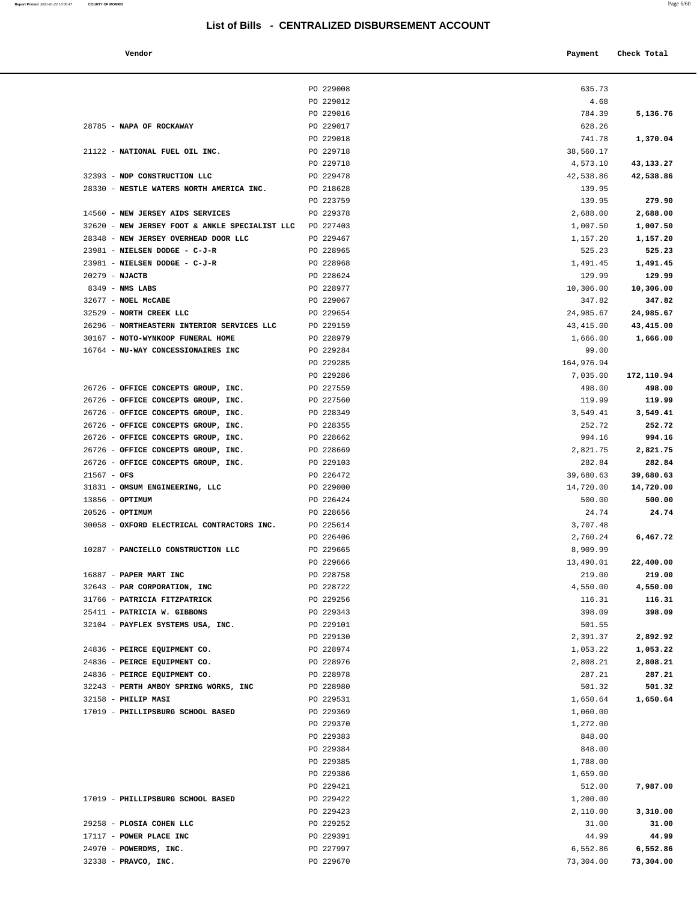**Report Printed** 2021-01-22 16:00:47 **COUNTY OF MORRIS** Page 6/60

| Vendor |  | Payment Check Total |
|--------|--|---------------------|
|--------|--|---------------------|

|                                                                 | PO 229008              | 635.73             |                    |
|-----------------------------------------------------------------|------------------------|--------------------|--------------------|
|                                                                 | PO 229012              | 4.68               |                    |
|                                                                 | PO 229016              | 784.39             | 5,136.76           |
| 28785 - NAPA OF ROCKAWAY                                        | PO 229017              | 628.26             |                    |
|                                                                 | PO 229018              | 741.78             | 1,370.04           |
| 21122 - NATIONAL FUEL OIL INC.                                  | PO 229718              | 38,560.17          |                    |
|                                                                 | PO 229718              | 4,573.10           | 43,133.27          |
| 32393 - NDP CONSTRUCTION LLC                                    | PO 229478              | 42,538.86          | 42,538.86          |
| 28330 - NESTLE WATERS NORTH AMERICA INC.                        | PO 218628              | 139.95             |                    |
|                                                                 | PO 223759              | 139.95             | 279.90             |
| 14560 - NEW JERSEY AIDS SERVICES                                | PO 229378              | 2,688.00           | 2,688.00           |
| 32620 - NEW JERSEY FOOT & ANKLE SPECIALIST LLC                  | PO 227403              | 1,007.50           | 1,007.50           |
| 28348 - NEW JERSEY OVERHEAD DOOR LLC                            | PO 229467              | 1,157.20           | 1,157.20           |
| 23981 - NIELSEN DODGE - C-J-R                                   | PO 228965<br>PO 228968 | 525.23             | 525.23             |
| 23981 - NIELSEN DODGE - C-J-R<br>$20279$ - NJACTB               | PO 228624              | 1,491.45<br>129.99 | 1,491.45<br>129.99 |
| $8349$ - NMS LABS                                               | PO 228977              | 10,306.00          | 10,306.00          |
| 32677 - NOEL MCCABE                                             | PO 229067              | 347.82             | 347.82             |
| 32529 - NORTH CREEK LLC                                         | PO 229654              | 24,985.67          | 24,985.67          |
| 26296 - NORTHEASTERN INTERIOR SERVICES LLC                      | PO 229159              | 43,415.00          | 43,415.00          |
| 30167 - NOTO-WYNKOOP FUNERAL HOME                               | PO 228979              | 1,666.00           | 1,666.00           |
| 16764 - NU-WAY CONCESSIONAIRES INC                              | PO 229284              | 99.00              |                    |
|                                                                 | PO 229285              | 164,976.94         |                    |
|                                                                 | PO 229286              | 7,035.00           | 172,110.94         |
| 26726 - OFFICE CONCEPTS GROUP, INC.                             | PO 227559              | 498.00             | 498.00             |
| 26726 - OFFICE CONCEPTS GROUP, INC.                             | PO 227560              | 119.99             | 119.99             |
| 26726 - OFFICE CONCEPTS GROUP, INC.                             | PO 228349              | 3,549.41           | 3,549.41           |
| 26726 - OFFICE CONCEPTS GROUP, INC.                             | PO 228355              | 252.72             | 252.72             |
| 26726 - OFFICE CONCEPTS GROUP, INC.                             | PO 228662              | 994.16             | 994.16             |
| 26726 - OFFICE CONCEPTS GROUP, INC.                             | PO 228669              | 2,821.75           | 2,821.75           |
| 26726 - OFFICE CONCEPTS GROUP, INC.                             | PO 229103              | 282.84             | 282.84             |
| $21567 - OFS$                                                   | PO 226472              | 39,680.63          | 39,680.63          |
| 31831 - OMSUM ENGINEERING, LLC                                  | PO 229000              | 14,720.00          | 14,720.00          |
| 13856 - OPTIMUM                                                 | PO 226424<br>PO 228656 | 500.00             | 500.00<br>24.74    |
| $20526$ - OPTIMUM<br>30058 - OXFORD ELECTRICAL CONTRACTORS INC. | PO 225614              | 24.74<br>3,707.48  |                    |
|                                                                 | PO 226406              | 2,760.24           | 6,467.72           |
| 10287 - PANCIELLO CONSTRUCTION LLC                              | PO 229665              | 8,909.99           |                    |
|                                                                 | PO 229666              | 13,490.01          | 22,400.00          |
| 16887 - PAPER MART INC                                          | PO 228758              | 219.00             | 219.00             |
| 32643 - PAR CORPORATION, INC                                    | PO 228722              | 4,550.00           | 4,550.00           |
| 31766 - PATRICIA FITZPATRICK                                    | PO 229256              | 116.31             | 116.31             |
| 25411 - PATRICIA W. GIBBONS                                     | PO 229343              | 398.09             | 398.09             |
| 32104 - PAYFLEX SYSTEMS USA, INC.                               | PO 229101              | 501.55             |                    |
|                                                                 | PO 229130              | 2,391.37           | 2,892.92           |
| 24836 - PEIRCE EQUIPMENT CO.                                    | PO 228974              | 1,053.22           | 1,053.22           |
| 24836 - PEIRCE EQUIPMENT CO.                                    | PO 228976              | 2,808.21           | 2,808.21           |
| 24836 - PEIRCE EQUIPMENT CO.                                    | PO 228978              | 287.21             | 287.21             |
| 32243 - PERTH AMBOY SPRING WORKS, INC                           | PO 228980              | 501.32             | 501.32             |
| 32158 - PHILIP MASI<br>17019 - PHILLIPSBURG SCHOOL BASED        | PO 229531              | 1,650.64           | 1,650.64           |
|                                                                 | PO 229369<br>PO 229370 | 1,060.00           |                    |
|                                                                 | PO 229383              | 1,272.00<br>848.00 |                    |
|                                                                 | PO 229384              | 848.00             |                    |
|                                                                 | PO 229385              | 1,788.00           |                    |
|                                                                 | PO 229386              | 1,659.00           |                    |
|                                                                 | PO 229421              | 512.00             | 7,987.00           |
| 17019 - PHILLIPSBURG SCHOOL BASED                               | PO 229422              | 1,200.00           |                    |
|                                                                 | PO 229423              | 2,110.00           | 3,310.00           |
| 29258 - PLOSIA COHEN LLC                                        | PO 229252              | 31.00              | 31.00              |
| 17117 - POWER PLACE INC                                         | PO 229391              | 44.99              | 44.99              |
| 24970 - POWERDMS, INC.                                          | PO 227997              | 6,552.86           | 6,552.86           |
| 32338 - PRAVCO, INC.                                            | PO 229670              | 73,304.00          | 73,304.00          |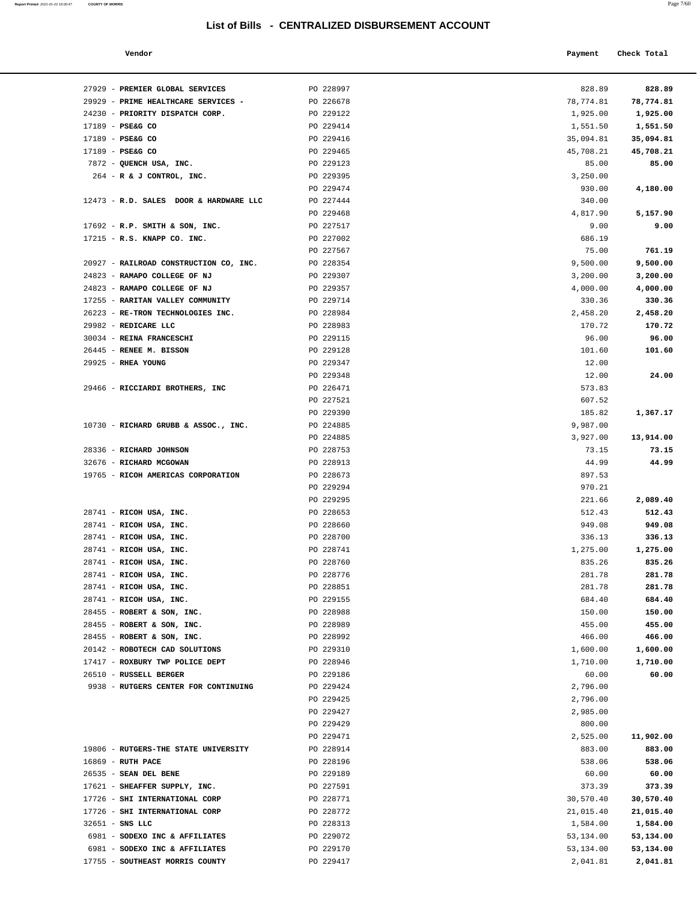**Report Printed** 2021-01-22 16:00:47 **COUNTY OF MORRIS** 

|--|--|

| Vendor<br>. | Payment Check Total |
|-------------|---------------------|
|             |                     |

| 27929 - PREMIER GLOBAL SERVICES                                 | PO 228997              | 828.89           | 828.89             |
|-----------------------------------------------------------------|------------------------|------------------|--------------------|
| 29929 - PRIME HEALTHCARE SERVICES -                             | PO 226678              | 78,774.81        | 78,774.81          |
| 24230 - PRIORITY DISPATCH CORP.                                 | PO 229122              | 1,925.00         | 1,925.00           |
| 17189 - PSE&G CO                                                | PO 229414              | 1,551.50         | 1,551.50           |
| 17189 - PSE&G CO                                                | PO 229416              | 35,094.81        | 35,094.81          |
| 17189 - PSE&G CO                                                | PO 229465              | 45,708.21        | 45,708.21          |
| 7872 - QUENCH USA, INC.                                         | PO 229123              | 85.00            | 85.00              |
| $264$ - R & J CONTROL, INC.                                     | PO 229395              | 3,250.00         |                    |
|                                                                 | PO 229474              | 930.00           | 4,180.00           |
| 12473 - R.D. SALES DOOR & HARDWARE LLC                          | PO 227444              | 340.00           |                    |
|                                                                 | PO 229468<br>PO 227517 | 4,817.90         | 5,157.90           |
| $17692$ - R.P. SMITH & SON, INC.<br>17215 - R.S. KNAPP CO. INC. | PO 227002              | 9.00<br>686.19   | 9.00               |
|                                                                 | PO 227567              | 75.00            | 761.19             |
| 20927 - RAILROAD CONSTRUCTION CO, INC.                          | PO 228354              | 9,500.00         | 9,500.00           |
| 24823 - RAMAPO COLLEGE OF NJ                                    | PO 229307              | 3,200.00         | 3,200.00           |
| 24823 - RAMAPO COLLEGE OF NJ                                    | PO 229357              | 4,000.00         | 4,000.00           |
| 17255 - RARITAN VALLEY COMMUNITY                                | PO 229714              | 330.36           | 330.36             |
| 26223 - RE-TRON TECHNOLOGIES INC.                               | PO 228984              | 2,458.20         | 2,458.20           |
| 29982 - REDICARE LLC                                            | PO 228983              | 170.72           | 170.72             |
| 30034 - REINA FRANCESCHI                                        | PO 229115              | 96.00            | 96.00              |
| 26445 - RENEE M. BISSON                                         | PO 229128              | 101.60           | 101.60             |
| 29925 - RHEA YOUNG                                              | PO 229347              | 12.00            |                    |
|                                                                 | PO 229348              | 12.00            | 24.00              |
| 29466 - RICCIARDI BROTHERS, INC                                 | PO 226471              | 573.83           |                    |
|                                                                 | PO 227521              | 607.52           |                    |
|                                                                 | PO 229390              | 185.82           | 1,367.17           |
| 10730 - RICHARD GRUBB & ASSOC., INC.                            | PO 224885              | 9,987.00         |                    |
|                                                                 | PO 224885              | 3,927.00         | 13,914.00          |
| 28336 - RICHARD JOHNSON                                         | PO 228753              | 73.15            | 73.15              |
| 32676 - RICHARD MCGOWAN                                         | PO 228913              | 44.99            | 44.99              |
| 19765 - RICOH AMERICAS CORPORATION                              | PO 228673              | 897.53           |                    |
|                                                                 | PO 229294              | 970.21           |                    |
| 28741 - RICOH USA, INC.                                         | PO 229295<br>PO 228653 | 221.66<br>512.43 | 2,089.40<br>512.43 |
| 28741 - RICOH USA, INC.                                         | PO 228660              | 949.08           | 949.08             |
| 28741 - RICOH USA, INC.                                         | PO 228700              | 336.13           | 336.13             |
| 28741 - RICOH USA, INC.                                         | PO 228741              | 1,275.00         | 1,275.00           |
| 28741 - RICOH USA, INC.                                         | PO 228760              | 835.26           | 835.26             |
| 28741 - RICOH USA, INC.                                         | PO 228776              | 281.78           | 281.78             |
| 28741 - RICOH USA, INC.                                         | PO 228851              | 281.78           | 281.78             |
| 28741 - RICOH USA, INC.                                         | PO 229155              | 684.40           | 684.40             |
| 28455 - ROBERT & SON, INC.                                      | PO 228988              | 150.00           | 150.00             |
| 28455 - ROBERT & SON, INC.                                      | PO 228989              | 455.00           | 455.00             |
| 28455 - ROBERT & SON, INC.                                      | PO 228992              | 466.00           | 466.00             |
| 20142 - ROBOTECH CAD SOLUTIONS                                  | PO 229310              | 1,600.00         | 1,600.00           |
| 17417 - ROXBURY TWP POLICE DEPT                                 | PO 228946              | 1,710.00         | 1,710.00           |
| 26510 - RUSSELL BERGER                                          | PO 229186              | 60.00            | 60.00              |
| 9938 - RUTGERS CENTER FOR CONTINUING                            | PO 229424              | 2,796.00         |                    |
|                                                                 | PO 229425              | 2,796.00         |                    |
|                                                                 | PO 229427              | 2,985.00         |                    |
|                                                                 | PO 229429              | 800.00           |                    |
|                                                                 | PO 229471              | 2,525.00         | 11,902.00          |
| 19806 - RUTGERS-THE STATE UNIVERSITY<br>16869 - RUTH PACE       | PO 228914<br>PO 228196 | 883.00<br>538.06 | 883.00<br>538.06   |
| 26535 - SEAN DEL BENE                                           | PO 229189              | 60.00            | 60.00              |
| 17621 - SHEAFFER SUPPLY, INC.                                   | PO 227591              | 373.39           | 373.39             |
| 17726 - SHI INTERNATIONAL CORP                                  | PO 228771              | 30,570.40        | 30,570.40          |
| 17726 - SHI INTERNATIONAL CORP                                  | PO 228772              | 21,015.40        | 21,015.40          |
| $32651 - SNS$ LLC                                               | PO 228313              | 1,584.00         | 1,584.00           |
| 6981 - SODEXO INC & AFFILIATES                                  | PO 229072              | 53,134.00        | 53,134.00          |
| 6981 - SODEXO INC & AFFILIATES                                  | PO 229170              | 53,134.00        | 53,134.00          |
| 17755 - SOUTHEAST MORRIS COUNTY                                 | PO 229417              | 2,041.81         | 2,041.81           |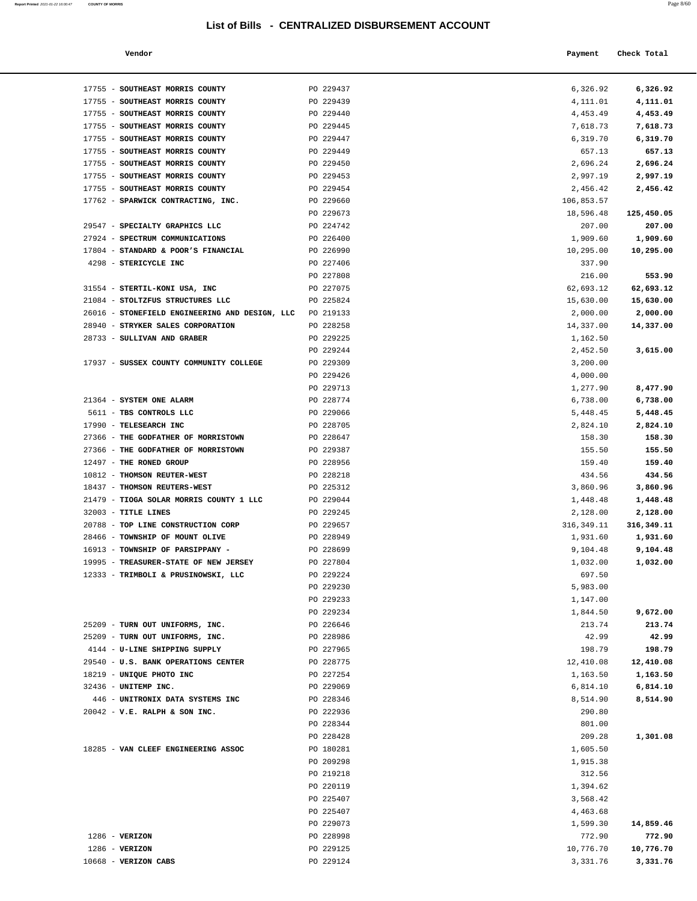| Report Printed 2021-01-22 16:00:47 | <b>COUNTY OF MORRIS</b> |  |  | Page 8/60 |
|------------------------------------|-------------------------|--|--|-----------|
|                                    |                         |  |  |           |

| Payment Check Total<br>Vendor |  |
|-------------------------------|--|
|-------------------------------|--|

| 17755 - SOUTHEAST MORRIS COUNTY                                  | PO 229437              | 6,326.92               | 6,326.92                |
|------------------------------------------------------------------|------------------------|------------------------|-------------------------|
| 17755 - SOUTHEAST MORRIS COUNTY                                  | PO 229439              | 4,111.01               | 4,111.01                |
| 17755 - SOUTHEAST MORRIS COUNTY                                  | PO 229440              | 4,453.49               | 4,453.49                |
| 17755 - SOUTHEAST MORRIS COUNTY                                  | PO 229445              | 7,618.73               | 7,618.73                |
| 17755 - SOUTHEAST MORRIS COUNTY                                  | PO 229447              | 6,319.70               | 6,319.70                |
| 17755 - SOUTHEAST MORRIS COUNTY                                  | PO 229449              | 657.13                 | 657.13                  |
| 17755 - SOUTHEAST MORRIS COUNTY                                  | PO 229450              | 2,696.24               | 2,696.24                |
| 17755 - SOUTHEAST MORRIS COUNTY                                  | PO 229453              | 2,997.19               | 2,997.19                |
| 17755 - SOUTHEAST MORRIS COUNTY                                  | PO 229454              | 2,456.42               | 2,456.42                |
| 17762 - SPARWICK CONTRACTING, INC.                               | PO 229660              | 106,853.57             |                         |
|                                                                  | PO 229673              | 18,596.48              | 125,450.05              |
| 29547 - SPECIALTY GRAPHICS LLC                                   | PO 224742              | 207.00                 | 207.00                  |
| 27924 - SPECTRUM COMMUNICATIONS                                  | PO 226400              | 1,909.60               | 1,909.60                |
| 17804 - STANDARD & POOR'S FINANCIAL                              | PO 226990              | 10,295.00              | 10,295.00               |
| 4298 - STERICYCLE INC                                            | PO 227406              | 337.90                 |                         |
| 31554 - STERTIL-KONI USA, INC                                    | PO 227808<br>PO 227075 | 216.00                 | 553.90                  |
| 21084 - STOLTZFUS STRUCTURES LLC                                 | PO 225824              | 62,693.12<br>15,630.00 | 62,693.12<br>15,630.00  |
| 26016 - STONEFIELD ENGINEERING AND DESIGN, LLC                   | PO 219133              | 2,000.00               | 2,000.00                |
| 28940 - STRYKER SALES CORPORATION                                | PO 228258              | 14,337.00              | 14,337.00               |
| 28733 - SULLIVAN AND GRABER                                      | PO 229225              | 1,162.50               |                         |
|                                                                  | PO 229244              | 2,452.50               | 3,615.00                |
| 17937 - SUSSEX COUNTY COMMUNITY COLLEGE                          | PO 229309              | 3,200.00               |                         |
|                                                                  | PO 229426              | 4,000.00               |                         |
|                                                                  | PO 229713              | 1,277.90               | 8,477.90                |
| 21364 - SYSTEM ONE ALARM                                         | PO 228774              | 6,738.00               | 6,738.00                |
| 5611 - TBS CONTROLS LLC                                          | PO 229066              | 5,448.45               | 5,448.45                |
| 17990 - TELESEARCH INC                                           | PO 228705              | 2,824.10               | 2,824.10                |
| 27366 - THE GODFATHER OF MORRISTOWN                              | PO 228647              | 158.30                 | 158.30                  |
| 27366 - THE GODFATHER OF MORRISTOWN                              | PO 229387              | 155.50                 | 155.50                  |
| 12497 - THE RONED GROUP                                          | PO 228956              | 159.40                 | 159.40                  |
| 10812 - THOMSON REUTER-WEST                                      | PO 228218              | 434.56                 | 434.56                  |
| 18437 - THOMSON REUTERS-WEST                                     | PO 225312              | 3,860.96               | 3,860.96                |
| 21479 - TIOGA SOLAR MORRIS COUNTY 1 LLC<br>$32003$ - TITLE LINES | PO 229044<br>PO 229245 | 1,448.48<br>2,128.00   | 1,448.48                |
| 20788 - TOP LINE CONSTRUCTION CORP                               | PO 229657              | 316,349.11             | 2,128.00<br>316, 349.11 |
| 28466 - TOWNSHIP OF MOUNT OLIVE                                  | PO 228949              | 1,931.60               | 1,931.60                |
| 16913 - TOWNSHIP OF PARSIPPANY -                                 | PO 228699              | 9,104.48               | 9,104.48                |
| 19995 - TREASURER-STATE OF NEW JERSEY                            | PO 227804              | 1,032.00               | 1,032.00                |
| 12333 - TRIMBOLI & PRUSINOWSKI, LLC                              | PO 229224              | 697.50                 |                         |
|                                                                  | PO 229230              | 5,983.00               |                         |
|                                                                  | PO 229233              | 1,147.00               |                         |
|                                                                  | PO 229234              | 1,844.50               | 9,672.00                |
| 25209 - TURN OUT UNIFORMS, INC.                                  | PO 226646              | 213.74                 | 213.74                  |
| 25209 - TURN OUT UNIFORMS, INC.                                  | PO 228986              | 42.99                  | 42.99                   |
| 4144 - U-LINE SHIPPING SUPPLY                                    | PO 227965              | 198.79                 | 198.79                  |
| 29540 - U.S. BANK OPERATIONS CENTER                              | PO 228775              | 12,410.08              | 12,410.08               |
| 18219 - UNIQUE PHOTO INC                                         | PO 227254              | 1,163.50               | 1,163.50                |
| 32436 - UNITEMP INC.<br>446 - UNITRONIX DATA SYSTEMS INC         | PO 229069<br>PO 228346 | 6,814.10<br>8,514.90   | 6,814.10<br>8,514.90    |
| $20042$ - V.E. RALPH & SON INC.                                  | PO 222936              | 290.80                 |                         |
|                                                                  | PO 228344              | 801.00                 |                         |
|                                                                  | PO 228428              | 209.28                 | 1,301.08                |
| 18285 - VAN CLEEF ENGINEERING ASSOC                              | PO 180281              | 1,605.50               |                         |
|                                                                  | PO 209298              | 1,915.38               |                         |
|                                                                  | PO 219218              | 312.56                 |                         |
|                                                                  | PO 220119              | 1,394.62               |                         |
|                                                                  | PO 225407              | 3,568.42               |                         |
|                                                                  | PO 225407              | 4,463.68               |                         |
|                                                                  | PO 229073              | 1,599.30               | 14,859.46               |
| $1286$ - VERIZON                                                 | PO 228998              | 772.90                 | 772.90                  |
| $1286$ - VERIZON                                                 | PO 229125              | 10,776.70              | 10,776.70               |
| 10668 - VERIZON CABS                                             | PO 229124              | 3,331.76               | 3,331.76                |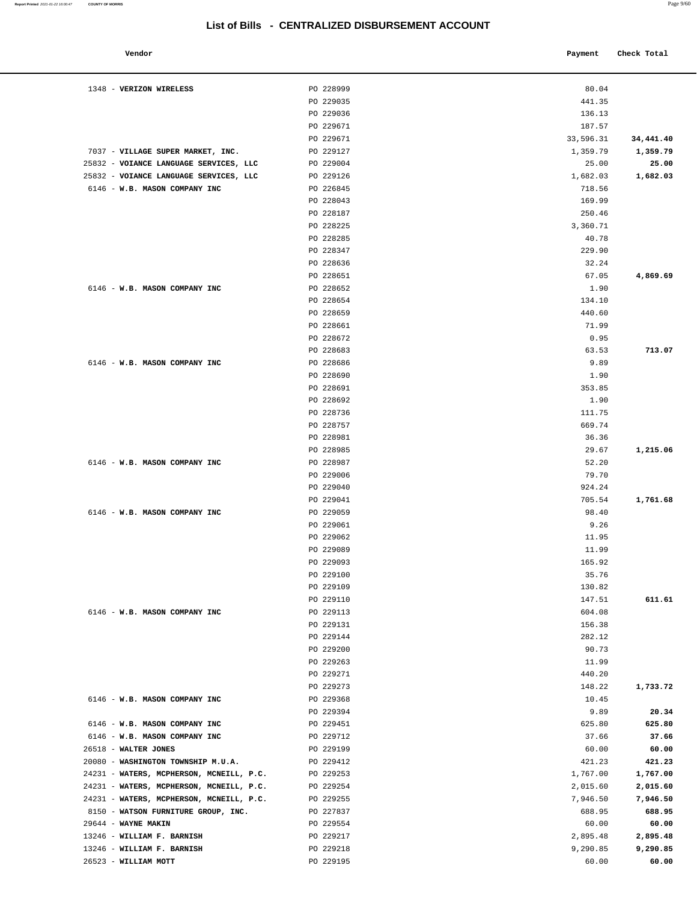**Vendor Payment** Check Total **Payment** Check Total **Payment** 1348 - **VERIZON WIRELESS** PO 228999 80.04 PO 229035 441.35 PO 229036 136.13 PO 229671 187.57 PO 229671 33,596.31 **34,441.40** 7037 - **VILLAGE SUPER MARKET, INC.** PO 229127 1,359.79 **1,359.79** 25832 - **VOIANCE LANGUAGE SERVICES, LLC** PO 229004 25.00 **25.00** 25832 - **VOIANCE LANGUAGE SERVICES, LLC** PO 229126 1,682.03 **1,682.03** 6146 - **W.B. MASON COMPANY INC** PO 226845 718.56 PO 228043 169.99 PO 228187 250.46 PO 228225 3,360.71 PO 228285 40.78 PO 228347 229.90 PO 228636 32.24 PO 228651 67.05 **4,869.69**  6146 - **W.B. MASON COMPANY INC** PO 228652 1.90 PO 228654 134.10 PO 228659 440.60 PO 228661 71.99 PO 228672 0.95 PO 228683 **713.07 713.07**  6146 - **W.B. MASON COMPANY INC** PO 228686 9.89 PO 228690 1.90 PO 228691 353.85 PO 228692 1.90 PO 228736 111.75 PO 228757 669.74 PO 228981 36.36 PO 228985 29.67 **1,215.06** 6146 - **W.B. MASON COMPANY INC** PO 228987 52.20 PO 229006 79.70 PO 229040 924.24 PO 229041 705.54 **1,761.68** 6146 - **W.B. MASON COMPANY INC** PO 229059 98.40 PO 229061 9.26 PO 229062 11.95 PO 229089 11.99 PO 229093 165.92 PO 229100 35.76 PO 229109 130.82 PO 229110 611.61 6146 - **W.B. MASON COMPANY INC** PO 229113 604.08 PO 229131 156.38 PO 229144 282.12 PO 229200 90.73 PO 229263 11.99 PO 229271 440.20 PO 229273 148.22 **1,733.72** 6146 - **W.B. MASON COMPANY INC** PO 229368 10.45 PO 229394 9.89 **20.34** 6146 - **W.B. MASON COMPANY INC** PO 229451 625.80 **625.80** 6146 - **W.B. MASON COMPANY INC** PO 229712 37.66 **37.66** 26518 - **WALTER JONES** PO 229199 60.00 **60.00** 20080 - **WASHINGTON TOWNSHIP M.U.A.** PO 229412 421.23 **421.23** 24231 - **WATERS, MCPHERSON, MCNEILL, P.C.** PO 229253 1,767.00 **1,767.00** 24231 - **WATERS, MCPHERSON, MCNEILL, P.C.** PO 229254 2,015.60 **2,015.60** 24231 - **WATERS, MCPHERSON, MCNEILL, P.C.** PO 229255 7,946.50 **7,946.50** 8150 - **WATSON FURNITURE GROUP, INC.** PO 227837 688.95 **688.95** 29644 - **WAYNE MAKIN** PO 229554 60.00 **60.00** 13246 - **WILLIAM F. BARNISH** PO 229217 2,895.48 **2,895.48** 13246 - **WILLIAM F. BARNISH** PO 229218 9,290.85 **9,290.85** 26523 - **WILLIAM MOTT** PO 229195 60.00 **60.00**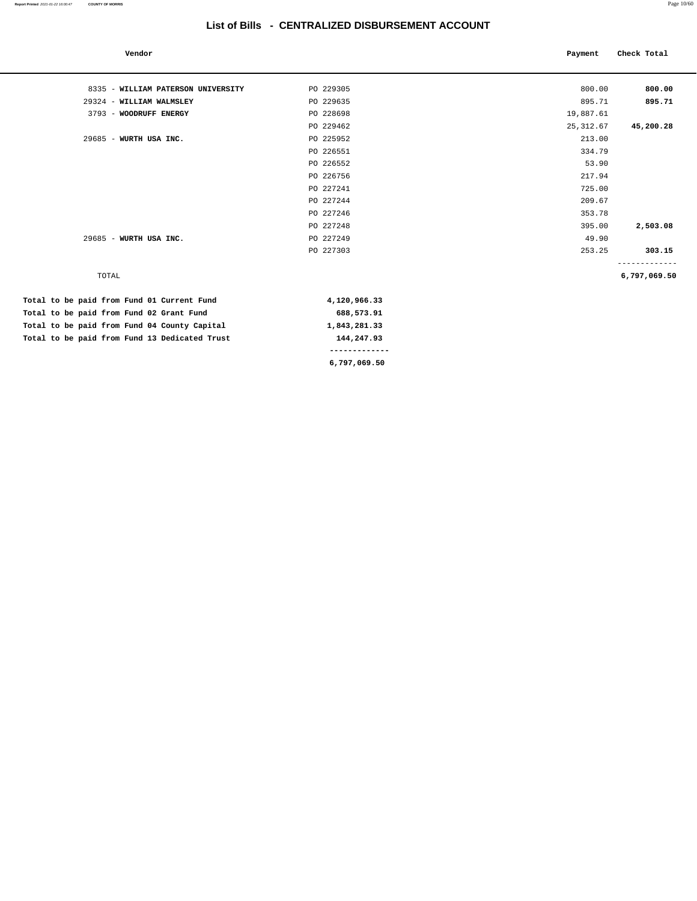| Vendor                                        |               | Payment    | Check Total  |
|-----------------------------------------------|---------------|------------|--------------|
| 8335 - WILLIAM PATERSON UNIVERSITY            | PO 229305     | 800.00     | 800.00       |
| 29324 - WILLIAM WALMSLEY                      | PO 229635     | 895.71     | 895.71       |
| 3793 - WOODRUFF ENERGY                        | PO 228698     | 19,887.61  |              |
|                                               | PO 229462     | 25, 312.67 | 45,200.28    |
| 29685 - WURTH USA INC.                        | PO 225952     | 213.00     |              |
|                                               | PO 226551     | 334.79     |              |
|                                               | PO 226552     | 53.90      |              |
|                                               | PO 226756     | 217.94     |              |
|                                               | PO 227241     | 725.00     |              |
|                                               | PO 227244     | 209.67     |              |
|                                               | PO 227246     | 353.78     |              |
|                                               | PO 227248     | 395.00     | 2,503.08     |
| 29685 - WURTH USA INC.                        | PO 227249     | 49.90      |              |
|                                               | PO 227303     | 253.25     | 303.15       |
| TOTAL                                         |               |            | 6,797,069.50 |
| Total to be paid from Fund 01 Current Fund    | 4,120,966.33  |            |              |
| Total to be paid from Fund 02 Grant Fund      | 688,573.91    |            |              |
| Total to be paid from Fund 04 County Capital  | 1,843,281.33  |            |              |
| Total to be paid from Fund 13 Dedicated Trust | 144,247.93    |            |              |
|                                               | ------------- |            |              |

**6,797,069.50** 

**Report Printed** 2021-01-22 16:00:47 **COUNTY OF MORRIS** Page 10/60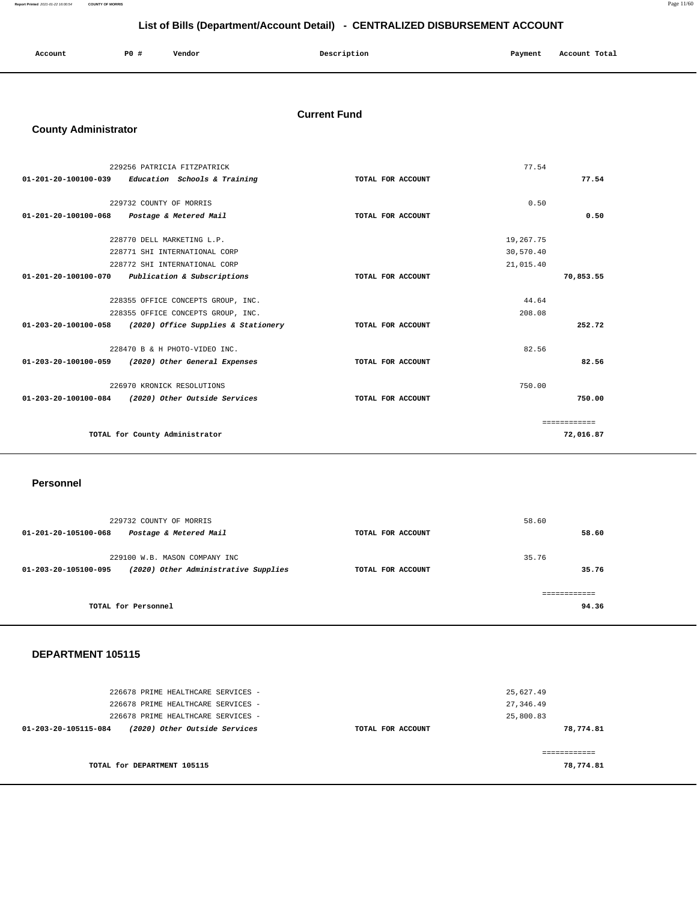**Report Printed** 2021-01-22 16:00:54 **COUNTY OF MORRIS** Page 11/60

## **List of Bills (Department/Account Detail) - CENTRALIZED DISBURSEMENT ACCOUNT**

| Account | <b>PO #</b> | Vendor | Description | Payment | Account Total |
|---------|-------------|--------|-------------|---------|---------------|
|         |             |        |             |         |               |

## **Current Fund**

#### **County Administrator**

|                                | 229256 PATRICIA FITZPATRICK         |                   | 77.54     |              |
|--------------------------------|-------------------------------------|-------------------|-----------|--------------|
| $01 - 201 - 20 - 100100 - 039$ | Education Schools & Training        | TOTAL FOR ACCOUNT |           | 77.54        |
|                                |                                     |                   |           |              |
|                                | 229732 COUNTY OF MORRIS             |                   | 0.50      |              |
| $01 - 201 - 20 - 100100 - 068$ | Postage & Metered Mail              | TOTAL FOR ACCOUNT |           | 0.50         |
|                                | 228770 DELL MARKETING L.P.          |                   | 19,267.75 |              |
|                                | 228771 SHI INTERNATIONAL CORP       |                   | 30,570.40 |              |
|                                | 228772 SHI INTERNATIONAL CORP       |                   | 21,015.40 |              |
| 01-201-20-100100-070           | Publication & Subscriptions         | TOTAL FOR ACCOUNT |           | 70,853.55    |
|                                | 228355 OFFICE CONCEPTS GROUP, INC.  |                   | 44.64     |              |
|                                | 228355 OFFICE CONCEPTS GROUP, INC.  |                   | 208.08    |              |
| 01-203-20-100100-058           | (2020) Office Supplies & Stationery | TOTAL FOR ACCOUNT |           | 252.72       |
|                                | 228470 B & H PHOTO-VIDEO INC.       |                   | 82.56     |              |
| $01 - 203 - 20 - 100100 - 059$ | (2020) Other General Expenses       | TOTAL FOR ACCOUNT |           | 82.56        |
|                                | 226970 KRONICK RESOLUTIONS          |                   | 750.00    |              |
| 01-203-20-100100-084           | (2020) Other Outside Services       | TOTAL FOR ACCOUNT |           | 750.00       |
|                                |                                     |                   |           | ============ |
|                                | TOTAL for County Administrator      |                   |           | 72,016.87    |

#### **Personnel**

| 229732 COUNTY OF MORRIS<br>Postage & Metered Mail<br>01-201-20-105100-068                     | TOTAL FOR ACCOUNT | 58.60<br>58.60 |
|-----------------------------------------------------------------------------------------------|-------------------|----------------|
| 229100 W.B. MASON COMPANY INC<br>(2020) Other Administrative Supplies<br>01-203-20-105100-095 | TOTAL FOR ACCOUNT | 35.76<br>35.76 |
| TOTAL for Personnel                                                                           |                   | 94.36          |

#### **DEPARTMENT 105115**

| 226678 PRIME HEALTHCARE SERVICES -                    |                   | 25,627.49 |
|-------------------------------------------------------|-------------------|-----------|
| 226678 PRIME HEALTHCARE SERVICES -                    |                   | 27,346.49 |
| 226678 PRIME HEALTHCARE SERVICES -                    |                   | 25,800.83 |
| (2020) Other Outside Services<br>01-203-20-105115-084 | TOTAL FOR ACCOUNT | 78,774.81 |
|                                                       |                   |           |
|                                                       |                   |           |
| TOTAL for DEPARTMENT 105115                           |                   | 78,774.81 |
|                                                       |                   |           |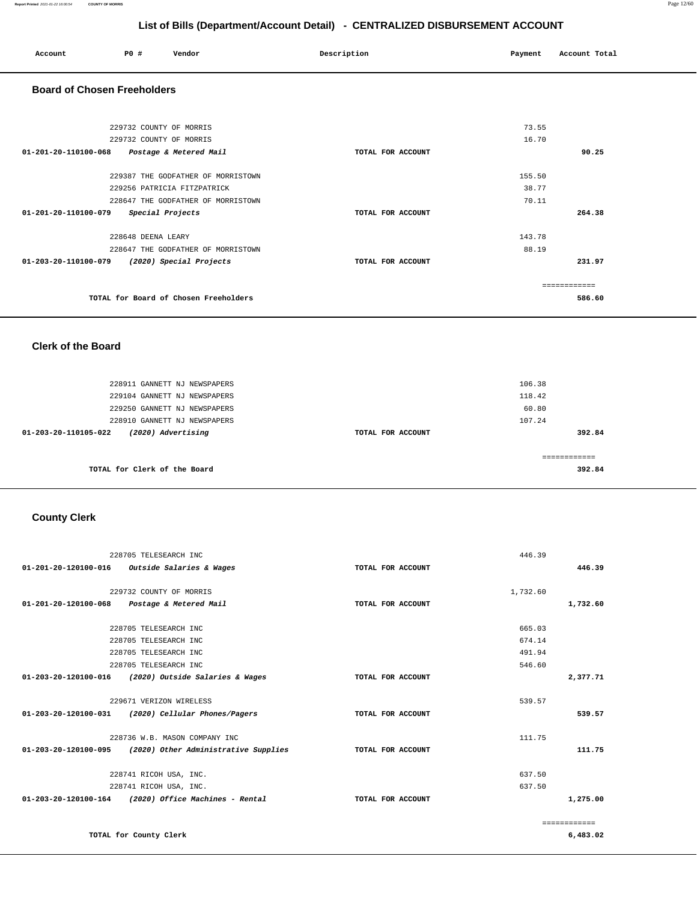| List of Bills (Department/Account Detail) - CENTRALIZED DISBURSEMENT ACCOUNT |                         |                                    |                   |         |               |  |
|------------------------------------------------------------------------------|-------------------------|------------------------------------|-------------------|---------|---------------|--|
| Account                                                                      | PO#                     | Vendor                             | Description       | Payment | Account Total |  |
| <b>Board of Chosen Freeholders</b>                                           |                         |                                    |                   |         |               |  |
|                                                                              | 229732 COUNTY OF MORRIS |                                    |                   | 73.55   |               |  |
| 01-201-20-110100-068                                                         | 229732 COUNTY OF MORRIS | Postage & Metered Mail             | TOTAL FOR ACCOUNT | 16.70   | 90.25         |  |
|                                                                              |                         | 229387 THE GODFATHER OF MORRISTOWN |                   | 155.50  |               |  |
|                                                                              |                         | 229256 PATRICIA FITZPATRICK        |                   | 38.77   |               |  |
| 01-201-20-110100-079                                                         |                         | 228647 THE GODFATHER OF MORRISTOWN | TOTAL FOR ACCOUNT | 70.11   | 264.38        |  |
|                                                                              |                         | Special Projects                   |                   |         |               |  |
|                                                                              | 228648 DEENA LEARY      |                                    |                   | 143.78  |               |  |

| 231.97 |
|--------|
|        |
|        |
| 586.60 |
|        |

#### **Clerk of the Board**

228647 THE GODFATHER OF MORRISTOWN

| 228911 GANNETT NJ NEWSPAPERS<br>229104 GANNETT NJ NEWSPAPERS<br>229250 GANNETT NJ NEWSPAPERS | 106.38<br>118.42<br>60.80 |        |
|----------------------------------------------------------------------------------------------|---------------------------|--------|
| 228910 GANNETT NJ NEWSPAPERS                                                                 | 107.24                    |        |
| (2020) Advertising<br>01-203-20-110105-022                                                   | TOTAL FOR ACCOUNT         | 392.84 |
| TOTAL for Clerk of the Board                                                                 |                           | 392.84 |

## **County Clerk**

|                                             | 228705 TELESEARCH INC                                |                   | 446.39   |              |
|---------------------------------------------|------------------------------------------------------|-------------------|----------|--------------|
|                                             | 01-201-20-120100-016 Outside Salaries & Wages        | TOTAL FOR ACCOUNT |          | 446.39       |
|                                             |                                                      |                   |          |              |
|                                             | 229732 COUNTY OF MORRIS                              |                   | 1,732.60 |              |
| 01-201-20-120100-068 Postage & Metered Mail |                                                      | TOTAL FOR ACCOUNT |          | 1,732.60     |
|                                             | 228705 TELESEARCH INC                                |                   | 665.03   |              |
|                                             |                                                      |                   |          |              |
|                                             | 228705 TELESEARCH INC                                |                   | 674.14   |              |
|                                             | 228705 TELESEARCH INC                                |                   | 491.94   |              |
|                                             | 228705 TELESEARCH INC                                |                   | 546.60   |              |
|                                             | 01-203-20-120100-016 (2020) Outside Salaries & Wages | TOTAL FOR ACCOUNT |          | 2,377.71     |
|                                             |                                                      |                   |          |              |
|                                             | 229671 VERIZON WIRELESS                              |                   | 539.57   |              |
|                                             | 01-203-20-120100-031 (2020) Cellular Phones/Pagers   | TOTAL FOR ACCOUNT |          | 539.57       |
|                                             | 228736 W.B. MASON COMPANY INC                        |                   | 111.75   |              |
| 01-203-20-120100-095                        | (2020) Other Administrative Supplies                 | TOTAL FOR ACCOUNT |          | 111.75       |
|                                             |                                                      |                   |          |              |
|                                             | 228741 RICOH USA, INC.                               |                   | 637.50   |              |
|                                             | 228741 RICOH USA, INC.                               |                   | 637.50   |              |
|                                             | 01-203-20-120100-164 (2020) Office Machines - Rental | TOTAL FOR ACCOUNT |          | 1,275.00     |
|                                             |                                                      |                   |          | ============ |
|                                             | TOTAL for County Clerk                               |                   |          | 6,483.02     |

88.19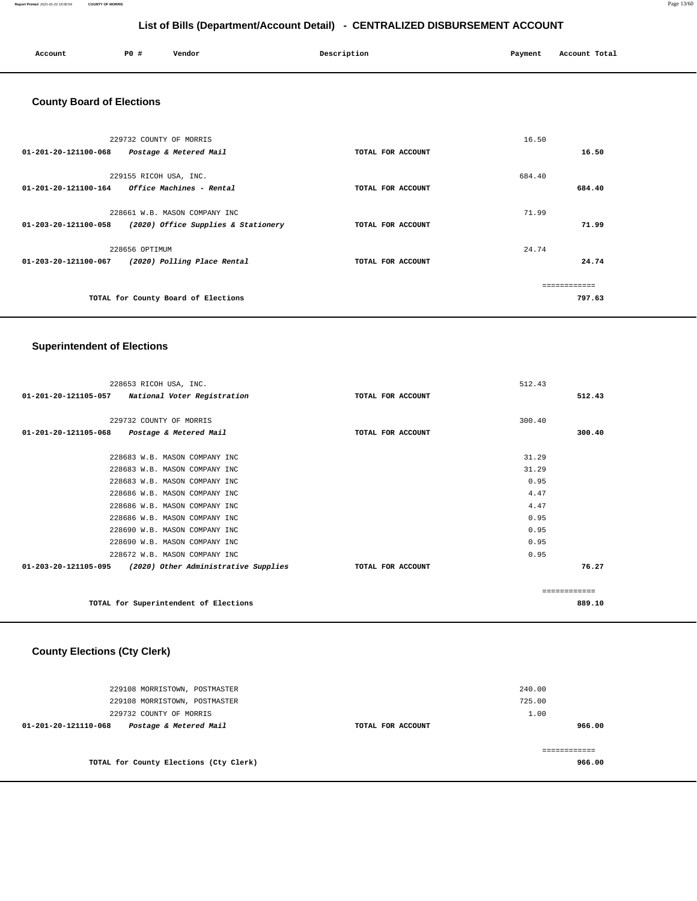#### **Report Printed** 2021-01-22 16:00:54 **COUNTY OF MORRIS** Page 13/60

## **List of Bills (Department/Account Detail) - CENTRALIZED DISBURSEMENT ACCOUNT**

| Account<br>. | PO# | Vendor | Description | Payment | Account Total<br>. |
|--------------|-----|--------|-------------|---------|--------------------|
|              |     |        |             |         |                    |

## **County Board of Elections**

|                      | 229732 COUNTY OF MORRIS             |                   | 16.50        |        |
|----------------------|-------------------------------------|-------------------|--------------|--------|
| 01-201-20-121100-068 | Postage & Metered Mail              | TOTAL FOR ACCOUNT |              | 16.50  |
|                      | 229155 RICOH USA, INC.              |                   | 684.40       |        |
| 01-201-20-121100-164 | Office Machines - Rental            | TOTAL FOR ACCOUNT |              | 684.40 |
|                      | 228661 W.B. MASON COMPANY INC       |                   | 71.99        |        |
| 01-203-20-121100-058 | (2020) Office Supplies & Stationery | TOTAL FOR ACCOUNT |              | 71.99  |
|                      |                                     |                   |              |        |
|                      | 228656 OPTIMUM                      |                   | 24.74        |        |
| 01-203-20-121100-067 | (2020) Polling Place Rental         | TOTAL FOR ACCOUNT |              | 24.74  |
|                      |                                     |                   |              |        |
|                      | TOTAL for County Board of Elections |                   | ------------ | 797.63 |
|                      |                                     |                   |              |        |

#### **Superintendent of Elections**

| 228653 RICOH USA, INC.                                    |                   | 512.43 |               |
|-----------------------------------------------------------|-------------------|--------|---------------|
| 01-201-20-121105-057 National Voter Registration          | TOTAL FOR ACCOUNT |        | 512.43        |
|                                                           |                   |        |               |
| 229732 COUNTY OF MORRIS                                   |                   | 300.40 |               |
| 01-201-20-121105-068 Postage & Metered Mail               | TOTAL FOR ACCOUNT |        | 300.40        |
|                                                           |                   |        |               |
| 228683 W.B. MASON COMPANY INC                             |                   | 31.29  |               |
| 228683 W.B. MASON COMPANY INC                             |                   | 31.29  |               |
| 228683 W.B. MASON COMPANY INC                             |                   | 0.95   |               |
| 228686 W.B. MASON COMPANY INC                             |                   | 4.47   |               |
| 228686 W.B. MASON COMPANY INC                             |                   | 4.47   |               |
| 228686 W.B. MASON COMPANY INC                             |                   | 0.95   |               |
| 228690 W.B. MASON COMPANY INC                             |                   | 0.95   |               |
| 228690 W.B. MASON COMPANY INC                             |                   | 0.95   |               |
| 228672 W.B. MASON COMPANY INC                             |                   | 0.95   |               |
| 01-203-20-121105-095 (2020) Other Administrative Supplies | TOTAL FOR ACCOUNT |        | 76.27         |
|                                                           |                   |        |               |
|                                                           |                   |        | ------------- |
| TOTAL for Superintendent of Elections                     |                   |        | 889.10        |
|                                                           |                   |        |               |

## **County Elections (Cty Clerk)**

| 229108 MORRISTOWN, POSTMASTER                  |                   | 240.00 |
|------------------------------------------------|-------------------|--------|
| 229108 MORRISTOWN, POSTMASTER                  |                   | 725.00 |
| 229732 COUNTY OF MORRIS                        |                   | 1.00   |
| Postage & Metered Mail<br>01-201-20-121110-068 | TOTAL FOR ACCOUNT | 966.00 |
|                                                |                   |        |
| TOTAL for County Elections (Cty Clerk)         |                   | 966.00 |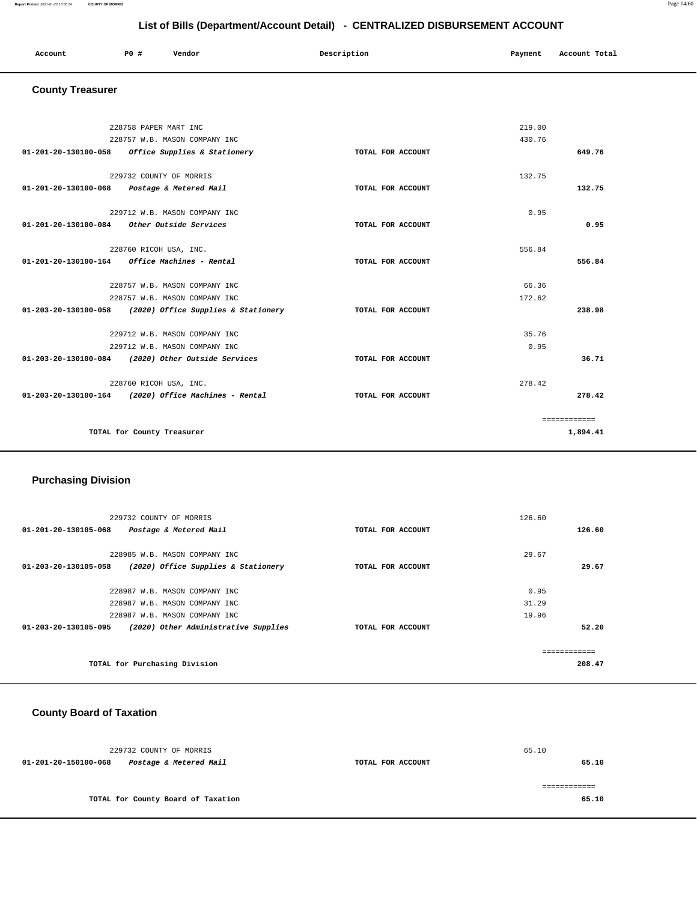| Account<br>. | P <sub>0</sub> | Vendor | Description | Payment<br>$\sim$ $\sim$ | Account Total |
|--------------|----------------|--------|-------------|--------------------------|---------------|
|              |                |        |             |                          |               |

#### **County Treasurer**

|                                             | 228758 PAPER MART INC                                    |                   | 219.00 |              |
|---------------------------------------------|----------------------------------------------------------|-------------------|--------|--------------|
|                                             | 228757 W.B. MASON COMPANY INC                            |                   | 430.76 |              |
| 01-201-20-130100-058                        | Office Supplies & Stationery                             | TOTAL FOR ACCOUNT |        | 649.76       |
|                                             |                                                          |                   |        |              |
|                                             | 229732 COUNTY OF MORRIS                                  |                   | 132.75 |              |
| 01-201-20-130100-068 Postage & Metered Mail |                                                          | TOTAL FOR ACCOUNT |        | 132.75       |
|                                             | 229712 W.B. MASON COMPANY INC                            |                   | 0.95   |              |
| 01-201-20-130100-084 Other Outside Services |                                                          | TOTAL FOR ACCOUNT |        | 0.95         |
|                                             | 228760 RICOH USA, INC.                                   |                   | 556.84 |              |
|                                             | $01 - 201 - 20 - 130100 - 164$ Office Machines - Rental  | TOTAL FOR ACCOUNT |        | 556.84       |
|                                             |                                                          |                   |        |              |
|                                             | 228757 W.B. MASON COMPANY INC                            |                   | 66.36  |              |
|                                             | 228757 W.B. MASON COMPANY INC                            |                   | 172.62 |              |
|                                             | 01-203-20-130100-058 (2020) Office Supplies & Stationery | TOTAL FOR ACCOUNT |        | 238.98       |
|                                             | 229712 W.B. MASON COMPANY INC                            |                   | 35.76  |              |
|                                             | 229712 W.B. MASON COMPANY INC                            |                   | 0.95   |              |
|                                             | 01-203-20-130100-084 (2020) Other Outside Services       | TOTAL FOR ACCOUNT |        | 36.71        |
|                                             | 228760 RICOH USA, INC.                                   |                   | 278.42 |              |
|                                             | 01-203-20-130100-164 (2020) Office Machines - Rental     | TOTAL FOR ACCOUNT |        | 278.42       |
|                                             |                                                          |                   |        | ============ |
|                                             | TOTAL for County Treasurer                               |                   |        | 1,894.41     |

## **Purchasing Division**

| 229732 COUNTY OF MORRIS                                      |                   | 126.60 |
|--------------------------------------------------------------|-------------------|--------|
| 01-201-20-130105-068<br>Postage & Metered Mail               | TOTAL FOR ACCOUNT | 126.60 |
| 228985 W.B. MASON COMPANY INC                                |                   | 29.67  |
| 01-203-20-130105-058<br>(2020) Office Supplies & Stationery  | TOTAL FOR ACCOUNT | 29.67  |
| 228987 W.B. MASON COMPANY INC                                |                   | 0.95   |
| 228987 W.B. MASON COMPANY INC                                |                   | 31.29  |
| 228987 W.B. MASON COMPANY INC                                |                   | 19.96  |
| 01-203-20-130105-095<br>(2020) Other Administrative Supplies | TOTAL FOR ACCOUNT | 52.20  |
|                                                              |                   |        |
|                                                              |                   |        |
| TOTAL for Purchasing Division                                |                   | 208.47 |

## **County Board of Taxation**

| 229732 COUNTY OF MORRIS |                                    |                   | 65.10 |       |
|-------------------------|------------------------------------|-------------------|-------|-------|
| 01-201-20-150100-068    | Postage & Metered Mail             | TOTAL FOR ACCOUNT |       | 65.10 |
|                         |                                    |                   |       |       |
|                         |                                    |                   |       |       |
|                         | TOTAL for County Board of Taxation |                   |       | 65.10 |
|                         |                                    |                   |       |       |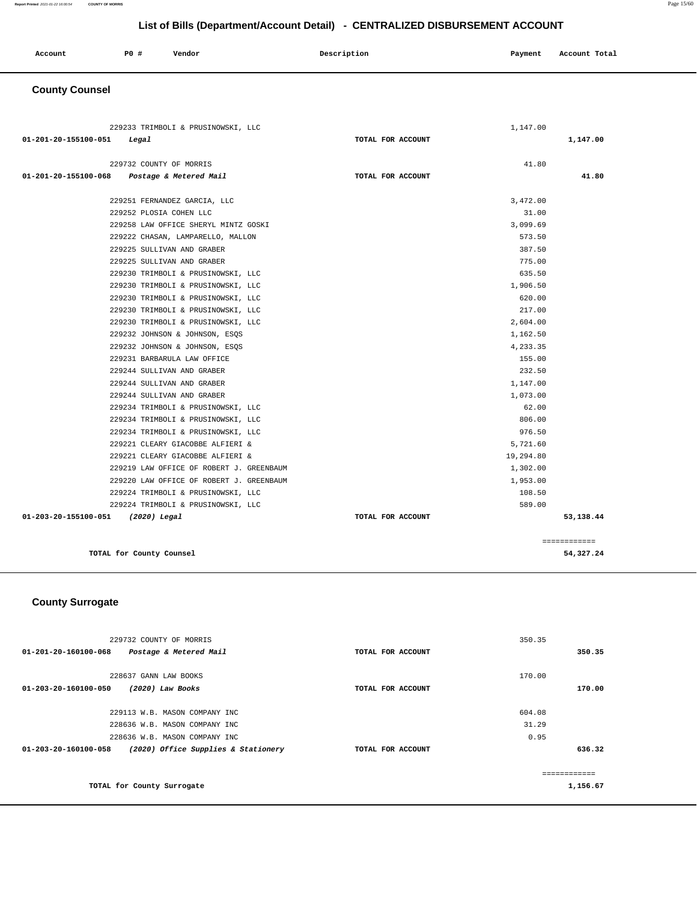| Account<br>. | <b>PO #</b> | Vendor | Description | Payment | Account Total |
|--------------|-------------|--------|-------------|---------|---------------|
|              |             |        |             |         |               |

## **County Counsel**

| 229233 TRIMBOLI & PRUSINOWSKI, LLC             | 1,147.00          |              |
|------------------------------------------------|-------------------|--------------|
| 01-201-20-155100-051<br>Legal                  | TOTAL FOR ACCOUNT | 1,147.00     |
|                                                |                   |              |
| 229732 COUNTY OF MORRIS                        | 41.80             |              |
| 01-201-20-155100-068<br>Postage & Metered Mail | TOTAL FOR ACCOUNT | 41.80        |
| 229251 FERNANDEZ GARCIA, LLC                   | 3,472.00          |              |
| 229252 PLOSIA COHEN LLC                        | 31.00             |              |
| 229258 LAW OFFICE SHERYL MINTZ GOSKI           | 3,099.69          |              |
| 229222 CHASAN, LAMPARELLO, MALLON              | 573.50            |              |
| 229225 SULLIVAN AND GRABER                     | 387.50            |              |
| 229225 SULLIVAN AND GRABER                     | 775.00            |              |
| 229230 TRIMBOLI & PRUSINOWSKI, LLC             | 635.50            |              |
| 229230 TRIMBOLI & PRUSINOWSKI, LLC             | 1,906.50          |              |
| 229230 TRIMBOLI & PRUSINOWSKI, LLC             | 620.00            |              |
| 229230 TRIMBOLI & PRUSINOWSKI, LLC             | 217.00            |              |
| 229230 TRIMBOLI & PRUSINOWSKI, LLC             | 2,604.00          |              |
| 229232 JOHNSON & JOHNSON, ESQS                 | 1,162.50          |              |
| 229232 JOHNSON & JOHNSON, ESQS                 | 4,233.35          |              |
| 229231 BARBARULA LAW OFFICE                    | 155.00            |              |
| 229244 SULLIVAN AND GRABER                     | 232.50            |              |
| 229244 SULLIVAN AND GRABER                     | 1,147.00          |              |
| 229244 SULLIVAN AND GRABER                     | 1,073.00          |              |
| 229234 TRIMBOLI & PRUSINOWSKI, LLC             | 62.00             |              |
| 229234 TRIMBOLI & PRUSINOWSKI, LLC             | 806.00            |              |
| 229234 TRIMBOLI & PRUSINOWSKI, LLC             | 976.50            |              |
| 229221 CLEARY GIACOBBE ALFIERI &               | 5,721.60          |              |
| 229221 CLEARY GIACOBBE ALFIERI &               | 19,294.80         |              |
| 229219 LAW OFFICE OF ROBERT J. GREENBAUM       | 1,302.00          |              |
| 229220 LAW OFFICE OF ROBERT J. GREENBAUM       | 1,953.00          |              |
| 229224 TRIMBOLI & PRUSINOWSKI, LLC             | 108.50            |              |
| 229224 TRIMBOLI & PRUSINOWSKI, LLC             | 589.00            |              |
| 01-203-20-155100-051 (2020) Legal              | TOTAL FOR ACCOUNT | 53,138.44    |
|                                                |                   | ============ |
| TOTAL for County Counsel                       |                   | 54,327.24    |

#### **County Surrogate**

| 229732 COUNTY OF MORRIS                                     |                   | 350.35   |
|-------------------------------------------------------------|-------------------|----------|
| $01 - 201 - 20 - 160100 - 068$<br>Postage & Metered Mail    | TOTAL FOR ACCOUNT | 350.35   |
|                                                             |                   |          |
| 228637 GANN LAW BOOKS                                       |                   | 170.00   |
| 01-203-20-160100-050<br>(2020) Law Books                    | TOTAL FOR ACCOUNT | 170.00   |
|                                                             |                   |          |
| 229113 W.B. MASON COMPANY INC                               |                   | 604.08   |
| 228636 W.B. MASON COMPANY INC                               |                   | 31.29    |
| 228636 W.B. MASON COMPANY INC                               |                   | 0.95     |
| (2020) Office Supplies & Stationery<br>01-203-20-160100-058 | TOTAL FOR ACCOUNT | 636.32   |
|                                                             |                   |          |
|                                                             |                   |          |
| TOTAL for County Surrogate                                  |                   | 1,156.67 |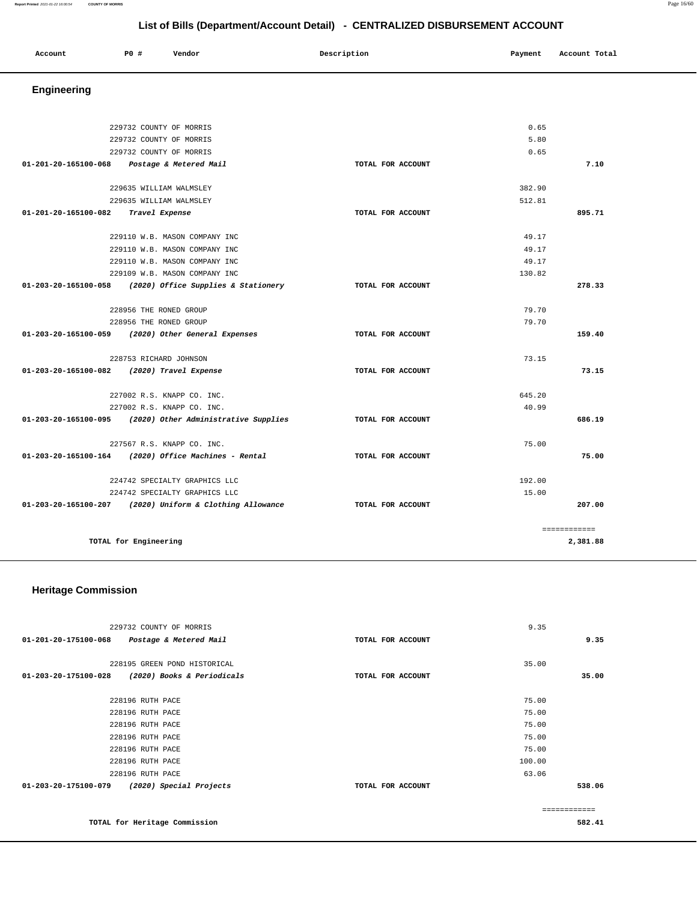#### **Report Printed** 2021-01-22 16:00:54 **COUNTY OF MORRIS** Page 16/60

## **List of Bills (Department/Account Detail) - CENTRALIZED DISBURSEMENT ACCOUNT**

| Account<br>. | <b>PO #</b> | Vendor | Description | Payment<br>. | Account Total |
|--------------|-------------|--------|-------------|--------------|---------------|
|              |             |        |             |              |               |

## **Engineering**

|                                                          | 229732 COUNTY OF MORRIS                                   |                   | 0.65   |              |
|----------------------------------------------------------|-----------------------------------------------------------|-------------------|--------|--------------|
|                                                          | 229732 COUNTY OF MORRIS                                   |                   | 5.80   |              |
|                                                          | 229732 COUNTY OF MORRIS                                   |                   | 0.65   |              |
| 01-201-20-165100-068 Postage & Metered Mail              |                                                           | TOTAL FOR ACCOUNT |        | 7.10         |
|                                                          |                                                           |                   |        |              |
|                                                          | 229635 WILLIAM WALMSLEY                                   |                   | 382.90 |              |
|                                                          | 229635 WILLIAM WALMSLEY                                   |                   | 512.81 |              |
| 01-201-20-165100-082                                     | Travel Expense                                            | TOTAL FOR ACCOUNT |        | 895.71       |
|                                                          |                                                           |                   |        |              |
|                                                          | 229110 W.B. MASON COMPANY INC                             |                   | 49.17  |              |
|                                                          | 229110 W.B. MASON COMPANY INC                             |                   | 49.17  |              |
|                                                          | 229110 W.B. MASON COMPANY INC                             |                   | 49.17  |              |
|                                                          | 229109 W.B. MASON COMPANY INC                             |                   | 130.82 |              |
| 01-203-20-165100-058                                     | (2020) Office Supplies & Stationery                       | TOTAL FOR ACCOUNT |        | 278.33       |
|                                                          |                                                           |                   |        |              |
|                                                          | 228956 THE RONED GROUP                                    |                   | 79.70  |              |
|                                                          | 228956 THE RONED GROUP                                    |                   | 79.70  |              |
| 01-203-20-165100-059 (2020) Other General Expenses       |                                                           | TOTAL FOR ACCOUNT |        | 159.40       |
|                                                          |                                                           |                   |        |              |
|                                                          | 228753 RICHARD JOHNSON                                    |                   | 73.15  |              |
| 01-203-20-165100-082 (2020) Travel Expense               |                                                           | TOTAL FOR ACCOUNT |        | 73.15        |
|                                                          | 227002 R.S. KNAPP CO. INC.                                |                   | 645.20 |              |
|                                                          | 227002 R.S. KNAPP CO. INC.                                |                   | 40.99  |              |
|                                                          | 01-203-20-165100-095 (2020) Other Administrative Supplies | TOTAL FOR ACCOUNT |        | 686.19       |
|                                                          |                                                           |                   |        |              |
|                                                          | 227567 R.S. KNAPP CO. INC.                                |                   | 75.00  |              |
| 01-203-20-165100-164 (2020) Office Machines - Rental     |                                                           | TOTAL FOR ACCOUNT |        | 75.00        |
|                                                          | 224742 SPECIALTY GRAPHICS LLC                             |                   | 192.00 |              |
|                                                          | 224742 SPECIALTY GRAPHICS LLC                             |                   | 15.00  |              |
| 01-203-20-165100-207 (2020) Uniform & Clothing Allowance |                                                           | TOTAL FOR ACCOUNT |        | 207.00       |
|                                                          |                                                           |                   |        |              |
|                                                          |                                                           |                   |        | ============ |
| TOTAL for Engineering                                    |                                                           |                   |        | 2,381.88     |

## **Heritage Commission**

| 229732 COUNTY OF MORRIS<br>01-201-20-175100-068<br>Postage & Metered Mail                                                                | TOTAL FOR ACCOUNT | 9.35<br>9.35                                                 |
|------------------------------------------------------------------------------------------------------------------------------------------|-------------------|--------------------------------------------------------------|
| 228195 GREEN POND HISTORICAL<br>01-203-20-175100-028<br>(2020) Books & Periodicals                                                       | TOTAL FOR ACCOUNT | 35.00<br>35.00                                               |
| 228196 RUTH PACE<br>228196 RUTH PACE<br>228196 RUTH PACE<br>228196 RUTH PACE<br>228196 RUTH PACE<br>228196 RUTH PACE<br>228196 RUTH PACE |                   | 75.00<br>75.00<br>75.00<br>75.00<br>75.00<br>100.00<br>63.06 |
| 01-203-20-175100-079<br>(2020) Special Projects                                                                                          | TOTAL FOR ACCOUNT | 538.06                                                       |
| TOTAL for Heritage Commission                                                                                                            |                   | 582.41                                                       |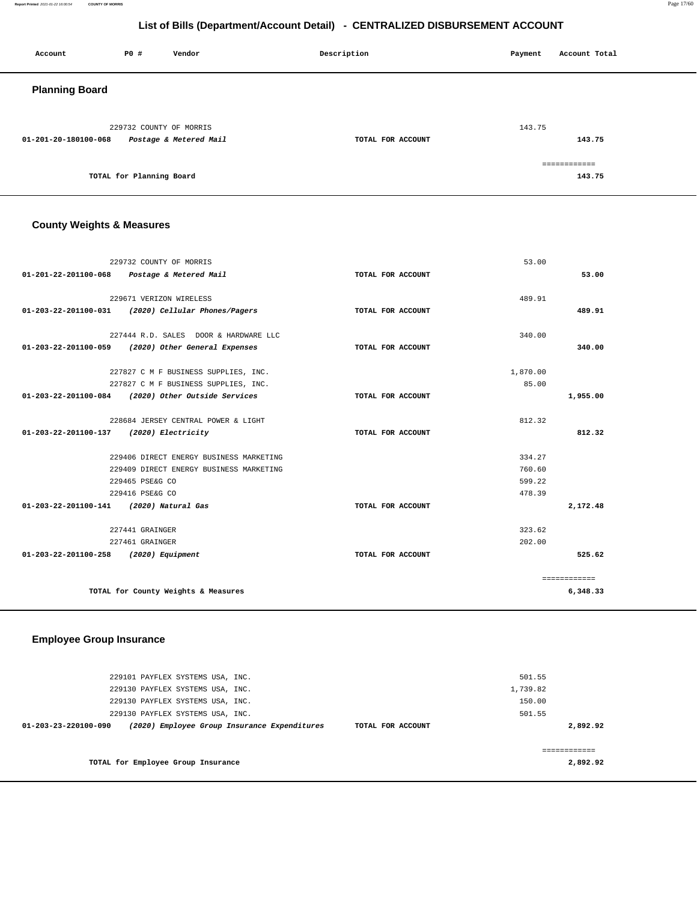**Report Printed** 2021-01-22 16:00:54 **COUNTY OF MORRIS** Page 17/60

## **List of Bills (Department/Account Detail) - CENTRALIZED DISBURSEMENT ACCOUNT**

| Account               | P0 #                     | Vendor                 | Description       | Payment      | Account Total |
|-----------------------|--------------------------|------------------------|-------------------|--------------|---------------|
| <b>Planning Board</b> |                          |                        |                   |              |               |
| 01-201-20-180100-068  | 229732 COUNTY OF MORRIS  | Postage & Metered Mail | TOTAL FOR ACCOUNT | 143.75       | 143.75        |
|                       | TOTAL for Planning Board |                        |                   | ============ | 143.75        |

## **County Weights & Measures**

|                                         | 229732 COUNTY OF MORRIS                            |                   | 53.00    |              |
|-----------------------------------------|----------------------------------------------------|-------------------|----------|--------------|
|                                         | 01-201-22-201100-068 Postage & Metered Mail        | TOTAL FOR ACCOUNT |          | 53.00        |
|                                         |                                                    |                   |          |              |
|                                         | 229671 VERIZON WIRELESS                            |                   | 489.91   |              |
|                                         | 01-203-22-201100-031 (2020) Cellular Phones/Pagers | TOTAL FOR ACCOUNT |          | 489.91       |
|                                         | 227444 R.D. SALES DOOR & HARDWARE LLC              |                   | 340.00   |              |
|                                         | 01-203-22-201100-059 (2020) Other General Expenses | TOTAL FOR ACCOUNT |          | 340.00       |
|                                         | 227827 C M F BUSINESS SUPPLIES, INC.               |                   | 1,870.00 |              |
|                                         | 227827 C M F BUSINESS SUPPLIES, INC.               |                   | 85.00    |              |
|                                         | 01-203-22-201100-084 (2020) Other Outside Services | TOTAL FOR ACCOUNT |          | 1,955.00     |
|                                         |                                                    |                   |          |              |
|                                         | 228684 JERSEY CENTRAL POWER & LIGHT                |                   | 812.32   |              |
| 01-203-22-201100-137 (2020) Electricity |                                                    | TOTAL FOR ACCOUNT |          | 812.32       |
|                                         | 229406 DIRECT ENERGY BUSINESS MARKETING            |                   | 334.27   |              |
|                                         | 229409 DIRECT ENERGY BUSINESS MARKETING            |                   | 760.60   |              |
|                                         | 229465 PSE&G CO                                    |                   | 599.22   |              |
|                                         | 229416 PSE&G CO                                    |                   | 478.39   |              |
| 01-203-22-201100-141 (2020) Natural Gas |                                                    | TOTAL FOR ACCOUNT |          | 2,172.48     |
|                                         | 227441 GRAINGER                                    |                   | 323.62   |              |
|                                         | 227461 GRAINGER                                    |                   | 202.00   |              |
| 01-203-22-201100-258 (2020) Equipment   |                                                    | TOTAL FOR ACCOUNT |          | 525.62       |
|                                         |                                                    |                   |          | ============ |
|                                         | TOTAL for County Weights & Measures                |                   |          | 6,348.33     |
|                                         |                                                    |                   |          |              |

#### **Employee Group Insurance**

| 229101 PAYFLEX SYSTEMS USA, INC.                                                          | 501.55   |
|-------------------------------------------------------------------------------------------|----------|
| 229130 PAYFLEX SYSTEMS USA, INC.                                                          | 1,739.82 |
| 229130 PAYFLEX SYSTEMS USA, INC.                                                          | 150.00   |
| 229130 PAYFLEX SYSTEMS USA, INC.                                                          | 501.55   |
| (2020) Employee Group Insurance Expenditures<br>01-203-23-220100-090<br>TOTAL FOR ACCOUNT | 2,892.92 |
|                                                                                           |          |
|                                                                                           |          |
| TOTAL for Employee Group Insurance                                                        | 2,892.92 |
|                                                                                           |          |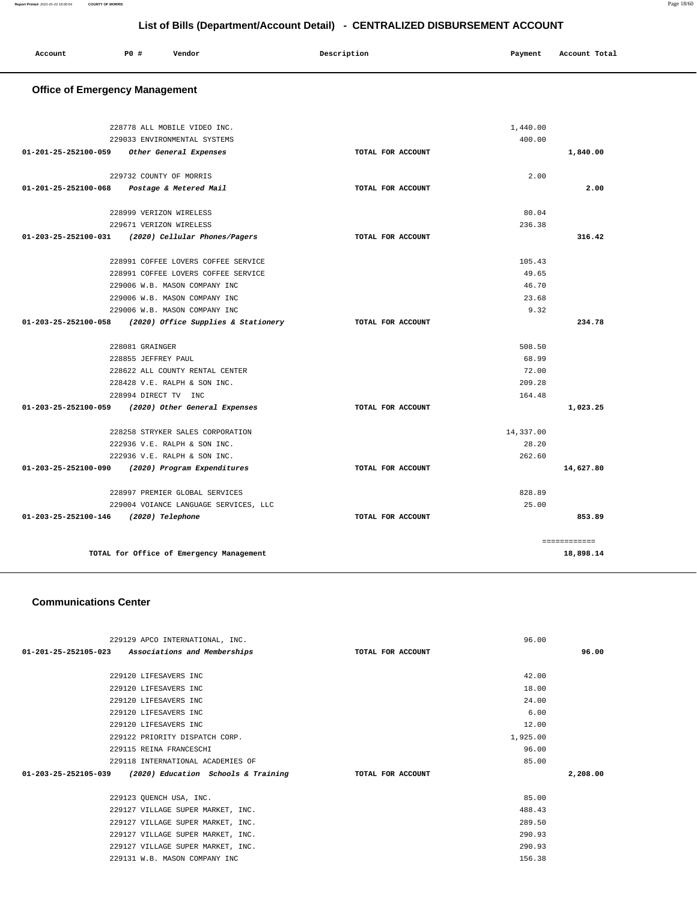| Account | P0# | Vendor | Description | Payment | Account Total |
|---------|-----|--------|-------------|---------|---------------|
|         |     |        |             |         |               |
|         |     |        |             |         |               |

## **Office of Emergency Management**

|                                       | 228778 ALL MOBILE VIDEO INC.             |                   | 1,440.00  |              |
|---------------------------------------|------------------------------------------|-------------------|-----------|--------------|
|                                       | 229033 ENVIRONMENTAL SYSTEMS             |                   | 400.00    |              |
| 01-201-25-252100-059                  | Other General Expenses                   | TOTAL FOR ACCOUNT |           | 1,840.00     |
|                                       |                                          |                   |           |              |
|                                       | 229732 COUNTY OF MORRIS                  |                   | 2.00      |              |
| 01-201-25-252100-068                  | Postage & Metered Mail                   | TOTAL FOR ACCOUNT |           | 2.00         |
|                                       |                                          |                   |           |              |
|                                       | 228999 VERIZON WIRELESS                  |                   | 80.04     |              |
|                                       | 229671 VERIZON WIRELESS                  |                   | 236.38    |              |
| 01-203-25-252100-031                  | (2020) Cellular Phones/Pagers            | TOTAL FOR ACCOUNT |           | 316.42       |
|                                       | 228991 COFFEE LOVERS COFFEE SERVICE      |                   | 105.43    |              |
|                                       | 228991 COFFEE LOVERS COFFEE SERVICE      |                   | 49.65     |              |
|                                       | 229006 W.B. MASON COMPANY INC            |                   | 46.70     |              |
|                                       | 229006 W.B. MASON COMPANY INC            |                   | 23.68     |              |
|                                       | 229006 W.B. MASON COMPANY INC            |                   | 9.32      |              |
| $01 - 203 - 25 - 252100 - 058$        | (2020) Office Supplies & Stationery      | TOTAL FOR ACCOUNT |           | 234.78       |
|                                       | 228081 GRAINGER                          |                   | 508.50    |              |
|                                       | 228855 JEFFREY PAUL                      |                   | 68.99     |              |
|                                       | 228622 ALL COUNTY RENTAL CENTER          |                   | 72.00     |              |
|                                       | 228428 V.E. RALPH & SON INC.             |                   | 209.28    |              |
|                                       | 228994 DIRECT TV INC                     |                   | 164.48    |              |
| 01-203-25-252100-059                  | (2020) Other General Expenses            | TOTAL FOR ACCOUNT |           | 1,023.25     |
|                                       | 228258 STRYKER SALES CORPORATION         |                   | 14,337.00 |              |
|                                       | 222936 V.E. RALPH & SON INC.             |                   | 28.20     |              |
|                                       | 222936 V.E. RALPH & SON INC.             |                   | 262.60    |              |
| 01-203-25-252100-090                  | (2020) Program Expenditures              | TOTAL FOR ACCOUNT |           | 14,627.80    |
|                                       | 228997 PREMIER GLOBAL SERVICES           |                   | 828.89    |              |
|                                       | 229004 VOIANCE LANGUAGE SERVICES, LLC    |                   | 25.00     |              |
| 01-203-25-252100-146 (2020) Telephone |                                          | TOTAL FOR ACCOUNT |           | 853.89       |
|                                       |                                          |                   |           |              |
|                                       |                                          |                   |           | ============ |
|                                       | TOTAL for Office of Emergency Management |                   |           | 18,898.14    |

#### **Communications Center**

| 229129 APCO INTERNATIONAL, INC.                                    |                   | 96.00    |          |
|--------------------------------------------------------------------|-------------------|----------|----------|
| 01-201-25-252105-023<br>Associations and Memberships               | TOTAL FOR ACCOUNT |          | 96.00    |
|                                                                    |                   |          |          |
| 229120 LIFESAVERS INC                                              |                   | 42.00    |          |
| 229120 LIFESAVERS INC                                              |                   | 18.00    |          |
| 229120 LIFESAVERS INC                                              |                   | 24.00    |          |
| 229120 LIFESAVERS INC                                              |                   | 6.00     |          |
| 229120 LIFESAVERS INC                                              |                   | 12.00    |          |
| 229122 PRIORITY DISPATCH CORP.                                     |                   | 1,925.00 |          |
| 229115 REINA FRANCESCHI                                            |                   | 96.00    |          |
| 229118 INTERNATIONAL ACADEMIES OF                                  |                   | 85.00    |          |
| $01 - 203 - 25 - 252105 - 039$ (2020) Education Schools & Training | TOTAL FOR ACCOUNT |          | 2,208.00 |
|                                                                    |                   |          |          |
| 229123 QUENCH USA, INC.                                            |                   | 85.00    |          |
| 229127 VILLAGE SUPER MARKET, INC.                                  |                   | 488.43   |          |
| 229127 VILLAGE SUPER MARKET, INC.                                  |                   | 289.50   |          |
| 229127 VILLAGE SUPER MARKET, INC.                                  |                   | 290.93   |          |
| 229127 VILLAGE SUPER MARKET, INC.                                  |                   | 290.93   |          |
| 229131 W.B. MASON COMPANY INC                                      |                   | 156.38   |          |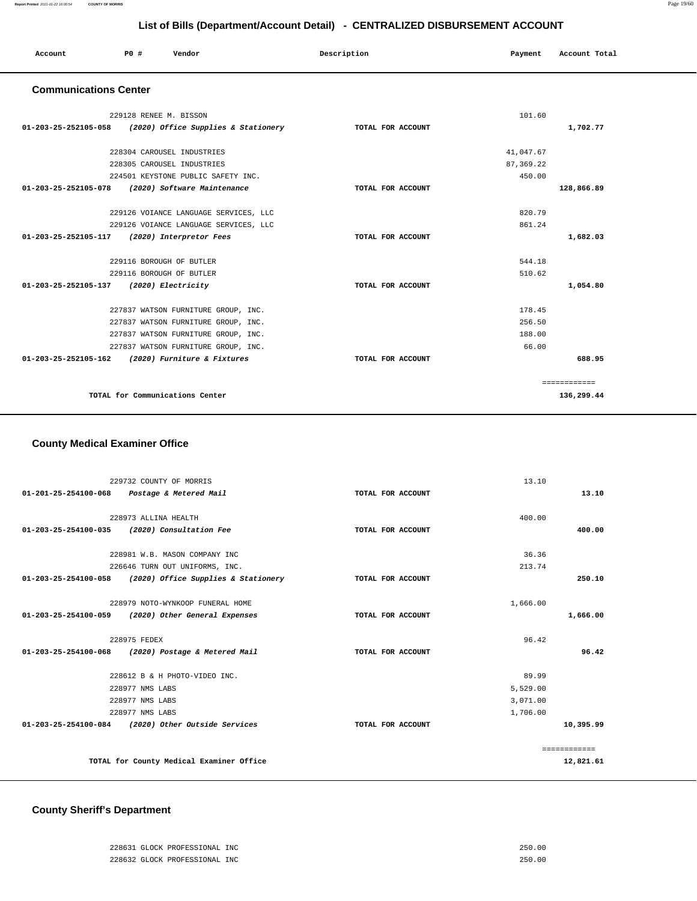| Account<br>. | <b>PO #</b> | Vendor | Description | Payment | Account Total<br>.<br>. |
|--------------|-------------|--------|-------------|---------|-------------------------|
|              |             |        |             |         |                         |

#### **Communications Center**

| 229128 RENEE M. BISSON                                   |                   | 101.60     |              |
|----------------------------------------------------------|-------------------|------------|--------------|
| 01-203-25-252105-058 (2020) Office Supplies & Stationery | TOTAL FOR ACCOUNT |            | 1,702.77     |
| 228304 CAROUSEL INDUSTRIES                               |                   | 41,047.67  |              |
| 228305 CAROUSEL INDUSTRIES                               |                   | 87, 369.22 |              |
| 224501 KEYSTONE PUBLIC SAFETY INC.                       |                   | 450.00     |              |
| 01-203-25-252105-078<br>(2020) Software Maintenance      | TOTAL FOR ACCOUNT |            | 128,866.89   |
| 229126 VOIANCE LANGUAGE SERVICES, LLC                    |                   | 820.79     |              |
| 229126 VOIANCE LANGUAGE SERVICES, LLC                    |                   | 861.24     |              |
| 01-203-25-252105-117<br>(2020) Interpretor Fees          | TOTAL FOR ACCOUNT |            | 1,682.03     |
| 229116 BOROUGH OF BUTLER                                 |                   | 544.18     |              |
| 229116 BOROUGH OF BUTLER                                 |                   | 510.62     |              |
| 01-203-25-252105-137 (2020) Electricity                  | TOTAL FOR ACCOUNT |            | 1,054.80     |
| 227837 WATSON FURNITURE GROUP, INC.                      |                   | 178.45     |              |
| 227837 WATSON FURNITURE GROUP, INC.                      |                   | 256.50     |              |
| 227837 WATSON FURNITURE GROUP, INC.                      |                   | 188.00     |              |
| 227837 WATSON FURNITURE GROUP, INC.                      |                   | 66.00      |              |
| 01-203-25-252105-162 (2020) Furniture & Fixtures         | TOTAL FOR ACCOUNT |            | 688.95       |
|                                                          |                   |            | ============ |
| TOTAL for Communications Center                          |                   |            | 136,299.44   |

## **County Medical Examiner Office**

|                      | 229732 COUNTY OF MORRIS                            |                   | 13.10    |              |
|----------------------|----------------------------------------------------|-------------------|----------|--------------|
|                      | 01-201-25-254100-068 Postage & Metered Mail        | TOTAL FOR ACCOUNT |          | 13.10        |
|                      |                                                    |                   |          |              |
|                      | 228973 ALLINA HEALTH                               |                   | 400.00   |              |
| 01-203-25-254100-035 | (2020) Consultation Fee                            | TOTAL FOR ACCOUNT |          | 400.00       |
|                      | 228981 W.B. MASON COMPANY INC                      |                   | 36.36    |              |
|                      | 226646 TURN OUT UNIFORMS, INC.                     |                   | 213.74   |              |
|                      |                                                    |                   |          |              |
| 01-203-25-254100-058 | (2020) Office Supplies & Stationery                | TOTAL FOR ACCOUNT |          | 250.10       |
|                      | 228979 NOTO-WYNKOOP FUNERAL HOME                   |                   | 1,666.00 |              |
| 01-203-25-254100-059 | (2020) Other General Expenses                      | TOTAL FOR ACCOUNT |          | 1,666.00     |
|                      |                                                    |                   |          |              |
|                      | 228975 FEDEX                                       |                   | 96.42    |              |
|                      | 01-203-25-254100-068 (2020) Postage & Metered Mail | TOTAL FOR ACCOUNT |          | 96.42        |
|                      | 228612 B & H PHOTO-VIDEO INC.                      |                   | 89.99    |              |
|                      | 228977 NMS LABS                                    |                   | 5,529.00 |              |
|                      | 228977 NMS LABS                                    |                   | 3,071.00 |              |
|                      | 228977 NMS LABS                                    |                   | 1,706.00 |              |
|                      | 01-203-25-254100-084 (2020) Other Outside Services | TOTAL FOR ACCOUNT |          | 10,395.99    |
|                      |                                                    |                   |          |              |
|                      |                                                    |                   |          | ============ |
|                      | TOTAL for County Medical Examiner Office           |                   |          | 12,821.61    |

#### **County Sheriff's Department**

| 228631 GLOCK PROFESSIONAL INC | 250.00 |
|-------------------------------|--------|
| 228632 GLOCK PROFESSIONAL INC | 250.00 |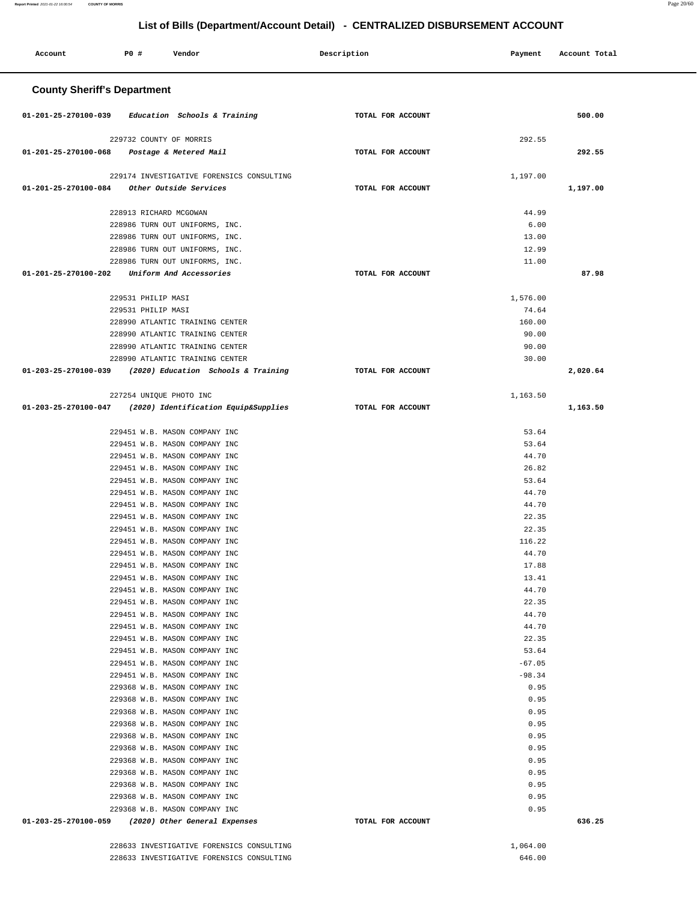| Account                            | <b>PO #</b>             | Vendor                                                             |  | Description       |  | Payment        | Account Total |
|------------------------------------|-------------------------|--------------------------------------------------------------------|--|-------------------|--|----------------|---------------|
| <b>County Sheriff's Department</b> |                         |                                                                    |  |                   |  |                |               |
| 01-201-25-270100-039               |                         | Education Schools & Training                                       |  | TOTAL FOR ACCOUNT |  |                | 500.00        |
|                                    | 229732 COUNTY OF MORRIS |                                                                    |  |                   |  | 292.55         |               |
| 01-201-25-270100-068               |                         | Postage & Metered Mail                                             |  | TOTAL FOR ACCOUNT |  |                | 292.55        |
|                                    |                         | 229174 INVESTIGATIVE FORENSICS CONSULTING                          |  |                   |  | 1,197.00       |               |
| 01-201-25-270100-084               |                         | Other Outside Services                                             |  | TOTAL FOR ACCOUNT |  |                | 1,197.00      |
|                                    |                         |                                                                    |  |                   |  |                |               |
|                                    | 228913 RICHARD MCGOWAN  |                                                                    |  |                   |  | 44.99          |               |
|                                    |                         | 228986 TURN OUT UNIFORMS, INC.<br>228986 TURN OUT UNIFORMS, INC.   |  |                   |  | 6.00<br>13.00  |               |
|                                    |                         | 228986 TURN OUT UNIFORMS, INC.                                     |  |                   |  | 12.99          |               |
|                                    |                         | 228986 TURN OUT UNIFORMS, INC.                                     |  |                   |  | 11.00          |               |
| 01-201-25-270100-202               |                         | Uniform And Accessories                                            |  | TOTAL FOR ACCOUNT |  |                | 87.98         |
|                                    | 229531 PHILIP MASI      |                                                                    |  |                   |  | 1,576.00       |               |
|                                    | 229531 PHILIP MASI      |                                                                    |  |                   |  | 74.64          |               |
|                                    |                         | 228990 ATLANTIC TRAINING CENTER                                    |  |                   |  | 160.00         |               |
|                                    |                         | 228990 ATLANTIC TRAINING CENTER                                    |  |                   |  | 90.00          |               |
|                                    |                         | 228990 ATLANTIC TRAINING CENTER<br>228990 ATLANTIC TRAINING CENTER |  |                   |  | 90.00<br>30.00 |               |
| 01-203-25-270100-039               |                         | (2020) Education Schools & Training                                |  | TOTAL FOR ACCOUNT |  |                | 2,020.64      |
|                                    |                         |                                                                    |  |                   |  |                |               |
|                                    | 227254 UNIQUE PHOTO INC |                                                                    |  |                   |  | 1,163.50       |               |
| 01-203-25-270100-047               |                         | (2020) Identification Equip&Supplies                               |  | TOTAL FOR ACCOUNT |  |                | 1,163.50      |
|                                    |                         | 229451 W.B. MASON COMPANY INC                                      |  |                   |  | 53.64          |               |
|                                    |                         | 229451 W.B. MASON COMPANY INC                                      |  |                   |  | 53.64          |               |
|                                    |                         | 229451 W.B. MASON COMPANY INC                                      |  |                   |  | 44.70          |               |
|                                    |                         | 229451 W.B. MASON COMPANY INC                                      |  |                   |  | 26.82          |               |
|                                    |                         | 229451 W.B. MASON COMPANY INC                                      |  |                   |  | 53.64          |               |
|                                    |                         | 229451 W.B. MASON COMPANY INC<br>229451 W.B. MASON COMPANY INC     |  |                   |  | 44.70<br>44.70 |               |
|                                    |                         | 229451 W.B. MASON COMPANY INC                                      |  |                   |  | 22.35          |               |
|                                    |                         | 229451 W.B. MASON COMPANY INC                                      |  |                   |  | 22.35          |               |
|                                    |                         | 229451 W.B. MASON COMPANY INC                                      |  |                   |  | 116.22         |               |
|                                    |                         | 229451 W.B. MASON COMPANY INC                                      |  |                   |  | 44.70          |               |
|                                    |                         | 229451 W.B. MASON COMPANY INC<br>229451 W.B. MASON COMPANY INC     |  |                   |  | 17.88<br>13.41 |               |
|                                    |                         | 229451 W.B. MASON COMPANY INC                                      |  |                   |  | 44.70          |               |
|                                    |                         | 229451 W.B. MASON COMPANY INC                                      |  |                   |  | 22.35          |               |
|                                    |                         | 229451 W.B. MASON COMPANY INC                                      |  |                   |  | 44.70          |               |
|                                    |                         | 229451 W.B. MASON COMPANY INC                                      |  |                   |  | 44.70          |               |
|                                    |                         | 229451 W.B. MASON COMPANY INC<br>229451 W.B. MASON COMPANY INC     |  |                   |  | 22.35<br>53.64 |               |
|                                    |                         | 229451 W.B. MASON COMPANY INC                                      |  |                   |  | $-67.05$       |               |
|                                    |                         | 229451 W.B. MASON COMPANY INC                                      |  |                   |  | $-98.34$       |               |
|                                    |                         | 229368 W.B. MASON COMPANY INC                                      |  |                   |  | 0.95           |               |
|                                    |                         | 229368 W.B. MASON COMPANY INC                                      |  |                   |  | 0.95           |               |
|                                    |                         | 229368 W.B. MASON COMPANY INC                                      |  |                   |  | 0.95           |               |
|                                    |                         | 229368 W.B. MASON COMPANY INC<br>229368 W.B. MASON COMPANY INC     |  |                   |  | 0.95<br>0.95   |               |
|                                    |                         | 229368 W.B. MASON COMPANY INC                                      |  |                   |  | 0.95           |               |
|                                    |                         | 229368 W.B. MASON COMPANY INC                                      |  |                   |  | 0.95           |               |
|                                    |                         | 229368 W.B. MASON COMPANY INC                                      |  |                   |  | 0.95           |               |
|                                    |                         | 229368 W.B. MASON COMPANY INC                                      |  |                   |  | 0.95           |               |
|                                    |                         | 229368 W.B. MASON COMPANY INC<br>229368 W.B. MASON COMPANY INC     |  |                   |  | 0.95<br>0.95   |               |
| 01-203-25-270100-059               |                         | (2020) Other General Expenses                                      |  | TOTAL FOR ACCOUNT |  |                | 636.25        |
|                                    |                         |                                                                    |  |                   |  |                |               |
|                                    |                         | 228633 INVESTIGATIVE FORENSICS CONSULTING                          |  |                   |  | 1,064.00       |               |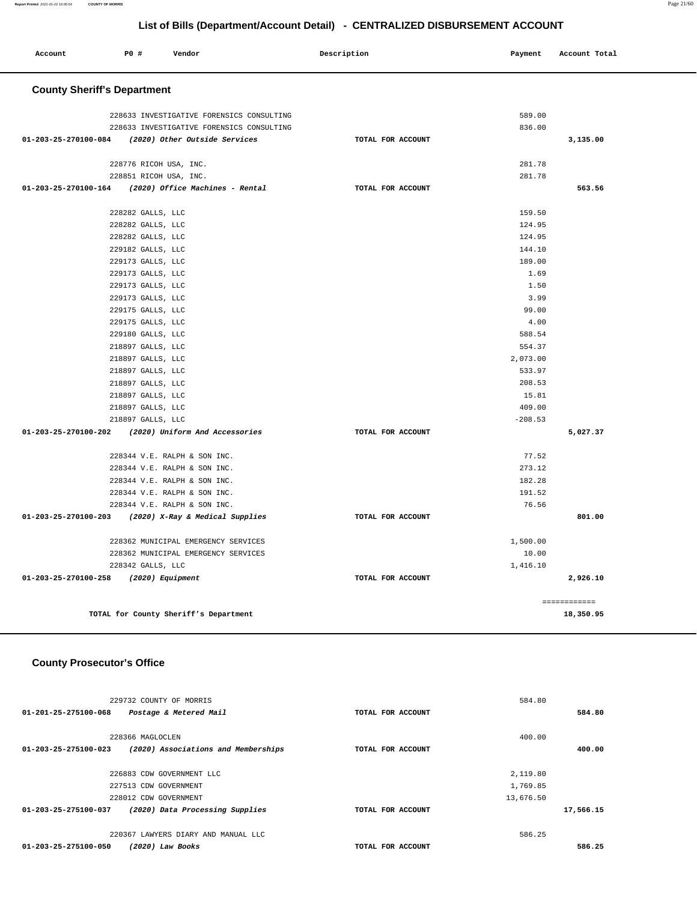| Report Printed 2021-01-22 16:00:54 | <b>COUNTY OF MORRIS</b>            |                                           |                                                                              |           |               | Page 21/60 |
|------------------------------------|------------------------------------|-------------------------------------------|------------------------------------------------------------------------------|-----------|---------------|------------|
|                                    |                                    |                                           | List of Bills (Department/Account Detail) - CENTRALIZED DISBURSEMENT ACCOUNT |           |               |            |
| Account                            | <b>PO #</b>                        | Vendor                                    | Description                                                                  | Payment   | Account Total |            |
|                                    | <b>County Sheriff's Department</b> |                                           |                                                                              |           |               |            |
|                                    |                                    | 228633 INVESTIGATIVE FORENSICS CONSULTING |                                                                              | 589.00    |               |            |
|                                    |                                    | 228633 INVESTIGATIVE FORENSICS CONSULTING |                                                                              | 836.00    |               |            |
| 01-203-25-270100-084               |                                    | (2020) Other Outside Services             | TOTAL FOR ACCOUNT                                                            |           | 3,135.00      |            |
|                                    |                                    | 228776 RICOH USA, INC.                    |                                                                              | 281.78    |               |            |
|                                    |                                    | 228851 RICOH USA, INC.                    |                                                                              | 281.78    |               |            |
| 01-203-25-270100-164               |                                    | (2020) Office Machines - Rental           | TOTAL FOR ACCOUNT                                                            |           | 563.56        |            |
|                                    | 228282 GALLS, LLC                  |                                           |                                                                              | 159.50    |               |            |
|                                    | 228282 GALLS, LLC                  |                                           |                                                                              | 124.95    |               |            |
|                                    | 228282 GALLS, LLC                  |                                           |                                                                              | 124.95    |               |            |
|                                    | 229182 GALLS, LLC                  |                                           |                                                                              | 144.10    |               |            |
|                                    | 229173 GALLS, LLC                  |                                           |                                                                              | 189.00    |               |            |
|                                    | 229173 GALLS, LLC                  |                                           |                                                                              | 1.69      |               |            |
|                                    | 229173 GALLS, LLC                  |                                           |                                                                              | 1.50      |               |            |
|                                    | 229173 GALLS, LLC                  |                                           |                                                                              | 3.99      |               |            |
|                                    | 229175 GALLS, LLC                  |                                           |                                                                              | 99.00     |               |            |
|                                    | 229175 GALLS, LLC                  |                                           |                                                                              | 4.00      |               |            |
|                                    | 229180 GALLS, LLC                  |                                           |                                                                              | 588.54    |               |            |
|                                    | 218897 GALLS, LLC                  |                                           |                                                                              | 554.37    |               |            |
|                                    | 218897 GALLS, LLC                  |                                           |                                                                              | 2,073.00  |               |            |
|                                    | 218897 GALLS, LLC                  |                                           |                                                                              | 533.97    |               |            |
|                                    | 218897 GALLS, LLC                  |                                           |                                                                              | 208.53    |               |            |
|                                    | 218897 GALLS, LLC                  |                                           |                                                                              | 15.81     |               |            |
|                                    | 218897 GALLS, LLC                  |                                           |                                                                              | 409.00    |               |            |
|                                    | 218897 GALLS, LLC                  |                                           |                                                                              | $-208.53$ |               |            |
| 01-203-25-270100-202               |                                    | (2020) Uniform And Accessories            | TOTAL FOR ACCOUNT                                                            |           | 5,027.37      |            |
|                                    |                                    | 228344 V.E. RALPH & SON INC.              |                                                                              | 77.52     |               |            |
|                                    |                                    | 228344 V.E. RALPH & SON INC.              |                                                                              | 273.12    |               |            |

182.28 191.52 76.56

1,500.00 10.00 1,416.10 **801.00**

**2,926.10**

============

# **TOTAL for County Sheriff's Department 18,350.95**

228342 GALLS, LLC

228344 V.E. RALPH & SON INC. 228344 V.E. RALPH & SON INC. 228344 V.E. RALPH & SON INC. 228344 V.E. RALPH & SON INC.

 228362 MUNICIPAL EMERGENCY SERVICES 228362 MUNICIPAL EMERGENCY SERVICES

**01-203-25-270100-203 (2020) X-Ray & Medical Supplies TOTAL FOR ACCOUNT** 

**01-203-25-270100-258 (2020) Equipment TOTAL FOR ACCOUNT** 

## **County Prosecutor's Office**

| 229732 COUNTY OF MORRIS                                     |                   | 584.80    |           |
|-------------------------------------------------------------|-------------------|-----------|-----------|
| 01-201-25-275100-068<br>Postage & Metered Mail              | TOTAL FOR ACCOUNT |           | 584.80    |
|                                                             |                   |           |           |
| 228366 MAGLOCLEN                                            |                   | 400.00    |           |
| (2020) Associations and Memberships<br>01-203-25-275100-023 | TOTAL FOR ACCOUNT |           | 400.00    |
|                                                             |                   |           |           |
| 226883 CDW GOVERNMENT LLC                                   |                   | 2,119.80  |           |
| 227513 CDW GOVERNMENT                                       |                   | 1,769.85  |           |
| 228012 CDW GOVERNMENT                                       |                   | 13,676.50 |           |
| (2020) Data Processing Supplies<br>01-203-25-275100-037     | TOTAL FOR ACCOUNT |           | 17,566.15 |
|                                                             |                   |           |           |
| 220367 LAWYERS DIARY AND MANUAL LLC                         |                   | 586.25    |           |
| 01-203-25-275100-050<br>$(2020)$ Law Books                  | TOTAL FOR ACCOUNT |           | 586.25    |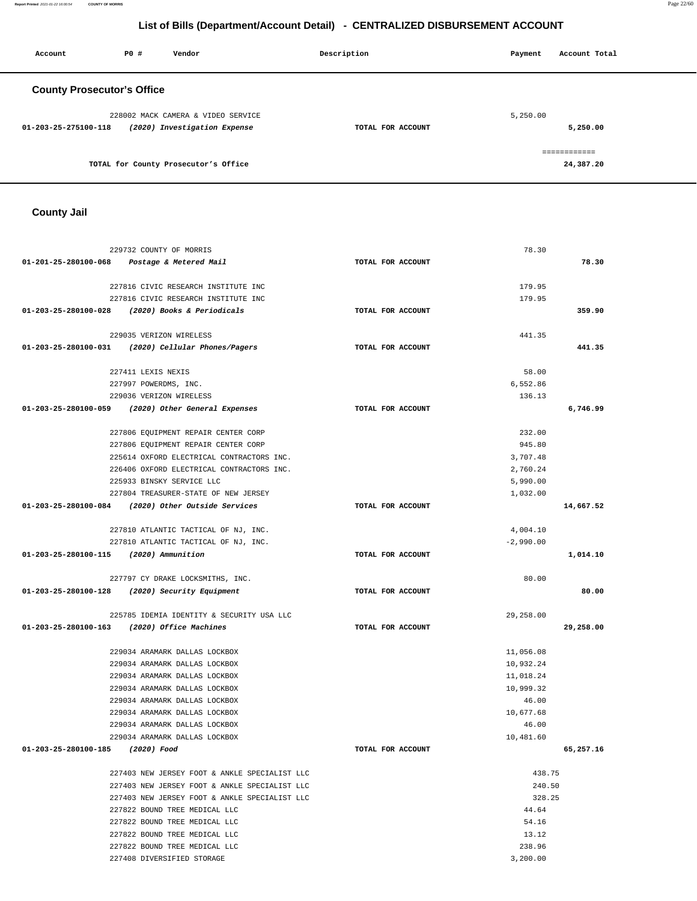**Report Printed** 2021-01-22 16:00:54 **COUNTY OF MORRIS** Page 22/60

## **List of Bills (Department/Account Detail) - CENTRALIZED DISBURSEMENT ACCOUNT**

| Account                           | PO# | Vendor                               | Description       | Payment  | Account Total |
|-----------------------------------|-----|--------------------------------------|-------------------|----------|---------------|
| <b>County Prosecutor's Office</b> |     |                                      |                   |          |               |
|                                   |     | 228002 MACK CAMERA & VIDEO SERVICE   |                   | 5,250.00 |               |
| 01-203-25-275100-118              |     | (2020) Investigation Expense         | TOTAL FOR ACCOUNT |          | 5,250.00      |
|                                   |     |                                      |                   |          | ============  |
|                                   |     | TOTAL for County Prosecutor's Office |                   |          | 24,387.20     |

## **County Jail**

|                                        | 229732 COUNTY OF MORRIS                            |                   | 78.30       |           |
|----------------------------------------|----------------------------------------------------|-------------------|-------------|-----------|
|                                        | 01-201-25-280100-068 Postage & Metered Mail        | TOTAL FOR ACCOUNT |             | 78.30     |
|                                        | 227816 CIVIC RESEARCH INSTITUTE INC                |                   | 179.95      |           |
|                                        |                                                    |                   |             |           |
|                                        | 227816 CIVIC RESEARCH INSTITUTE INC                |                   | 179.95      |           |
|                                        | 01-203-25-280100-028 (2020) Books & Periodicals    | TOTAL FOR ACCOUNT |             | 359.90    |
|                                        | 229035 VERIZON WIRELESS                            |                   | 441.35      |           |
|                                        | 01-203-25-280100-031 (2020) Cellular Phones/Pagers | TOTAL FOR ACCOUNT |             | 441.35    |
|                                        | 227411 LEXIS NEXIS                                 |                   | 58.00       |           |
|                                        | 227997 POWERDMS, INC.                              |                   | 6,552.86    |           |
|                                        | 229036 VERIZON WIRELESS                            |                   | 136.13      |           |
|                                        | 01-203-25-280100-059 (2020) Other General Expenses | TOTAL FOR ACCOUNT |             | 6,746.99  |
|                                        |                                                    |                   |             |           |
|                                        | 227806 EQUIPMENT REPAIR CENTER CORP                |                   | 232.00      |           |
|                                        | 227806 EQUIPMENT REPAIR CENTER CORP                |                   | 945.80      |           |
|                                        | 225614 OXFORD ELECTRICAL CONTRACTORS INC.          |                   | 3,707.48    |           |
|                                        | 226406 OXFORD ELECTRICAL CONTRACTORS INC.          |                   | 2,760.24    |           |
|                                        | 225933 BINSKY SERVICE LLC                          |                   | 5,990.00    |           |
|                                        | 227804 TREASURER-STATE OF NEW JERSEY               |                   | 1,032.00    |           |
|                                        | 01-203-25-280100-084 (2020) Other Outside Services | TOTAL FOR ACCOUNT |             | 14,667.52 |
|                                        | 227810 ATLANTIC TACTICAL OF NJ, INC.               |                   | 4,004.10    |           |
|                                        | 227810 ATLANTIC TACTICAL OF NJ, INC.               |                   | $-2,990.00$ |           |
| 01-203-25-280100-115 (2020) Ammunition |                                                    | TOTAL FOR ACCOUNT |             | 1,014.10  |
|                                        |                                                    |                   |             |           |
|                                        | 227797 CY DRAKE LOCKSMITHS, INC.                   |                   | 80.00       |           |
|                                        | 01-203-25-280100-128 (2020) Security Equipment     | TOTAL FOR ACCOUNT |             | 80.00     |
|                                        | 225785 IDEMIA IDENTITY & SECURITY USA LLC          |                   | 29,258.00   |           |
|                                        | 01-203-25-280100-163 (2020) Office Machines        | TOTAL FOR ACCOUNT |             | 29,258.00 |
|                                        |                                                    |                   |             |           |
|                                        | 229034 ARAMARK DALLAS LOCKBOX                      |                   | 11,056.08   |           |
|                                        | 229034 ARAMARK DALLAS LOCKBOX                      |                   | 10,932.24   |           |
|                                        | 229034 ARAMARK DALLAS LOCKBOX                      |                   | 11,018.24   |           |
|                                        | 229034 ARAMARK DALLAS LOCKBOX                      |                   | 10,999.32   |           |
|                                        | 229034 ARAMARK DALLAS LOCKBOX                      |                   | 46.00       |           |
|                                        | 229034 ARAMARK DALLAS LOCKBOX                      |                   | 10,677.68   |           |
|                                        | 229034 ARAMARK DALLAS LOCKBOX                      |                   | 46.00       |           |
|                                        | 229034 ARAMARK DALLAS LOCKBOX                      |                   | 10,481.60   |           |
| 01-203-25-280100-185 (2020) Food       |                                                    | TOTAL FOR ACCOUNT |             | 65,257.16 |
|                                        | 227403 NEW JERSEY FOOT & ANKLE SPECIALIST LLC      |                   | 438.75      |           |
|                                        | 227403 NEW JERSEY FOOT & ANKLE SPECIALIST LLC      |                   | 240.50      |           |
|                                        | 227403 NEW JERSEY FOOT & ANKLE SPECIALIST LLC      |                   | 328.25      |           |
|                                        | 227822 BOUND TREE MEDICAL LLC                      |                   | 44.64       |           |
|                                        | 227822 BOUND TREE MEDICAL LLC                      |                   | 54.16       |           |
|                                        | 227822 BOUND TREE MEDICAL LLC                      |                   | 13.12       |           |
|                                        | 227822 BOUND TREE MEDICAL LLC                      |                   | 238.96      |           |
|                                        | 227408 DIVERSIFIED STORAGE                         |                   | 3,200.00    |           |
|                                        |                                                    |                   |             |           |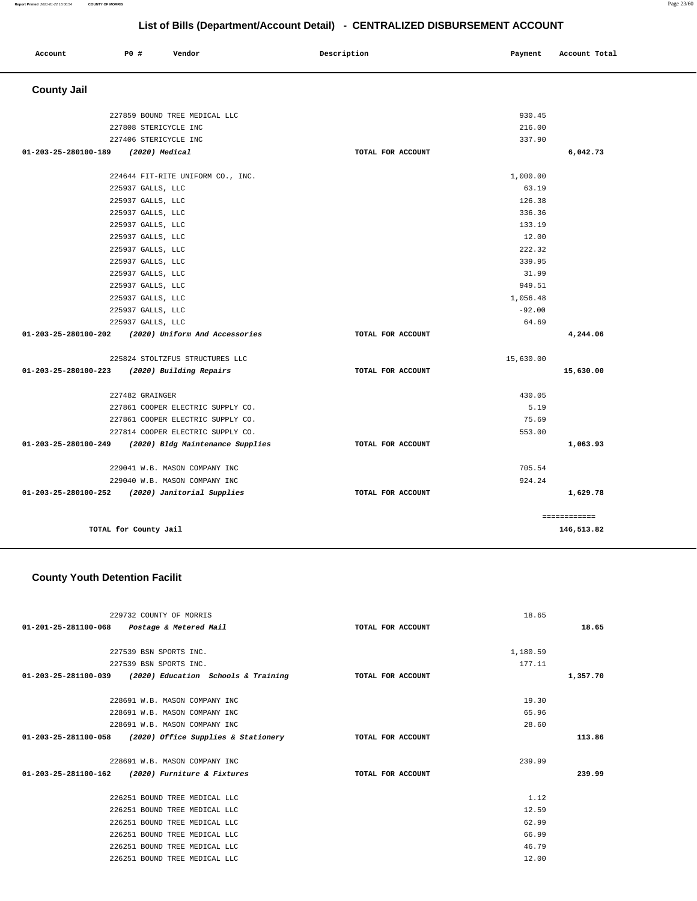**1,629.78**

| List of Bills (Department/Account Detail) - CENTRALIZED DISBURSEMENT ACCOUNT |                       |                                   |                   |           |               |
|------------------------------------------------------------------------------|-----------------------|-----------------------------------|-------------------|-----------|---------------|
| Account                                                                      | P0 #                  | Vendor                            | Description       | Payment   | Account Total |
| <b>County Jail</b>                                                           |                       |                                   |                   |           |               |
|                                                                              |                       | 227859 BOUND TREE MEDICAL LLC     |                   | 930.45    |               |
|                                                                              | 227808 STERICYCLE INC |                                   |                   | 216.00    |               |
|                                                                              | 227406 STERICYCLE INC |                                   |                   | 337.90    |               |
| 01-203-25-280100-189                                                         | (2020) Medical        |                                   | TOTAL FOR ACCOUNT |           | 6,042.73      |
|                                                                              |                       | 224644 FIT-RITE UNIFORM CO., INC. |                   | 1,000.00  |               |
|                                                                              | 225937 GALLS, LLC     |                                   |                   | 63.19     |               |
|                                                                              | 225937 GALLS, LLC     |                                   |                   | 126.38    |               |
|                                                                              | 225937 GALLS, LLC     |                                   |                   | 336.36    |               |
|                                                                              | 225937 GALLS, LLC     |                                   |                   | 133.19    |               |
|                                                                              | 225937 GALLS, LLC     |                                   |                   | 12.00     |               |
|                                                                              | 225937 GALLS, LLC     |                                   |                   | 222.32    |               |
|                                                                              | 225937 GALLS, LLC     |                                   |                   | 339.95    |               |
|                                                                              | 225937 GALLS, LLC     |                                   |                   | 31.99     |               |
|                                                                              | 225937 GALLS, LLC     |                                   |                   | 949.51    |               |
|                                                                              | 225937 GALLS, LLC     |                                   |                   | 1,056.48  |               |
|                                                                              | 225937 GALLS, LLC     |                                   |                   | $-92.00$  |               |
|                                                                              | 225937 GALLS, LLC     |                                   |                   | 64.69     |               |
| 01-203-25-280100-202                                                         |                       | (2020) Uniform And Accessories    | TOTAL FOR ACCOUNT |           | 4,244.06      |
|                                                                              |                       | 225824 STOLTZFUS STRUCTURES LLC   |                   | 15,630.00 |               |
| 01-203-25-280100-223                                                         |                       | (2020) Building Repairs           | TOTAL FOR ACCOUNT |           | 15,630.00     |
|                                                                              | 227482 GRAINGER       |                                   |                   | 430.05    |               |
|                                                                              |                       | 227861 COOPER ELECTRIC SUPPLY CO. |                   | 5.19      |               |
|                                                                              |                       | 227861 COOPER ELECTRIC SUPPLY CO. |                   | 75.69     |               |
|                                                                              |                       | 227814 COOPER ELECTRIC SUPPLY CO. |                   | 553.00    |               |
| 01-203-25-280100-249                                                         |                       | (2020) Bldg Maintenance Supplies  | TOTAL FOR ACCOUNT |           | 1,063.93      |

| 01-203-25-280100-249 | (2020) Bldg Maintenance Supplies | TOTAL FOR ACCOUNT | 1,063.93    |
|----------------------|----------------------------------|-------------------|-------------|
|                      | 229041 W.B. MASON COMPANY INC    |                   | 705.54      |
|                      | 229040 W.B. MASON COMPANY INC    |                   | 924.24      |
| 01-203-25-280100-252 | (2020) Janitorial Supplies       | TOTAL FOR ACCOUNT | 1,629.78    |
|                      |                                  |                   | =========== |
|                      | TOTAL for County Jail            |                   | 146,513.82  |

## **County Youth Detention Facilit**

| 229732 COUNTY OF MORRIS                                                    |                   | 18.65    |          |
|----------------------------------------------------------------------------|-------------------|----------|----------|
| 01-201-25-281100-068 Postage & Metered Mail                                | TOTAL FOR ACCOUNT |          | 18.65    |
|                                                                            |                   |          |          |
| 227539 BSN SPORTS INC.                                                     |                   | 1,180.59 |          |
| 227539 BSN SPORTS INC.                                                     |                   | 177.11   |          |
| 01-203-25-281100-039 (2020) Education Schools & Training TOTAL FOR ACCOUNT |                   |          | 1,357.70 |
|                                                                            |                   |          |          |
| 228691 W.B. MASON COMPANY INC                                              |                   | 19.30    |          |
| 228691 W.B. MASON COMPANY INC                                              |                   | 65.96    |          |
| 228691 W.B. MASON COMPANY INC                                              |                   | 28.60    |          |
| $01-203-25-281100-058$ (2020) Office Supplies & Stationery                 | TOTAL FOR ACCOUNT |          | 113.86   |
|                                                                            |                   |          |          |
| 228691 W.B. MASON COMPANY INC                                              |                   | 239.99   |          |
| 01-203-25-281100-162 (2020) Furniture & Fixtures                           | TOTAL FOR ACCOUNT |          | 239.99   |
|                                                                            |                   |          |          |
| 226251 BOUND TREE MEDICAL LLC                                              |                   | 1.12     |          |
| 226251 BOUND TREE MEDICAL LLC                                              |                   | 12.59    |          |
| 226251 BOUND TREE MEDICAL LLC                                              |                   | 62.99    |          |
| 226251 BOUND TREE MEDICAL LLC                                              |                   | 66.99    |          |
| 226251 BOUND TREE MEDICAL LLC                                              |                   | 46.79    |          |
| 226251 BOUND TREE MEDICAL LLC                                              |                   | 12.00    |          |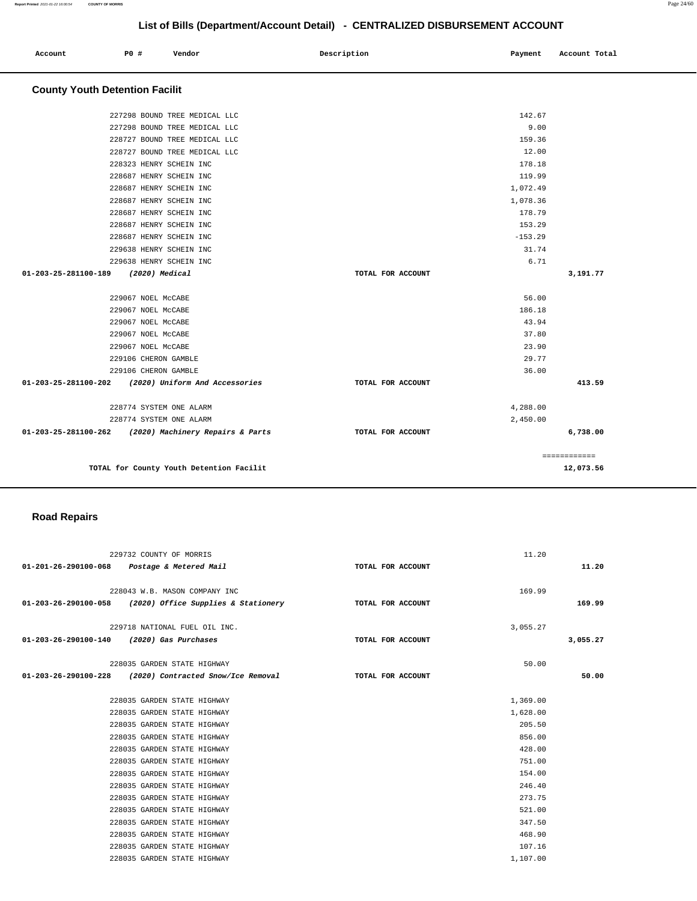============

| List of Bills (Department/Account Detail) - CENTRALIZED DISBURSEMENT ACCOUNT |                      |                                  |             |                   |  |           |               |  |
|------------------------------------------------------------------------------|----------------------|----------------------------------|-------------|-------------------|--|-----------|---------------|--|
| Account                                                                      | <b>PO #</b>          | Vendor                           | Description |                   |  | Payment   | Account Total |  |
| <b>County Youth Detention Facilit</b>                                        |                      |                                  |             |                   |  |           |               |  |
|                                                                              |                      | 227298 BOUND TREE MEDICAL LLC    |             |                   |  | 142.67    |               |  |
|                                                                              |                      | 227298 BOUND TREE MEDICAL LLC    |             |                   |  | 9.00      |               |  |
|                                                                              |                      | 228727 BOUND TREE MEDICAL LLC    |             |                   |  | 159.36    |               |  |
|                                                                              |                      | 228727 BOUND TREE MEDICAL LLC    |             |                   |  | 12.00     |               |  |
|                                                                              |                      | 228323 HENRY SCHEIN INC          |             |                   |  | 178.18    |               |  |
|                                                                              |                      | 228687 HENRY SCHEIN INC          |             |                   |  | 119.99    |               |  |
|                                                                              |                      | 228687 HENRY SCHEIN INC          |             |                   |  | 1,072.49  |               |  |
|                                                                              |                      | 228687 HENRY SCHEIN INC          |             |                   |  | 1,078.36  |               |  |
|                                                                              |                      | 228687 HENRY SCHEIN INC          |             |                   |  | 178.79    |               |  |
|                                                                              |                      | 228687 HENRY SCHEIN INC          |             |                   |  | 153.29    |               |  |
|                                                                              |                      | 228687 HENRY SCHEIN INC          |             |                   |  | $-153.29$ |               |  |
|                                                                              |                      | 229638 HENRY SCHEIN INC          |             |                   |  | 31.74     |               |  |
|                                                                              |                      | 229638 HENRY SCHEIN INC          |             |                   |  | 6.71      |               |  |
| 01-203-25-281100-189                                                         | (2020) Medical       |                                  |             | TOTAL FOR ACCOUNT |  |           | 3,191.77      |  |
|                                                                              | 229067 NOEL MCCABE   |                                  |             |                   |  | 56.00     |               |  |
|                                                                              | 229067 NOEL MCCABE   |                                  |             |                   |  | 186.18    |               |  |
|                                                                              | 229067 NOEL McCABE   |                                  |             |                   |  | 43.94     |               |  |
|                                                                              | 229067 NOEL McCABE   |                                  |             |                   |  | 37.80     |               |  |
|                                                                              | 229067 NOEL MCCABE   |                                  |             |                   |  | 23.90     |               |  |
|                                                                              | 229106 CHERON GAMBLE |                                  |             |                   |  | 29.77     |               |  |
|                                                                              | 229106 CHERON GAMBLE |                                  |             |                   |  | 36.00     |               |  |
| 01-203-25-281100-202                                                         |                      | (2020) Uniform And Accessories   |             | TOTAL FOR ACCOUNT |  |           | 413.59        |  |
|                                                                              |                      | 228774 SYSTEM ONE ALARM          |             |                   |  | 4,288.00  |               |  |
|                                                                              |                      | 228774 SYSTEM ONE ALARM          |             |                   |  | 2,450.00  |               |  |
| 01-203-25-281100-262                                                         |                      | (2020) Machinery Repairs & Parts |             | TOTAL FOR ACCOUNT |  |           | 6,738.00      |  |

**TOTAL for County Youth Detention Facilit 12,073.56**

## **Road Repairs**

|                                             | 229732 COUNTY OF MORRIS                                  |                   | 11.20    |          |
|---------------------------------------------|----------------------------------------------------------|-------------------|----------|----------|
| 01-201-26-290100-068 Postage & Metered Mail |                                                          | TOTAL FOR ACCOUNT |          | 11.20    |
|                                             |                                                          |                   |          |          |
|                                             | 228043 W.B. MASON COMPANY INC                            |                   | 169.99   |          |
|                                             | 01-203-26-290100-058 (2020) Office Supplies & Stationery | TOTAL FOR ACCOUNT |          | 169.99   |
|                                             |                                                          |                   |          |          |
|                                             | 229718 NATIONAL FUEL OIL INC.                            |                   | 3,055.27 |          |
| 01-203-26-290100-140 (2020) Gas Purchases   |                                                          | TOTAL FOR ACCOUNT |          | 3,055.27 |
|                                             | 228035 GARDEN STATE HIGHWAY                              |                   | 50.00    |          |
|                                             |                                                          |                   |          |          |
|                                             | 01-203-26-290100-228 (2020) Contracted Snow/Ice Removal  | TOTAL FOR ACCOUNT |          | 50.00    |
|                                             | 228035 GARDEN STATE HIGHWAY                              |                   | 1,369.00 |          |
|                                             | 228035 GARDEN STATE HIGHWAY                              |                   | 1,628.00 |          |
|                                             | 228035 GARDEN STATE HIGHWAY                              |                   | 205.50   |          |
|                                             | 228035 GARDEN STATE HIGHWAY                              |                   | 856.00   |          |
|                                             | 228035 GARDEN STATE HIGHWAY                              |                   | 428.00   |          |
|                                             | 228035 GARDEN STATE HIGHWAY                              |                   | 751.00   |          |
|                                             | 228035 GARDEN STATE HIGHWAY                              |                   | 154.00   |          |
|                                             | 228035 GARDEN STATE HIGHWAY                              |                   | 246.40   |          |
|                                             | 228035 GARDEN STATE HIGHWAY                              |                   | 273.75   |          |
|                                             | 228035 GARDEN STATE HIGHWAY                              |                   | 521.00   |          |
|                                             | 228035 GARDEN STATE HIGHWAY                              |                   | 347.50   |          |
|                                             | 228035 GARDEN STATE HIGHWAY                              |                   | 468.90   |          |
|                                             | 228035 GARDEN STATE HIGHWAY                              |                   | 107.16   |          |
|                                             | 228035 GARDEN STATE HIGHWAY                              |                   | 1,107.00 |          |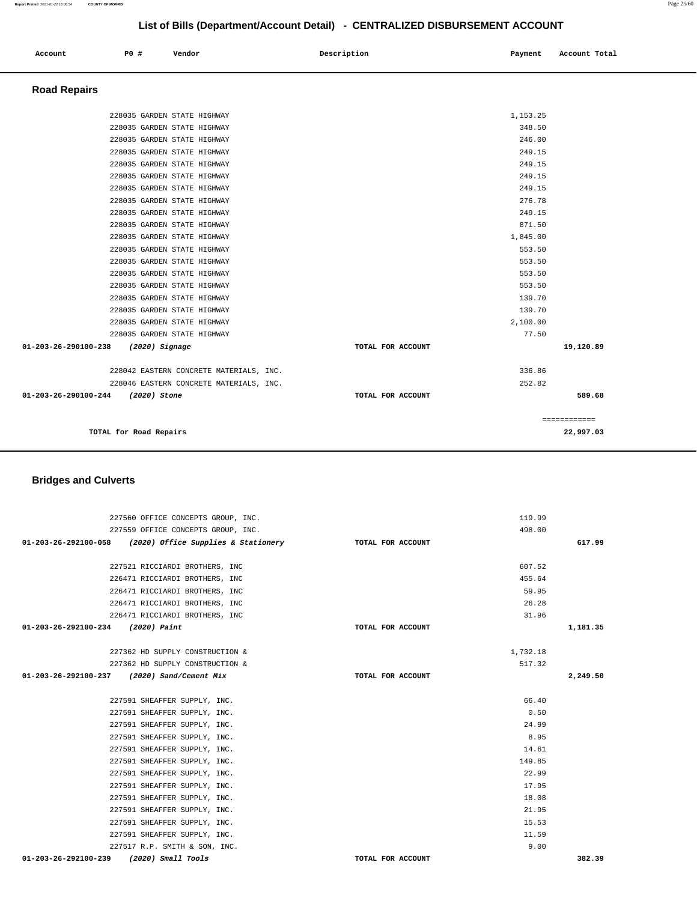| Account<br>. | <b>PO #</b> | Vendor | Description | Payment | Account Total<br>.<br>. |
|--------------|-------------|--------|-------------|---------|-------------------------|
|              |             |        |             |         |                         |

## **Road Repairs**

|                                   |                                                                                                                                                                                                                                                                                                                                                                                                                                                                                                                                                                                                                                                  | ============                                                                                                                                                                                                                                 |
|-----------------------------------|--------------------------------------------------------------------------------------------------------------------------------------------------------------------------------------------------------------------------------------------------------------------------------------------------------------------------------------------------------------------------------------------------------------------------------------------------------------------------------------------------------------------------------------------------------------------------------------------------------------------------------------------------|----------------------------------------------------------------------------------------------------------------------------------------------------------------------------------------------------------------------------------------------|
|                                   |                                                                                                                                                                                                                                                                                                                                                                                                                                                                                                                                                                                                                                                  |                                                                                                                                                                                                                                              |
| 01-203-26-290100-244 (2020) Stone | TOTAL FOR ACCOUNT                                                                                                                                                                                                                                                                                                                                                                                                                                                                                                                                                                                                                                | 589.68                                                                                                                                                                                                                                       |
|                                   |                                                                                                                                                                                                                                                                                                                                                                                                                                                                                                                                                                                                                                                  |                                                                                                                                                                                                                                              |
|                                   |                                                                                                                                                                                                                                                                                                                                                                                                                                                                                                                                                                                                                                                  |                                                                                                                                                                                                                                              |
|                                   |                                                                                                                                                                                                                                                                                                                                                                                                                                                                                                                                                                                                                                                  |                                                                                                                                                                                                                                              |
|                                   | TOTAL FOR ACCOUNT                                                                                                                                                                                                                                                                                                                                                                                                                                                                                                                                                                                                                                | 19,120.89                                                                                                                                                                                                                                    |
|                                   | 77.50                                                                                                                                                                                                                                                                                                                                                                                                                                                                                                                                                                                                                                            |                                                                                                                                                                                                                                              |
|                                   | 2,100.00                                                                                                                                                                                                                                                                                                                                                                                                                                                                                                                                                                                                                                         |                                                                                                                                                                                                                                              |
|                                   | 139.70                                                                                                                                                                                                                                                                                                                                                                                                                                                                                                                                                                                                                                           |                                                                                                                                                                                                                                              |
|                                   | 139.70                                                                                                                                                                                                                                                                                                                                                                                                                                                                                                                                                                                                                                           |                                                                                                                                                                                                                                              |
|                                   | 553.50                                                                                                                                                                                                                                                                                                                                                                                                                                                                                                                                                                                                                                           |                                                                                                                                                                                                                                              |
|                                   | 553.50                                                                                                                                                                                                                                                                                                                                                                                                                                                                                                                                                                                                                                           |                                                                                                                                                                                                                                              |
|                                   |                                                                                                                                                                                                                                                                                                                                                                                                                                                                                                                                                                                                                                                  |                                                                                                                                                                                                                                              |
|                                   |                                                                                                                                                                                                                                                                                                                                                                                                                                                                                                                                                                                                                                                  |                                                                                                                                                                                                                                              |
|                                   |                                                                                                                                                                                                                                                                                                                                                                                                                                                                                                                                                                                                                                                  |                                                                                                                                                                                                                                              |
|                                   |                                                                                                                                                                                                                                                                                                                                                                                                                                                                                                                                                                                                                                                  |                                                                                                                                                                                                                                              |
|                                   |                                                                                                                                                                                                                                                                                                                                                                                                                                                                                                                                                                                                                                                  |                                                                                                                                                                                                                                              |
|                                   |                                                                                                                                                                                                                                                                                                                                                                                                                                                                                                                                                                                                                                                  |                                                                                                                                                                                                                                              |
|                                   |                                                                                                                                                                                                                                                                                                                                                                                                                                                                                                                                                                                                                                                  |                                                                                                                                                                                                                                              |
|                                   |                                                                                                                                                                                                                                                                                                                                                                                                                                                                                                                                                                                                                                                  |                                                                                                                                                                                                                                              |
|                                   |                                                                                                                                                                                                                                                                                                                                                                                                                                                                                                                                                                                                                                                  |                                                                                                                                                                                                                                              |
|                                   |                                                                                                                                                                                                                                                                                                                                                                                                                                                                                                                                                                                                                                                  |                                                                                                                                                                                                                                              |
|                                   |                                                                                                                                                                                                                                                                                                                                                                                                                                                                                                                                                                                                                                                  |                                                                                                                                                                                                                                              |
|                                   |                                                                                                                                                                                                                                                                                                                                                                                                                                                                                                                                                                                                                                                  |                                                                                                                                                                                                                                              |
|                                   | 228035 GARDEN STATE HIGHWAY<br>228035 GARDEN STATE HIGHWAY<br>228035 GARDEN STATE HIGHWAY<br>228035 GARDEN STATE HIGHWAY<br>228035 GARDEN STATE HIGHWAY<br>228035 GARDEN STATE HIGHWAY<br>228035 GARDEN STATE HIGHWAY<br>228035 GARDEN STATE HIGHWAY<br>228035 GARDEN STATE HIGHWAY<br>228035 GARDEN STATE HIGHWAY<br>228035 GARDEN STATE HIGHWAY<br>228035 GARDEN STATE HIGHWAY<br>228035 GARDEN STATE HIGHWAY<br>228035 GARDEN STATE HIGHWAY<br>228035 GARDEN STATE HIGHWAY<br>228035 GARDEN STATE HIGHWAY<br>228035 GARDEN STATE HIGHWAY<br>228035 GARDEN STATE HIGHWAY<br>228035 GARDEN STATE HIGHWAY<br>01-203-26-290100-238 (2020) Signage | 1,153.25<br>348.50<br>246.00<br>249.15<br>249.15<br>249.15<br>249.15<br>276.78<br>249.15<br>871.50<br>1,845.00<br>553.50<br>553.50<br>336.86<br>228042 EASTERN CONCRETE MATERIALS, INC.<br>252.82<br>228046 EASTERN CONCRETE MATERIALS, INC. |

| TOTAL for Road Repairs                  |                   |          | 22,997.03 |
|-----------------------------------------|-------------------|----------|-----------|
| 1-203-26-290100-244<br>(2020) Stone     | TOTAL FOR ACCOUNT |          | 589.68    |
| 228046 EASTERN CONCRETE MATERIALS, INC. |                   | 252.82   |           |
| 228042 EASTERN CONCRETE MATERIALS, INC. |                   | 336.86   |           |
| 1-203-26-290100-238<br>$(2020)$ Signage | TOTAL FOR ACCOUNT |          | 19,120.89 |
| 228035 GARDEN STATE HIGHWAY             |                   | 77.50    |           |
| 228035 GARDEN STATE HIGHWAY             |                   | 2,100.00 |           |
| 228035 GARDEN STATE HIGHWAY             |                   | 139.70   |           |
| 228035 GARDEN STATE HIGHWAY             |                   | 139.70   |           |
| 228035 GARDEN STATE HIGHWAY             |                   | 553.50   |           |
|                                         |                   |          |           |

## **Bridges and Culverts**

| 227560 OFFICE CONCEPTS GROUP, INC.                                         | 119.99            |          |
|----------------------------------------------------------------------------|-------------------|----------|
| 227559 OFFICE CONCEPTS GROUP, INC.                                         | 498.00            |          |
| 01-203-26-292100-058 (2020) Office Supplies & Stationery TOTAL FOR ACCOUNT |                   | 617.99   |
|                                                                            |                   |          |
| 227521 RICCIARDI BROTHERS, INC                                             | 607.52            |          |
| 226471 RICCIARDI BROTHERS, INC                                             | 455.64            |          |
| 226471 RICCIARDI BROTHERS, INC                                             | 59.95             |          |
| 226471 RICCIARDI BROTHERS, INC                                             | 26.28             |          |
| 226471 RICCIARDI BROTHERS, INC                                             | 31.96             |          |
| 01-203-26-292100-234 (2020) Paint                                          | TOTAL FOR ACCOUNT | 1,181.35 |
|                                                                            |                   |          |
| 227362 HD SUPPLY CONSTRUCTION &                                            | 1,732.18          |          |
| 227362 HD SUPPLY CONSTRUCTION &                                            | 517.32            |          |
| 01-203-26-292100-237 (2020) Sand/Cement Mix                                | TOTAL FOR ACCOUNT | 2,249.50 |
|                                                                            |                   |          |
| 227591 SHEAFFER SUPPLY, INC.                                               | 66.40             |          |
| 227591 SHEAFFER SUPPLY, INC.                                               | 0.50              |          |
| 227591 SHEAFFER SUPPLY, INC.                                               | 24.99             |          |
| 227591 SHEAFFER SUPPLY, INC.                                               | 8.95              |          |
| 227591 SHEAFFER SUPPLY, INC.                                               | 14.61             |          |
| 227591 SHEAFFER SUPPLY, INC.                                               | 149.85            |          |
| 227591 SHEAFFER SUPPLY, INC.                                               | 22.99             |          |
| 227591 SHEAFFER SUPPLY, INC.                                               | 17.95             |          |
| 227591 SHEAFFER SUPPLY, INC.                                               | 18.08             |          |
| 227591 SHEAFFER SUPPLY, INC.                                               | 21.95             |          |
| 227591 SHEAFFER SUPPLY, INC.                                               | 15.53             |          |
| 227591 SHEAFFER SUPPLY, INC.                                               | 11.59             |          |
| 227517 R.P. SMITH & SON, INC.                                              | 9.00              |          |
| 01-203-26-292100-239<br>$(2020)$ Small Tools                               | TOTAL FOR ACCOUNT | 382.39   |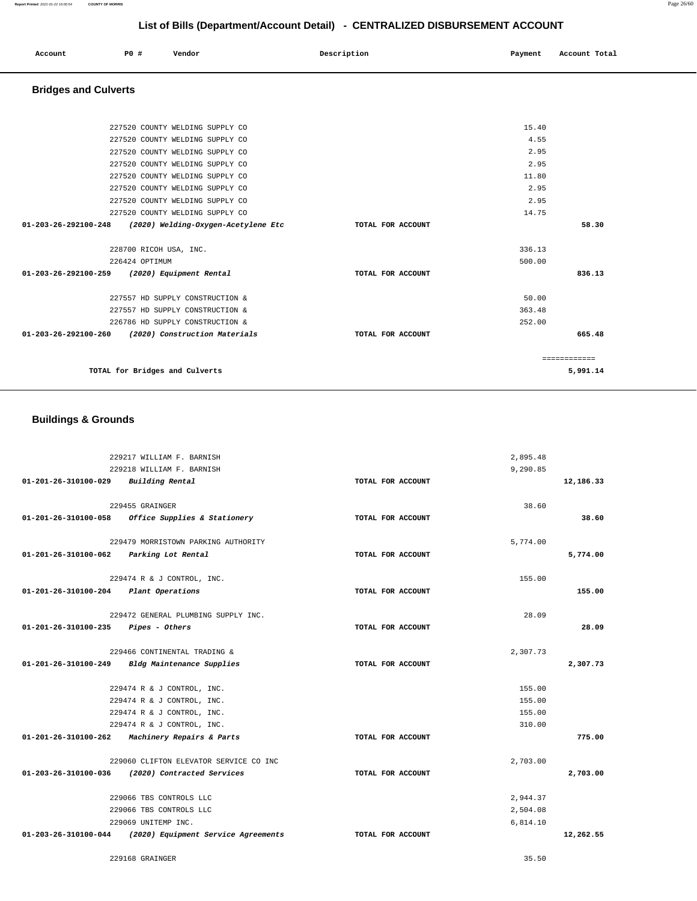| Account | P0 # | Vendor | Description<br>. | Payment | Account Total |
|---------|------|--------|------------------|---------|---------------|
|         |      |        |                  |         |               |

## **Bridges and Culverts**

| 227520 COUNTY WELDING SUPPLY CO                             |                   | 15.40  |          |
|-------------------------------------------------------------|-------------------|--------|----------|
| 227520 COUNTY WELDING SUPPLY CO                             |                   | 4.55   |          |
| 227520 COUNTY WELDING SUPPLY CO                             |                   | 2.95   |          |
| 227520 COUNTY WELDING SUPPLY CO                             |                   | 2.95   |          |
| 227520 COUNTY WELDING SUPPLY CO                             |                   | 11.80  |          |
| 227520 COUNTY WELDING SUPPLY CO                             |                   | 2.95   |          |
| 227520 COUNTY WELDING SUPPLY CO                             |                   | 2.95   |          |
| 227520 COUNTY WELDING SUPPLY CO                             |                   | 14.75  |          |
| 01-203-26-292100-248<br>(2020) Welding-Oxygen-Acetylene Etc | TOTAL FOR ACCOUNT |        | 58.30    |
| 228700 RICOH USA, INC.                                      |                   | 336.13 |          |
| 226424 OPTIMUM                                              |                   | 500.00 |          |
| 01-203-26-292100-259 (2020) Equipment Rental                | TOTAL FOR ACCOUNT |        | 836.13   |
| 227557 HD SUPPLY CONSTRUCTION &                             |                   | 50.00  |          |
| 227557 HD SUPPLY CONSTRUCTION &                             |                   | 363.48 |          |
| 226786 HD SUPPLY CONSTRUCTION &                             |                   | 252.00 |          |
| 01-203-26-292100-260 (2020) Construction Materials          | TOTAL FOR ACCOUNT |        | 665.48   |
|                                                             |                   |        |          |
| TOTAL for Bridges and Culverts                              |                   |        | 5,991.14 |

## **Buildings & Grounds**

|                                         | 229217 WILLIAM F. BARNISH                                |                   | 2,895.48 |           |
|-----------------------------------------|----------------------------------------------------------|-------------------|----------|-----------|
|                                         | 229218 WILLIAM F. BARNISH                                |                   | 9,290.85 |           |
| 01-201-26-310100-029                    | Building Rental                                          | TOTAL FOR ACCOUNT |          | 12,186.33 |
|                                         |                                                          |                   |          |           |
|                                         | 229455 GRAINGER                                          |                   | 38.60    |           |
| 01-201-26-310100-058                    | Office Supplies & Stationery                             | TOTAL FOR ACCOUNT |          | 38.60     |
|                                         | 229479 MORRISTOWN PARKING AUTHORITY                      |                   | 5,774.00 |           |
| 01-201-26-310100-062 Parking Lot Rental |                                                          | TOTAL FOR ACCOUNT |          | 5,774.00  |
|                                         |                                                          |                   |          |           |
|                                         | 229474 R & J CONTROL, INC.                               |                   | 155.00   |           |
| 01-201-26-310100-204                    | Plant Operations                                         | TOTAL FOR ACCOUNT |          | 155.00    |
|                                         | 229472 GENERAL PLUMBING SUPPLY INC.                      |                   | 28.09    |           |
| $01-201-26-310100-235$ Pipes - Others   |                                                          | TOTAL FOR ACCOUNT |          | 28.09     |
|                                         |                                                          |                   |          |           |
|                                         | 229466 CONTINENTAL TRADING &                             |                   | 2,307.73 |           |
| $01 - 201 - 26 - 310100 - 249$          | Bldg Maintenance Supplies                                | TOTAL FOR ACCOUNT |          | 2,307.73  |
|                                         | 229474 R & J CONTROL, INC.                               |                   | 155.00   |           |
|                                         | 229474 R & J CONTROL, INC.                               |                   | 155.00   |           |
|                                         | 229474 R & J CONTROL, INC.                               |                   | 155.00   |           |
|                                         | 229474 R & J CONTROL, INC.                               |                   | 310.00   |           |
|                                         | 01-201-26-310100-262 Machinery Repairs & Parts           | TOTAL FOR ACCOUNT |          | 775.00    |
|                                         |                                                          |                   |          |           |
|                                         | 229060 CLIFTON ELEVATOR SERVICE CO INC                   |                   | 2,703.00 |           |
|                                         | 01-203-26-310100-036 (2020) Contracted Services          | TOTAL FOR ACCOUNT |          | 2,703.00  |
|                                         | 229066 TBS CONTROLS LLC                                  |                   | 2.944.37 |           |
|                                         | 229066 TBS CONTROLS LLC                                  |                   | 2,504.08 |           |
|                                         | 229069 UNITEMP INC.                                      |                   | 6,814.10 |           |
|                                         | 01-203-26-310100-044 (2020) Equipment Service Agreements | TOTAL FOR ACCOUNT |          | 12,262.55 |
|                                         | 229168 GRAINGER                                          |                   | 35.50    |           |
|                                         |                                                          |                   |          |           |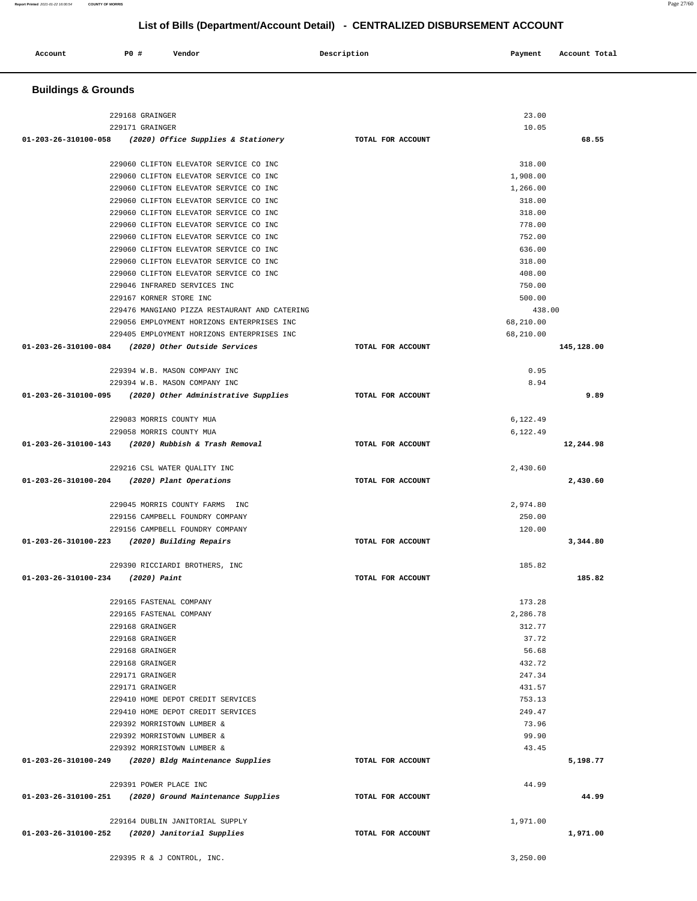| <b>Buildings &amp; Grounds</b>               |                                                             |                   |           |            |
|----------------------------------------------|-------------------------------------------------------------|-------------------|-----------|------------|
|                                              | 229168 GRAINGER                                             |                   | 23.00     |            |
|                                              | 229171 GRAINGER                                             |                   | 10.05     |            |
|                                              | 01-203-26-310100-058 (2020) Office Supplies & Stationery    | TOTAL FOR ACCOUNT |           | 68.55      |
|                                              | 229060 CLIFTON ELEVATOR SERVICE CO INC                      |                   | 318.00    |            |
|                                              | 229060 CLIFTON ELEVATOR SERVICE CO INC                      |                   | 1,908.00  |            |
|                                              | 229060 CLIFTON ELEVATOR SERVICE CO INC                      |                   | 1,266.00  |            |
|                                              | 229060 CLIFTON ELEVATOR SERVICE CO INC                      |                   | 318.00    |            |
|                                              | 229060 CLIFTON ELEVATOR SERVICE CO INC                      |                   | 318.00    |            |
|                                              | 229060 CLIFTON ELEVATOR SERVICE CO INC                      |                   | 778.00    |            |
|                                              | 229060 CLIFTON ELEVATOR SERVICE CO INC                      |                   | 752.00    |            |
|                                              | 229060 CLIFTON ELEVATOR SERVICE CO INC                      |                   | 636.00    |            |
|                                              | 229060 CLIFTON ELEVATOR SERVICE CO INC                      |                   | 318.00    |            |
|                                              | 229060 CLIFTON ELEVATOR SERVICE CO INC                      |                   | 408.00    |            |
|                                              | 229046 INFRARED SERVICES INC                                |                   | 750.00    |            |
|                                              | 229167 KORNER STORE INC                                     |                   | 500.00    |            |
|                                              | 229476 MANGIANO PIZZA RESTAURANT AND CATERING               |                   | 438.00    |            |
|                                              | 229056 EMPLOYMENT HORIZONS ENTERPRISES INC                  |                   | 68,210.00 |            |
|                                              | 229405 EMPLOYMENT HORIZONS ENTERPRISES INC                  |                   | 68,210.00 |            |
|                                              | 01-203-26-310100-084 (2020) Other Outside Services          | TOTAL FOR ACCOUNT |           | 145,128.00 |
|                                              | 229394 W.B. MASON COMPANY INC                               |                   | 0.95      |            |
|                                              | 229394 W.B. MASON COMPANY INC                               |                   | 8.94      |            |
|                                              | $01-203-26-310100-095$ (2020) Other Administrative Supplies | TOTAL FOR ACCOUNT |           | 9.89       |
|                                              | 229083 MORRIS COUNTY MUA                                    |                   | 6,122.49  |            |
|                                              | 229058 MORRIS COUNTY MUA                                    |                   | 6,122.49  |            |
|                                              | 01-203-26-310100-143 (2020) Rubbish & Trash Removal         | TOTAL FOR ACCOUNT |           | 12,244.98  |
|                                              | 229216 CSL WATER QUALITY INC                                |                   | 2,430.60  |            |
| 01-203-26-310100-204 (2020) Plant Operations |                                                             | TOTAL FOR ACCOUNT |           | 2,430.60   |
|                                              |                                                             |                   |           |            |
|                                              | 229045 MORRIS COUNTY FARMS INC                              |                   | 2,974.80  |            |
|                                              | 229156 CAMPBELL FOUNDRY COMPANY                             |                   | 250.00    |            |
|                                              | 229156 CAMPBELL FOUNDRY COMPANY                             |                   | 120.00    |            |
| 01-203-26-310100-223                         | (2020) Building Repairs                                     | TOTAL FOR ACCOUNT |           | 3,344.80   |
|                                              | 229390 RICCIARDI BROTHERS, INC                              |                   | 185.82    |            |
| 01-203-26-310100-234                         | (2020) Paint                                                | TOTAL FOR ACCOUNT |           | 185.82     |
|                                              | 229165 FASTENAL COMPANY                                     |                   | 173.28    |            |
|                                              | 229165 FASTENAL COMPANY                                     |                   | 2,286.78  |            |
|                                              | 229168 GRAINGER                                             |                   | 312.77    |            |
|                                              | 229168 GRAINGER                                             |                   | 37.72     |            |
|                                              | 229168 GRAINGER                                             |                   | 56.68     |            |
|                                              | 229168 GRAINGER                                             |                   | 432.72    |            |
|                                              | 229171 GRAINGER                                             |                   | 247.34    |            |
|                                              | 229171 GRAINGER                                             |                   | 431.57    |            |
|                                              | 229410 HOME DEPOT CREDIT SERVICES                           |                   | 753.13    |            |
|                                              | 229410 HOME DEPOT CREDIT SERVICES                           |                   | 249.47    |            |
|                                              | 229392 MORRISTOWN LUMBER &                                  |                   | 73.96     |            |
|                                              | 229392 MORRISTOWN LUMBER &                                  |                   | 99.90     |            |
|                                              | 229392 MORRISTOWN LUMBER &                                  |                   | 43.45     |            |
|                                              | 01-203-26-310100-249 (2020) Bldg Maintenance Supplies       | TOTAL FOR ACCOUNT |           | 5,198.77   |
|                                              | 229391 POWER PLACE INC                                      |                   | 44.99     |            |
| 01-203-26-310100-251                         | (2020) Ground Maintenance Supplies                          | TOTAL FOR ACCOUNT |           | 44.99      |
|                                              |                                                             |                   |           |            |
|                                              | 229164 DUBLIN JANITORIAL SUPPLY                             |                   | 1,971.00  |            |
| 01-203-26-310100-252                         | (2020) Janitorial Supplies                                  | TOTAL FOR ACCOUNT |           | 1,971.00   |
|                                              | 229395 R & J CONTROL, INC.                                  |                   | 3,250.00  |            |

**Account** P0 # Vendor Payment Account Total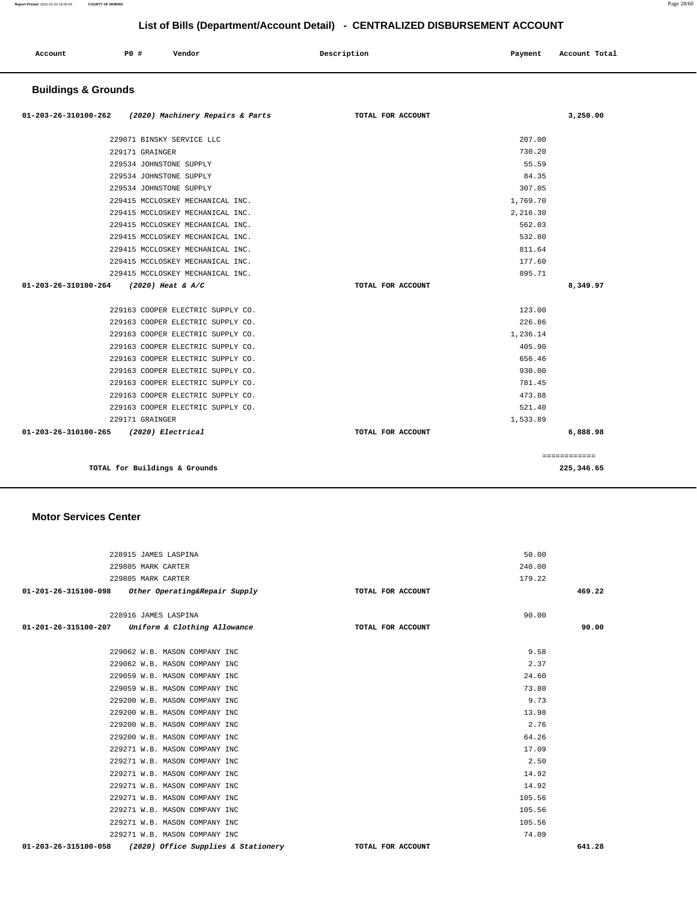| Account | PO# | Vendor | Description | Payment | Account Total |
|---------|-----|--------|-------------|---------|---------------|
|         |     |        |             |         |               |

## **Buildings & Grounds**

| 01-203-26-310100-262 (2020) Machinery Repairs & Parts | TOTAL FOR ACCOUNT |          | 3,250.00     |
|-------------------------------------------------------|-------------------|----------|--------------|
| 229071 BINSKY SERVICE LLC                             |                   | 207.00   |              |
| 229171 GRAINGER                                       |                   | 730.20   |              |
| 229534 JOHNSTONE SUPPLY                               |                   | 55.59    |              |
| 229534 JOHNSTONE SUPPLY                               |                   | 84.35    |              |
| 229534 JOHNSTONE SUPPLY                               |                   | 307.05   |              |
| 229415 MCCLOSKEY MECHANICAL INC.                      |                   | 1,769.70 |              |
| 229415 MCCLOSKEY MECHANICAL INC.                      |                   | 2,216.30 |              |
| 229415 MCCLOSKEY MECHANICAL INC.                      |                   | 562.03   |              |
| 229415 MCCLOSKEY MECHANICAL INC.                      |                   | 532.80   |              |
| 229415 MCCLOSKEY MECHANICAL INC.                      |                   | 811.64   |              |
| 229415 MCCLOSKEY MECHANICAL INC.                      |                   | 177.60   |              |
| 229415 MCCLOSKEY MECHANICAL INC.                      |                   | 895.71   |              |
| 01-203-26-310100-264<br>(2020) Heat & A/C             | TOTAL FOR ACCOUNT |          | 8,349.97     |
| 229163 COOPER ELECTRIC SUPPLY CO.                     |                   | 123.00   |              |
| 229163 COOPER ELECTRIC SUPPLY CO.                     |                   | 226.86   |              |
| 229163 COOPER ELECTRIC SUPPLY CO.                     |                   | 1,236.14 |              |
| 229163 COOPER ELECTRIC SUPPLY CO.                     |                   | 405.90   |              |
| 229163 COOPER ELECTRIC SUPPLY CO.                     |                   | 656.46   |              |
| 229163 COOPER ELECTRIC SUPPLY CO.                     |                   | 930.00   |              |
| 229163 COOPER ELECTRIC SUPPLY CO.                     |                   | 781.45   |              |
| 229163 COOPER ELECTRIC SUPPLY CO.                     |                   | 473.88   |              |
| 229163 COOPER ELECTRIC SUPPLY CO.                     |                   | 521.40   |              |
| 229171 GRAINGER                                       |                   | 1,533.89 |              |
| 01-203-26-310100-265 (2020) Electrical                | TOTAL FOR ACCOUNT |          | 6,888.98     |
|                                                       |                   |          | ============ |
| TOTAL for Buildings & Grounds                         |                   |          | 225, 346, 65 |

#### **Motor Services Center**

| 228915 JAMES LASPINA                               |                                     |                   | 50.00  |
|----------------------------------------------------|-------------------------------------|-------------------|--------|
|                                                    |                                     |                   |        |
| 229805 MARK CARTER                                 |                                     |                   | 240.00 |
| 229805 MARK CARTER                                 |                                     |                   | 179.22 |
| 01-201-26-315100-098 Other Operating&Repair Supply |                                     | TOTAL FOR ACCOUNT | 469.22 |
|                                                    |                                     |                   |        |
| 228916 JAMES LASPINA                               |                                     |                   | 90.00  |
| 01-201-26-315100-207 Uniform & Clothing Allowance  |                                     | TOTAL FOR ACCOUNT | 90.00  |
|                                                    |                                     |                   |        |
| 229062 W.B. MASON COMPANY INC                      |                                     |                   | 9.58   |
| 229062 W.B. MASON COMPANY INC                      |                                     |                   | 2.37   |
| 229059 W.B. MASON COMPANY INC                      |                                     |                   | 24.60  |
| 229059 W.B. MASON COMPANY INC                      |                                     |                   | 73.80  |
| 229200 W.B. MASON COMPANY INC                      |                                     |                   | 9.73   |
| 229200 W.B. MASON COMPANY INC                      |                                     |                   | 13.98  |
| 229200 W.B. MASON COMPANY INC                      |                                     |                   | 2.76   |
| 229200 W.B. MASON COMPANY INC                      |                                     |                   | 64.26  |
| 229271 W.B. MASON COMPANY INC                      |                                     |                   | 17.09  |
| 229271 W.B. MASON COMPANY INC                      |                                     |                   | 2.50   |
| 229271 W.B. MASON COMPANY INC                      |                                     |                   | 14.92  |
| 229271 W.B. MASON COMPANY INC                      |                                     |                   | 14.92  |
| 229271 W.B. MASON COMPANY INC                      |                                     |                   | 105.56 |
| 229271 W.B. MASON COMPANY INC                      |                                     |                   | 105.56 |
| 229271 W.B. MASON COMPANY INC                      |                                     |                   | 105.56 |
| 229271 W.B. MASON COMPANY INC                      |                                     |                   | 74.09  |
| 01-203-26-315100-058                               | (2020) Office Supplies & Stationery | TOTAL FOR ACCOUNT | 641.28 |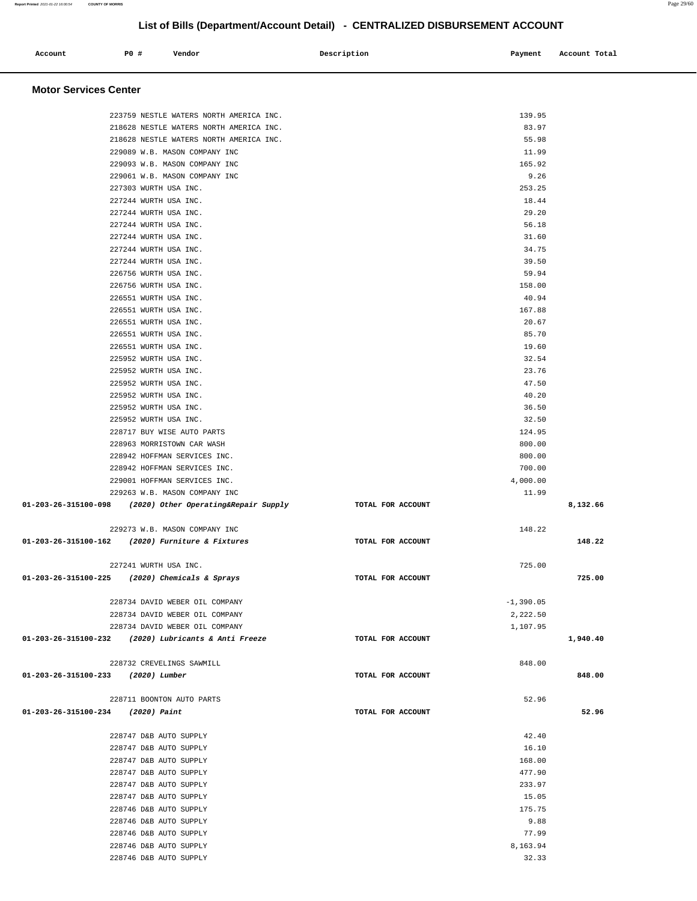| Account<br>. | PO# | Vendor | Description | Payment Account Total |
|--------------|-----|--------|-------------|-----------------------|
|              |     |        |             |                       |
|              |     |        |             |                       |

#### **Motor Services Center**

| 223759 NESTLE WATERS NORTH AMERICA INC.                      |                   |                   |          |
|--------------------------------------------------------------|-------------------|-------------------|----------|
|                                                              |                   | 139.95            |          |
| 218628 NESTLE WATERS NORTH AMERICA INC.                      |                   | 83.97             |          |
| 218628 NESTLE WATERS NORTH AMERICA INC.                      |                   | 55.98             |          |
| 229089 W.B. MASON COMPANY INC                                |                   | 11.99             |          |
| 229093 W.B. MASON COMPANY INC                                |                   | 165.92            |          |
| 229061 W.B. MASON COMPANY INC                                |                   | 9.26              |          |
|                                                              |                   | 253.25            |          |
| 227303 WURTH USA INC.                                        |                   |                   |          |
| 227244 WURTH USA INC.                                        |                   | 18.44             |          |
| 227244 WURTH USA INC.                                        |                   | 29.20             |          |
| 227244 WURTH USA INC.                                        |                   | 56.18             |          |
| 227244 WURTH USA INC.                                        |                   | 31.60             |          |
| 227244 WURTH USA INC.                                        |                   | 34.75             |          |
| 227244 WURTH USA INC.                                        |                   | 39.50             |          |
| 226756 WURTH USA INC.                                        |                   | 59.94             |          |
| 226756 WURTH USA INC.                                        |                   | 158.00            |          |
| 226551 WURTH USA INC.                                        |                   | 40.94             |          |
| 226551 WURTH USA INC.                                        |                   | 167.88            |          |
| 226551 WURTH USA INC.                                        |                   | 20.67             |          |
|                                                              |                   |                   |          |
| 226551 WURTH USA INC.                                        |                   | 85.70             |          |
| 226551 WURTH USA INC.                                        |                   | 19.60             |          |
| 225952 WURTH USA INC.                                        |                   | 32.54             |          |
| 225952 WURTH USA INC.                                        |                   | 23.76             |          |
| 225952 WURTH USA INC.                                        |                   | 47.50             |          |
| 225952 WURTH USA INC.                                        |                   | 40.20             |          |
| 225952 WURTH USA INC.                                        |                   | 36.50             |          |
| 225952 WURTH USA INC.                                        |                   | 32.50             |          |
| 228717 BUY WISE AUTO PARTS                                   |                   | 124.95            |          |
| 228963 MORRISTOWN CAR WASH                                   |                   | 800.00            |          |
| 228942 HOFFMAN SERVICES INC.                                 |                   | 800.00            |          |
| 228942 HOFFMAN SERVICES INC.                                 |                   | 700.00            |          |
|                                                              |                   |                   |          |
| 229001 HOFFMAN SERVICES INC.                                 |                   | 4,000.00          |          |
| 229263 W.B. MASON COMPANY INC                                |                   | 11.99             |          |
| $01-203-26-315100-098$ (2020) Other Operating& Repair Supply | TOTAL FOR ACCOUNT |                   | 8,132.66 |
|                                                              |                   |                   |          |
|                                                              |                   |                   |          |
| 229273 W.B. MASON COMPANY INC                                |                   | 148.22            |          |
| 01-203-26-315100-162 (2020) Furniture & Fixtures             | TOTAL FOR ACCOUNT |                   | 148.22   |
|                                                              |                   |                   |          |
| 227241 WURTH USA INC.                                        |                   | 725.00            |          |
| 01-203-26-315100-225 (2020) Chemicals & Sprays               | TOTAL FOR ACCOUNT |                   | 725.00   |
|                                                              |                   |                   |          |
| 228734 DAVID WEBER OIL COMPANY                               |                   |                   |          |
|                                                              |                   | $-1,390.05$       |          |
| 228734 DAVID WEBER OIL COMPANY                               |                   | 2,222.50          |          |
| 228734 DAVID WEBER OIL COMPANY                               |                   | 1,107.95          |          |
| 01-203-26-315100-232 (2020) Lubricants & Anti Freeze         | TOTAL FOR ACCOUNT |                   | 1,940.40 |
|                                                              |                   |                   |          |
| 228732 CREVELINGS SAWMILL                                    |                   | 848.00            |          |
| 01-203-26-315100-233 (2020) Lumber                           | TOTAL FOR ACCOUNT |                   | 848.00   |
|                                                              |                   |                   |          |
| 228711 BOONTON AUTO PARTS                                    |                   | 52.96             |          |
| 01-203-26-315100-234 (2020) Paint                            | TOTAL FOR ACCOUNT |                   | 52.96    |
|                                                              |                   |                   |          |
| 228747 D&B AUTO SUPPLY                                       |                   | 42.40             |          |
| 228747 D&B AUTO SUPPLY                                       |                   | 16.10             |          |
| 228747 D&B AUTO SUPPLY                                       |                   | 168.00            |          |
| 228747 D&B AUTO SUPPLY                                       |                   | 477.90            |          |
| 228747 D&B AUTO SUPPLY                                       |                   | 233.97            |          |
|                                                              |                   |                   |          |
| 228747 D&B AUTO SUPPLY                                       |                   | 15.05             |          |
| 228746 D&B AUTO SUPPLY                                       |                   | 175.75            |          |
| 228746 D&B AUTO SUPPLY                                       |                   | 9.88              |          |
| 228746 D&B AUTO SUPPLY                                       |                   | 77.99             |          |
| 228746 D&B AUTO SUPPLY<br>228746 D&B AUTO SUPPLY             |                   | 8,163.94<br>32.33 |          |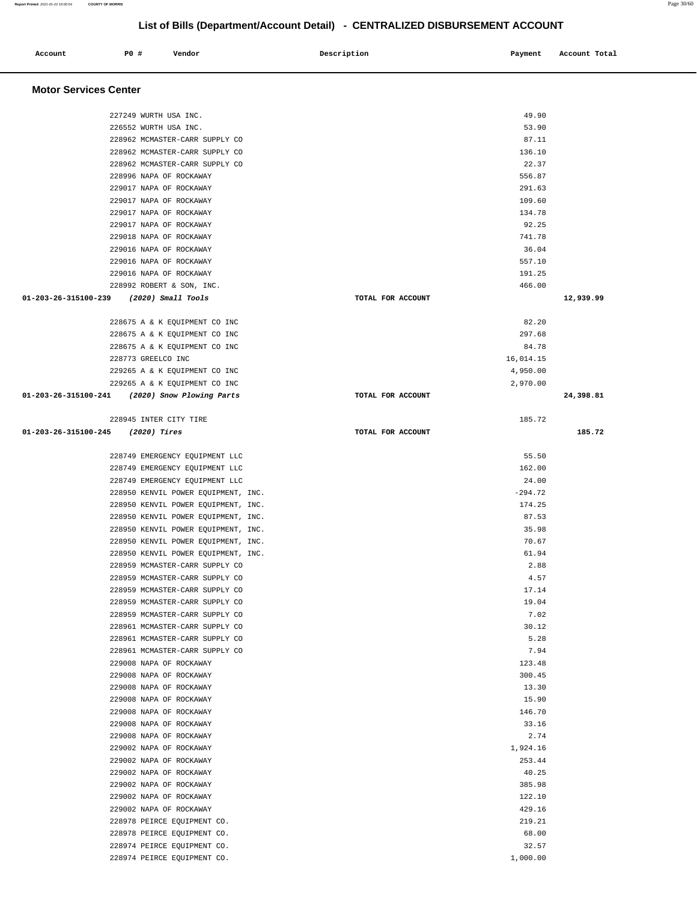227249 WURTH USA INC. 49.90 226552 WURTH USA INC. 53.90

| 228962 MCMASTER-CARR SUPPLY CO                                                                                                                                                                                                                                                                                                                                                                                                                                                                                                                                                                                                                                                                                                                                                                                                                                                                                                                                                                                                                                                                                                                                                                                                                                                                      |                   | 87.11     |           |
|-----------------------------------------------------------------------------------------------------------------------------------------------------------------------------------------------------------------------------------------------------------------------------------------------------------------------------------------------------------------------------------------------------------------------------------------------------------------------------------------------------------------------------------------------------------------------------------------------------------------------------------------------------------------------------------------------------------------------------------------------------------------------------------------------------------------------------------------------------------------------------------------------------------------------------------------------------------------------------------------------------------------------------------------------------------------------------------------------------------------------------------------------------------------------------------------------------------------------------------------------------------------------------------------------------|-------------------|-----------|-----------|
| 228962 MCMASTER-CARR SUPPLY CO                                                                                                                                                                                                                                                                                                                                                                                                                                                                                                                                                                                                                                                                                                                                                                                                                                                                                                                                                                                                                                                                                                                                                                                                                                                                      |                   | 136.10    |           |
| 228962 MCMASTER-CARR SUPPLY CO                                                                                                                                                                                                                                                                                                                                                                                                                                                                                                                                                                                                                                                                                                                                                                                                                                                                                                                                                                                                                                                                                                                                                                                                                                                                      |                   | 22.37     |           |
| 228996 NAPA OF ROCKAWAY                                                                                                                                                                                                                                                                                                                                                                                                                                                                                                                                                                                                                                                                                                                                                                                                                                                                                                                                                                                                                                                                                                                                                                                                                                                                             |                   | 556.87    |           |
| 229017 NAPA OF ROCKAWAY                                                                                                                                                                                                                                                                                                                                                                                                                                                                                                                                                                                                                                                                                                                                                                                                                                                                                                                                                                                                                                                                                                                                                                                                                                                                             |                   | 291.63    |           |
| 229017 NAPA OF ROCKAWAY                                                                                                                                                                                                                                                                                                                                                                                                                                                                                                                                                                                                                                                                                                                                                                                                                                                                                                                                                                                                                                                                                                                                                                                                                                                                             |                   | 109.60    |           |
| 229017 NAPA OF ROCKAWAY                                                                                                                                                                                                                                                                                                                                                                                                                                                                                                                                                                                                                                                                                                                                                                                                                                                                                                                                                                                                                                                                                                                                                                                                                                                                             |                   | 134.78    |           |
| 229017 NAPA OF ROCKAWAY                                                                                                                                                                                                                                                                                                                                                                                                                                                                                                                                                                                                                                                                                                                                                                                                                                                                                                                                                                                                                                                                                                                                                                                                                                                                             |                   | 92.25     |           |
| 229018 NAPA OF ROCKAWAY                                                                                                                                                                                                                                                                                                                                                                                                                                                                                                                                                                                                                                                                                                                                                                                                                                                                                                                                                                                                                                                                                                                                                                                                                                                                             |                   | 741.78    |           |
| 229016 NAPA OF ROCKAWAY                                                                                                                                                                                                                                                                                                                                                                                                                                                                                                                                                                                                                                                                                                                                                                                                                                                                                                                                                                                                                                                                                                                                                                                                                                                                             |                   | 36.04     |           |
| 229016 NAPA OF ROCKAWAY                                                                                                                                                                                                                                                                                                                                                                                                                                                                                                                                                                                                                                                                                                                                                                                                                                                                                                                                                                                                                                                                                                                                                                                                                                                                             |                   | 557.10    |           |
| 229016 NAPA OF ROCKAWAY                                                                                                                                                                                                                                                                                                                                                                                                                                                                                                                                                                                                                                                                                                                                                                                                                                                                                                                                                                                                                                                                                                                                                                                                                                                                             |                   | 191.25    |           |
| 228992 ROBERT & SON, INC.                                                                                                                                                                                                                                                                                                                                                                                                                                                                                                                                                                                                                                                                                                                                                                                                                                                                                                                                                                                                                                                                                                                                                                                                                                                                           |                   | 466.00    |           |
| 01-203-26-315100-239 (2020) Small Tools                                                                                                                                                                                                                                                                                                                                                                                                                                                                                                                                                                                                                                                                                                                                                                                                                                                                                                                                                                                                                                                                                                                                                                                                                                                             | TOTAL FOR ACCOUNT |           | 12,939.99 |
|                                                                                                                                                                                                                                                                                                                                                                                                                                                                                                                                                                                                                                                                                                                                                                                                                                                                                                                                                                                                                                                                                                                                                                                                                                                                                                     |                   |           |           |
|                                                                                                                                                                                                                                                                                                                                                                                                                                                                                                                                                                                                                                                                                                                                                                                                                                                                                                                                                                                                                                                                                                                                                                                                                                                                                                     |                   | 82.20     |           |
|                                                                                                                                                                                                                                                                                                                                                                                                                                                                                                                                                                                                                                                                                                                                                                                                                                                                                                                                                                                                                                                                                                                                                                                                                                                                                                     |                   | 297.68    |           |
|                                                                                                                                                                                                                                                                                                                                                                                                                                                                                                                                                                                                                                                                                                                                                                                                                                                                                                                                                                                                                                                                                                                                                                                                                                                                                                     |                   | 84.78     |           |
|                                                                                                                                                                                                                                                                                                                                                                                                                                                                                                                                                                                                                                                                                                                                                                                                                                                                                                                                                                                                                                                                                                                                                                                                                                                                                                     |                   | 16,014.15 |           |
|                                                                                                                                                                                                                                                                                                                                                                                                                                                                                                                                                                                                                                                                                                                                                                                                                                                                                                                                                                                                                                                                                                                                                                                                                                                                                                     |                   | 4,950.00  |           |
|                                                                                                                                                                                                                                                                                                                                                                                                                                                                                                                                                                                                                                                                                                                                                                                                                                                                                                                                                                                                                                                                                                                                                                                                                                                                                                     |                   | 2,970.00  |           |
|                                                                                                                                                                                                                                                                                                                                                                                                                                                                                                                                                                                                                                                                                                                                                                                                                                                                                                                                                                                                                                                                                                                                                                                                                                                                                                     | TOTAL FOR ACCOUNT |           | 24,398.81 |
|                                                                                                                                                                                                                                                                                                                                                                                                                                                                                                                                                                                                                                                                                                                                                                                                                                                                                                                                                                                                                                                                                                                                                                                                                                                                                                     |                   |           |           |
|                                                                                                                                                                                                                                                                                                                                                                                                                                                                                                                                                                                                                                                                                                                                                                                                                                                                                                                                                                                                                                                                                                                                                                                                                                                                                                     |                   | 185.72    |           |
| 228675 A & K EQUIPMENT CO INC<br>228675 A & K EQUIPMENT CO INC<br>228675 A & K EQUIPMENT CO INC<br>228773 GREELCO INC<br>229265 A & K EQUIPMENT CO INC<br>229265 A & K EQUIPMENT CO INC<br>01-203-26-315100-241 (2020) Snow Plowing Parts<br>228945 INTER CITY TIRE<br>$01-203-26-315100-245$ (2020) Tires<br>TOTAL FOR ACCOUNT<br>228749 EMERGENCY EQUIPMENT LLC<br>228749 EMERGENCY EQUIPMENT LLC<br>228749 EMERGENCY EQUIPMENT LLC<br>228950 KENVIL POWER EQUIPMENT, INC.<br>228950 KENVIL POWER EQUIPMENT, INC.<br>228950 KENVIL POWER EQUIPMENT, INC.<br>228950 KENVIL POWER EQUIPMENT, INC.<br>228950 KENVIL POWER EQUIPMENT, INC.<br>228950 KENVIL POWER EQUIPMENT, INC.<br>228959 MCMASTER-CARR SUPPLY CO<br>228959 MCMASTER-CARR SUPPLY CO<br>228959 MCMASTER-CARR SUPPLY CO<br>228959 MCMASTER-CARR SUPPLY CO<br>228959 MCMASTER-CARR SUPPLY CO<br>228961 MCMASTER-CARR SUPPLY CO<br>228961 MCMASTER-CARR SUPPLY CO<br>228961 MCMASTER-CARR SUPPLY CO<br>229008 NAPA OF ROCKAWAY<br>229008 NAPA OF ROCKAWAY<br>229008 NAPA OF ROCKAWAY<br>229008 NAPA OF ROCKAWAY<br>229008 NAPA OF ROCKAWAY<br>229008 NAPA OF ROCKAWAY<br>229008 NAPA OF ROCKAWAY<br>229002 NAPA OF ROCKAWAY<br>229002 NAPA OF ROCKAWAY<br>229002 NAPA OF ROCKAWAY<br>229002 NAPA OF ROCKAWAY<br>229002 NAPA OF ROCKAWAY |                   |           | 185.72    |
|                                                                                                                                                                                                                                                                                                                                                                                                                                                                                                                                                                                                                                                                                                                                                                                                                                                                                                                                                                                                                                                                                                                                                                                                                                                                                                     |                   |           |           |
|                                                                                                                                                                                                                                                                                                                                                                                                                                                                                                                                                                                                                                                                                                                                                                                                                                                                                                                                                                                                                                                                                                                                                                                                                                                                                                     |                   | 55.50     |           |
|                                                                                                                                                                                                                                                                                                                                                                                                                                                                                                                                                                                                                                                                                                                                                                                                                                                                                                                                                                                                                                                                                                                                                                                                                                                                                                     |                   | 162.00    |           |
|                                                                                                                                                                                                                                                                                                                                                                                                                                                                                                                                                                                                                                                                                                                                                                                                                                                                                                                                                                                                                                                                                                                                                                                                                                                                                                     |                   | 24.00     |           |
|                                                                                                                                                                                                                                                                                                                                                                                                                                                                                                                                                                                                                                                                                                                                                                                                                                                                                                                                                                                                                                                                                                                                                                                                                                                                                                     |                   | $-294.72$ |           |
|                                                                                                                                                                                                                                                                                                                                                                                                                                                                                                                                                                                                                                                                                                                                                                                                                                                                                                                                                                                                                                                                                                                                                                                                                                                                                                     |                   | 174.25    |           |
|                                                                                                                                                                                                                                                                                                                                                                                                                                                                                                                                                                                                                                                                                                                                                                                                                                                                                                                                                                                                                                                                                                                                                                                                                                                                                                     |                   | 87.53     |           |
|                                                                                                                                                                                                                                                                                                                                                                                                                                                                                                                                                                                                                                                                                                                                                                                                                                                                                                                                                                                                                                                                                                                                                                                                                                                                                                     |                   | 35.98     |           |
|                                                                                                                                                                                                                                                                                                                                                                                                                                                                                                                                                                                                                                                                                                                                                                                                                                                                                                                                                                                                                                                                                                                                                                                                                                                                                                     |                   | 70.67     |           |
|                                                                                                                                                                                                                                                                                                                                                                                                                                                                                                                                                                                                                                                                                                                                                                                                                                                                                                                                                                                                                                                                                                                                                                                                                                                                                                     |                   | 61.94     |           |
|                                                                                                                                                                                                                                                                                                                                                                                                                                                                                                                                                                                                                                                                                                                                                                                                                                                                                                                                                                                                                                                                                                                                                                                                                                                                                                     |                   | 2.88      |           |
|                                                                                                                                                                                                                                                                                                                                                                                                                                                                                                                                                                                                                                                                                                                                                                                                                                                                                                                                                                                                                                                                                                                                                                                                                                                                                                     |                   | 4.57      |           |
|                                                                                                                                                                                                                                                                                                                                                                                                                                                                                                                                                                                                                                                                                                                                                                                                                                                                                                                                                                                                                                                                                                                                                                                                                                                                                                     |                   | 17.14     |           |
|                                                                                                                                                                                                                                                                                                                                                                                                                                                                                                                                                                                                                                                                                                                                                                                                                                                                                                                                                                                                                                                                                                                                                                                                                                                                                                     |                   | 19.04     |           |
|                                                                                                                                                                                                                                                                                                                                                                                                                                                                                                                                                                                                                                                                                                                                                                                                                                                                                                                                                                                                                                                                                                                                                                                                                                                                                                     |                   | 7.02      |           |
|                                                                                                                                                                                                                                                                                                                                                                                                                                                                                                                                                                                                                                                                                                                                                                                                                                                                                                                                                                                                                                                                                                                                                                                                                                                                                                     |                   | 30.12     |           |
|                                                                                                                                                                                                                                                                                                                                                                                                                                                                                                                                                                                                                                                                                                                                                                                                                                                                                                                                                                                                                                                                                                                                                                                                                                                                                                     |                   | 5.28      |           |
|                                                                                                                                                                                                                                                                                                                                                                                                                                                                                                                                                                                                                                                                                                                                                                                                                                                                                                                                                                                                                                                                                                                                                                                                                                                                                                     |                   | 7.94      |           |
|                                                                                                                                                                                                                                                                                                                                                                                                                                                                                                                                                                                                                                                                                                                                                                                                                                                                                                                                                                                                                                                                                                                                                                                                                                                                                                     |                   | 123.48    |           |
|                                                                                                                                                                                                                                                                                                                                                                                                                                                                                                                                                                                                                                                                                                                                                                                                                                                                                                                                                                                                                                                                                                                                                                                                                                                                                                     |                   | 300.45    |           |
|                                                                                                                                                                                                                                                                                                                                                                                                                                                                                                                                                                                                                                                                                                                                                                                                                                                                                                                                                                                                                                                                                                                                                                                                                                                                                                     |                   | 13.30     |           |
|                                                                                                                                                                                                                                                                                                                                                                                                                                                                                                                                                                                                                                                                                                                                                                                                                                                                                                                                                                                                                                                                                                                                                                                                                                                                                                     |                   | 15.90     |           |
|                                                                                                                                                                                                                                                                                                                                                                                                                                                                                                                                                                                                                                                                                                                                                                                                                                                                                                                                                                                                                                                                                                                                                                                                                                                                                                     |                   | 146.70    |           |
|                                                                                                                                                                                                                                                                                                                                                                                                                                                                                                                                                                                                                                                                                                                                                                                                                                                                                                                                                                                                                                                                                                                                                                                                                                                                                                     |                   | 33.16     |           |
|                                                                                                                                                                                                                                                                                                                                                                                                                                                                                                                                                                                                                                                                                                                                                                                                                                                                                                                                                                                                                                                                                                                                                                                                                                                                                                     |                   | 2.74      |           |
|                                                                                                                                                                                                                                                                                                                                                                                                                                                                                                                                                                                                                                                                                                                                                                                                                                                                                                                                                                                                                                                                                                                                                                                                                                                                                                     |                   | 1,924.16  |           |
|                                                                                                                                                                                                                                                                                                                                                                                                                                                                                                                                                                                                                                                                                                                                                                                                                                                                                                                                                                                                                                                                                                                                                                                                                                                                                                     |                   | 253.44    |           |
|                                                                                                                                                                                                                                                                                                                                                                                                                                                                                                                                                                                                                                                                                                                                                                                                                                                                                                                                                                                                                                                                                                                                                                                                                                                                                                     |                   | 40.25     |           |
|                                                                                                                                                                                                                                                                                                                                                                                                                                                                                                                                                                                                                                                                                                                                                                                                                                                                                                                                                                                                                                                                                                                                                                                                                                                                                                     |                   | 385.98    |           |
|                                                                                                                                                                                                                                                                                                                                                                                                                                                                                                                                                                                                                                                                                                                                                                                                                                                                                                                                                                                                                                                                                                                                                                                                                                                                                                     |                   | 122.10    |           |
|                                                                                                                                                                                                                                                                                                                                                                                                                                                                                                                                                                                                                                                                                                                                                                                                                                                                                                                                                                                                                                                                                                                                                                                                                                                                                                     |                   |           |           |

 229002 NAPA OF ROCKAWAY 429.16 228978 PEIRCE EQUIPMENT CO. 219.21 228978 PEIRCE EQUIPMENT CO. 68.00 228974 PEIRCE EQUIPMENT CO. 32.57 228974 PEIRCE EQUIPMENT CO. 1,000.00

## **Account** 20 **P P**  $\uparrow$  **Payment** Payment Account Total

 **Motor Services Center**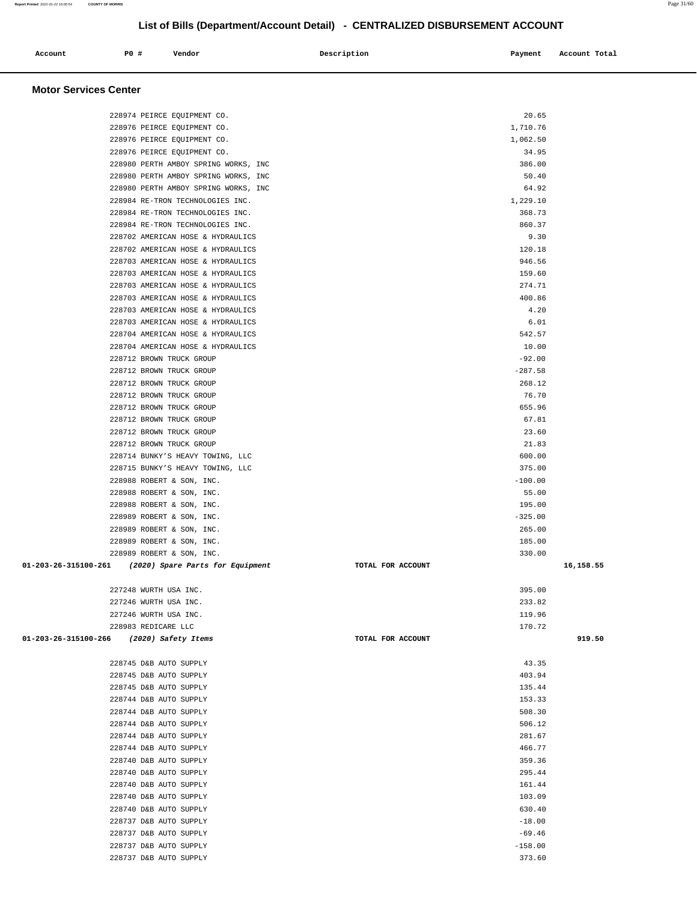| Account                                  | P0 #                  | Vendor                                                       | Description       | Payment              | Account Total |  |
|------------------------------------------|-----------------------|--------------------------------------------------------------|-------------------|----------------------|---------------|--|
|                                          |                       |                                                              |                   |                      |               |  |
|                                          |                       |                                                              |                   |                      |               |  |
| <b>Motor Services Center</b>             |                       |                                                              |                   |                      |               |  |
|                                          |                       |                                                              |                   |                      |               |  |
|                                          |                       | 228974 PEIRCE EQUIPMENT CO.                                  |                   | 20.65                |               |  |
|                                          |                       | 228976 PEIRCE EQUIPMENT CO.<br>228976 PEIRCE EQUIPMENT CO.   |                   | 1,710.76<br>1,062.50 |               |  |
|                                          |                       | 228976 PEIRCE EQUIPMENT CO.                                  |                   | 34.95                |               |  |
|                                          |                       | 228980 PERTH AMBOY SPRING WORKS, INC                         |                   | 386.00               |               |  |
|                                          |                       | 228980 PERTH AMBOY SPRING WORKS, INC                         |                   | 50.40                |               |  |
|                                          |                       | 228980 PERTH AMBOY SPRING WORKS, INC                         |                   | 64.92                |               |  |
|                                          |                       | 228984 RE-TRON TECHNOLOGIES INC.                             |                   | 1,229.10             |               |  |
|                                          |                       | 228984 RE-TRON TECHNOLOGIES INC.                             |                   | 368.73               |               |  |
|                                          |                       | 228984 RE-TRON TECHNOLOGIES INC.                             |                   | 860.37               |               |  |
|                                          |                       | 228702 AMERICAN HOSE & HYDRAULICS                            |                   | 9.30                 |               |  |
|                                          |                       | 228702 AMERICAN HOSE & HYDRAULICS                            |                   | 120.18               |               |  |
|                                          |                       | 228703 AMERICAN HOSE & HYDRAULICS                            |                   | 946.56               |               |  |
|                                          |                       | 228703 AMERICAN HOSE & HYDRAULICS                            |                   | 159.60               |               |  |
|                                          |                       | 228703 AMERICAN HOSE & HYDRAULICS                            |                   | 274.71               |               |  |
|                                          |                       | 228703 AMERICAN HOSE & HYDRAULICS                            |                   | 400.86               |               |  |
|                                          |                       | 228703 AMERICAN HOSE & HYDRAULICS                            |                   | 4.20                 |               |  |
|                                          |                       | 228703 AMERICAN HOSE & HYDRAULICS                            |                   | 6.01                 |               |  |
|                                          |                       | 228704 AMERICAN HOSE & HYDRAULICS                            |                   | 542.57               |               |  |
|                                          |                       | 228704 AMERICAN HOSE & HYDRAULICS                            |                   | 10.00                |               |  |
|                                          |                       | 228712 BROWN TRUCK GROUP                                     |                   | $-92.00$             |               |  |
|                                          |                       | 228712 BROWN TRUCK GROUP                                     |                   | $-287.58$            |               |  |
|                                          |                       | 228712 BROWN TRUCK GROUP                                     |                   | 268.12               |               |  |
|                                          |                       | 228712 BROWN TRUCK GROUP                                     |                   | 76.70                |               |  |
|                                          |                       | 228712 BROWN TRUCK GROUP                                     |                   | 655.96               |               |  |
|                                          |                       | 228712 BROWN TRUCK GROUP                                     |                   | 67.81                |               |  |
|                                          |                       | 228712 BROWN TRUCK GROUP                                     |                   | 23.60                |               |  |
|                                          |                       | 228712 BROWN TRUCK GROUP<br>228714 BUNKY'S HEAVY TOWING, LLC |                   | 21.83<br>600.00      |               |  |
|                                          |                       | 228715 BUNKY'S HEAVY TOWING, LLC                             |                   | 375.00               |               |  |
|                                          |                       | 228988 ROBERT & SON, INC.                                    |                   | $-100.00$            |               |  |
|                                          |                       | 228988 ROBERT & SON, INC.                                    |                   | 55.00                |               |  |
|                                          |                       | 228988 ROBERT & SON, INC.                                    |                   | 195.00               |               |  |
|                                          |                       | 228989 ROBERT & SON, INC.                                    |                   | $-325.00$            |               |  |
|                                          |                       | 228989 ROBERT & SON, INC.                                    |                   | 265.00               |               |  |
|                                          |                       | 228989 ROBERT & SON, INC.                                    |                   | 185.00               |               |  |
|                                          |                       | 228989 ROBERT & SON, INC.                                    |                   | 330.00               |               |  |
| 01-203-26-315100-261                     |                       | (2020) Spare Parts for Equipment                             | TOTAL FOR ACCOUNT |                      | 16,158.55     |  |
|                                          |                       |                                                              |                   |                      |               |  |
|                                          | 227248 WURTH USA INC. |                                                              |                   | 395.00               |               |  |
|                                          | 227246 WURTH USA INC. |                                                              |                   | 233.82               |               |  |
|                                          | 227246 WURTH USA INC. |                                                              |                   | 119.96               |               |  |
|                                          | 228983 REDICARE LLC   |                                                              |                   | 170.72               |               |  |
| 01-203-26-315100-266 (2020) Safety Items |                       |                                                              | TOTAL FOR ACCOUNT |                      | 919.50        |  |
|                                          |                       |                                                              |                   |                      |               |  |
|                                          |                       | 228745 D&B AUTO SUPPLY                                       |                   | 43.35                |               |  |
|                                          |                       | 228745 D&B AUTO SUPPLY                                       |                   | 403.94               |               |  |
|                                          |                       | 228745 D&B AUTO SUPPLY                                       |                   | 135.44               |               |  |
|                                          |                       | 228744 D&B AUTO SUPPLY                                       |                   | 153.33               |               |  |
|                                          |                       | 228744 D&B AUTO SUPPLY                                       |                   | 508.30               |               |  |
|                                          |                       | 228744 D&B AUTO SUPPLY                                       |                   | 506.12               |               |  |
|                                          |                       | 228744 D&B AUTO SUPPLY<br>228744 D&B AUTO SUPPLY             |                   | 281.67<br>466.77     |               |  |
|                                          |                       | 228740 D&B AUTO SUPPLY                                       |                   | 359.36               |               |  |
|                                          |                       | 228740 D&B AUTO SUPPLY                                       |                   | 295.44               |               |  |
|                                          |                       | 228740 D&B AUTO SUPPLY                                       |                   | 161.44               |               |  |
|                                          |                       | 228740 D&B AUTO SUPPLY                                       |                   | 103.09               |               |  |
|                                          |                       | 228740 D&B AUTO SUPPLY                                       |                   | 630.40               |               |  |
|                                          |                       | 228737 D&B AUTO SUPPLY                                       |                   | $-18.00$             |               |  |
|                                          |                       | 228737 D&B AUTO SUPPLY                                       |                   | $-69.46$             |               |  |
|                                          |                       | 228737 D&B AUTO SUPPLY                                       |                   | $-158.00$            |               |  |
|                                          |                       |                                                              |                   |                      |               |  |

228737 D&B AUTO SUPPLY 373.60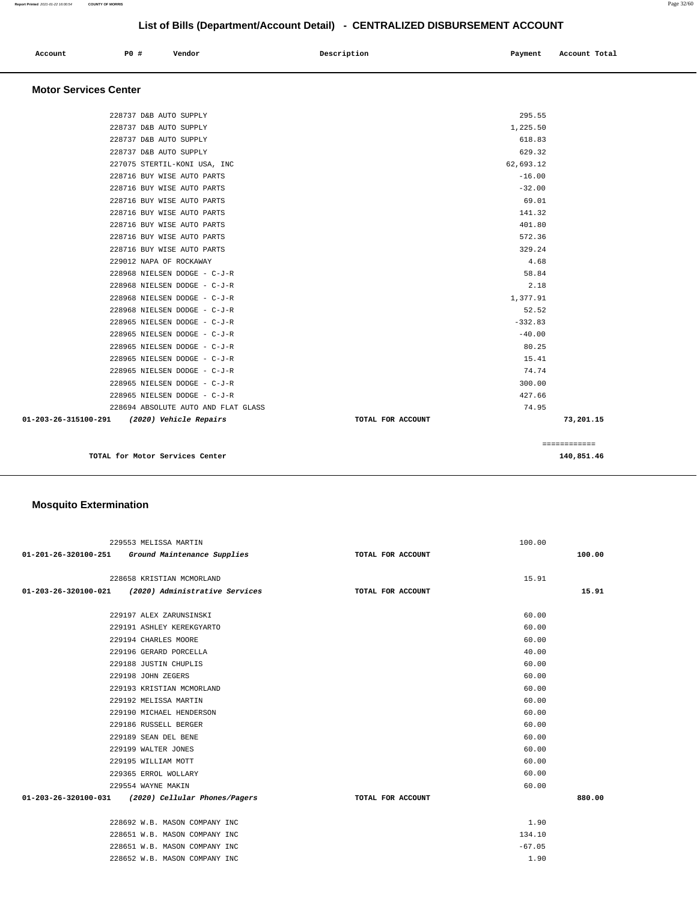| Account | P0 # | Vendor | Description | Payment Account Total |
|---------|------|--------|-------------|-----------------------|
|         |      |        |             |                       |

#### **Motor Services Center**

| TOTAL for Motor Services Center                | 140,851.46                     |
|------------------------------------------------|--------------------------------|
|                                                | ============                   |
| 01-203-26-315100-291<br>(2020) Vehicle Repairs | 73,201.15<br>TOTAL FOR ACCOUNT |
| 228694 ABSOLUTE AUTO AND FLAT GLASS            | 74.95                          |
| 228965 NIELSEN DODGE - C-J-R                   | 427.66                         |
| 228965 NIELSEN DODGE - C-J-R                   | 300.00                         |
| 228965 NIELSEN DODGE - C-J-R                   | 74.74                          |
| 228965 NIELSEN DODGE - C-J-R                   | 15.41                          |
| 228965 NIELSEN DODGE - C-J-R                   | 80.25                          |
| 228965 NIELSEN DODGE - C-J-R                   | $-40.00$                       |
| 228965 NIELSEN DODGE - C-J-R                   | $-332.83$                      |
| 228968 NIELSEN DODGE - C-J-R                   | 52.52                          |
| 228968 NIELSEN DODGE - C-J-R                   | 1,377.91                       |
| 228968 NIELSEN DODGE - C-J-R                   | 2.18                           |
| 228968 NIELSEN DODGE - C-J-R                   | 58.84                          |
| 229012 NAPA OF ROCKAWAY                        | 4.68                           |
| 228716 BUY WISE AUTO PARTS                     | 329.24                         |
| 228716 BUY WISE AUTO PARTS                     | 572.36                         |
| 228716 BUY WISE AUTO PARTS                     | 401.80                         |
| 228716 BUY WISE AUTO PARTS                     | 141.32                         |
| 228716 BUY WISE AUTO PARTS                     | 69.01                          |
| 228716 BUY WISE AUTO PARTS                     | $-32.00$                       |
| 228716 BUY WISE AUTO PARTS                     | $-16.00$                       |
| 227075 STERTIL-KONI USA, INC                   | 62,693.12                      |
| 228737 D&B AUTO SUPPLY                         | 629.32                         |
| 228737 D&B AUTO SUPPLY                         | 618.83                         |
| 228737 D&B AUTO SUPPLY                         | 1,225.50                       |
| 228737 D&B AUTO SUPPLY                         | 295.55                         |

## **Mosquito Extermination**

| 229553 MELISSA MARTIN                               | 100.00            |        |
|-----------------------------------------------------|-------------------|--------|
| 01-201-26-320100-251 Ground Maintenance Supplies    | TOTAL FOR ACCOUNT | 100.00 |
|                                                     |                   |        |
| 228658 KRISTIAN MCMORLAND                           |                   | 15.91  |
| 01-203-26-320100-021 (2020) Administrative Services | TOTAL FOR ACCOUNT | 15.91  |
| 229197 ALEX ZARUNSINSKI                             |                   | 60.00  |
|                                                     |                   | 60.00  |
| 229191 ASHLEY KEREKGYARTO                           |                   |        |
| 229194 CHARLES MOORE                                |                   | 60.00  |
| 229196 GERARD PORCELLA                              |                   | 40.00  |
| 229188 JUSTIN CHUPLIS                               |                   | 60.00  |
| 229198 JOHN ZEGERS                                  |                   | 60.00  |
| 229193 KRISTIAN MCMORLAND                           |                   | 60.00  |
| 229192 MELISSA MARTIN                               |                   | 60.00  |
| 229190 MICHAEL HENDERSON                            |                   | 60.00  |
| 229186 RUSSELL BERGER                               |                   | 60.00  |
| 229189 SEAN DEL BENE                                |                   | 60.00  |
| 229199 WALTER JONES                                 |                   | 60.00  |
| 229195 WILLIAM MOTT                                 |                   | 60.00  |
| 229365 ERROL WOLLARY                                |                   | 60.00  |
| 229554 WAYNE MAKIN                                  |                   | 60.00  |
| 01-203-26-320100-031 (2020) Cellular Phones/Pagers  | TOTAL FOR ACCOUNT | 880.00 |
|                                                     |                   |        |
| 228692 W.B. MASON COMPANY INC                       |                   | 1.90   |
| 228651 W.B. MASON COMPANY INC                       | 134.10            |        |
| 228651 W.B. MASON COMPANY INC                       | $-67.05$          |        |
| 228652 W.B. MASON COMPANY INC                       |                   | 1.90   |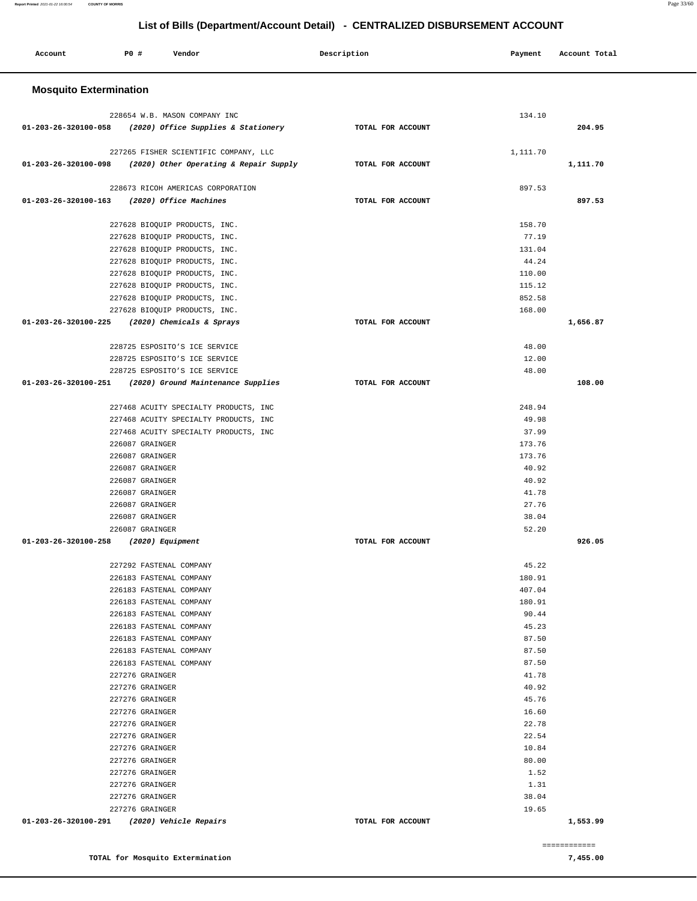#### **Report Printed** 2021-01-22 16:00:54 **COUNTY OF MORRIS** Page 33/60

## **List of Bills (Department/Account Detail) - CENTRALIZED DISBURSEMENT ACCOUNT**

| Account                       | P0 #                                               | Vendor                                 | Description       | Payment        | Account Total |  |
|-------------------------------|----------------------------------------------------|----------------------------------------|-------------------|----------------|---------------|--|
| <b>Mosquito Extermination</b> |                                                    |                                        |                   |                |               |  |
|                               |                                                    | 228654 W.B. MASON COMPANY INC          |                   | 134.10         |               |  |
| 01-203-26-320100-058          |                                                    | (2020) Office Supplies & Stationery    | TOTAL FOR ACCOUNT |                | 204.95        |  |
|                               |                                                    | 227265 FISHER SCIENTIFIC COMPANY, LLC  |                   | 1,111.70       |               |  |
| 01-203-26-320100-098          |                                                    | (2020) Other Operating & Repair Supply | TOTAL FOR ACCOUNT |                | 1,111.70      |  |
|                               |                                                    | 228673 RICOH AMERICAS CORPORATION      |                   | 897.53         |               |  |
| 01-203-26-320100-163          |                                                    | (2020) Office Machines                 | TOTAL FOR ACCOUNT |                | 897.53        |  |
|                               |                                                    | 227628 BIOQUIP PRODUCTS, INC.          |                   | 158.70         |               |  |
|                               |                                                    | 227628 BIOQUIP PRODUCTS, INC.          |                   | 77.19          |               |  |
|                               |                                                    | 227628 BIOQUIP PRODUCTS, INC.          |                   | 131.04         |               |  |
|                               |                                                    | 227628 BIOQUIP PRODUCTS, INC.          |                   | 44.24          |               |  |
|                               |                                                    | 227628 BIOQUIP PRODUCTS, INC.          |                   | 110.00         |               |  |
|                               |                                                    | 227628 BIOQUIP PRODUCTS, INC.          |                   | 115.12         |               |  |
|                               |                                                    | 227628 BIOQUIP PRODUCTS, INC.          |                   | 852.58         |               |  |
|                               |                                                    | 227628 BIOQUIP PRODUCTS, INC.          |                   | 168.00         |               |  |
| 01-203-26-320100-225          |                                                    | (2020) Chemicals & Sprays              | TOTAL FOR ACCOUNT |                | 1,656.87      |  |
|                               |                                                    | 228725 ESPOSITO'S ICE SERVICE          |                   | 48.00          |               |  |
|                               |                                                    | 228725 ESPOSITO'S ICE SERVICE          |                   | 12.00          |               |  |
|                               |                                                    | 228725 ESPOSITO'S ICE SERVICE          |                   | 48.00          |               |  |
| 01-203-26-320100-251          |                                                    | (2020) Ground Maintenance Supplies     | TOTAL FOR ACCOUNT |                | 108.00        |  |
|                               |                                                    | 227468 ACUITY SPECIALTY PRODUCTS, INC  |                   | 248.94         |               |  |
|                               |                                                    | 227468 ACUITY SPECIALTY PRODUCTS, INC  |                   | 49.98          |               |  |
|                               |                                                    | 227468 ACUITY SPECIALTY PRODUCTS, INC  |                   | 37.99          |               |  |
|                               | 226087 GRAINGER                                    |                                        |                   | 173.76         |               |  |
|                               | 226087 GRAINGER                                    |                                        |                   | 173.76         |               |  |
|                               | 226087 GRAINGER                                    |                                        |                   | 40.92          |               |  |
|                               | 226087 GRAINGER                                    |                                        |                   | 40.92          |               |  |
|                               | 226087 GRAINGER                                    |                                        |                   | 41.78          |               |  |
|                               | 226087 GRAINGER                                    |                                        |                   | 27.76          |               |  |
|                               | 226087 GRAINGER                                    |                                        |                   | 38.04          |               |  |
|                               | 226087 GRAINGER                                    |                                        |                   | 52.20          |               |  |
| 01-203-26-320100-258          | (2020) Equipment                                   |                                        | TOTAL FOR ACCOUNT |                | 926.05        |  |
|                               | 227292 FASTENAL COMPANY                            |                                        |                   | 45.22          |               |  |
|                               | 226183 FASTENAL COMPANY                            |                                        |                   | 180.91         |               |  |
|                               | 226183 FASTENAL COMPANY                            |                                        |                   | 407.04         |               |  |
|                               | 226183 FASTENAL COMPANY                            |                                        |                   | 180.91         |               |  |
|                               | 226183 FASTENAL COMPANY                            |                                        |                   | 90.44          |               |  |
|                               | 226183 FASTENAL COMPANY                            |                                        |                   | 45.23          |               |  |
|                               | 226183 FASTENAL COMPANY                            |                                        |                   | 87.50<br>87.50 |               |  |
|                               | 226183 FASTENAL COMPANY<br>226183 FASTENAL COMPANY |                                        |                   | 87.50          |               |  |
|                               | 227276 GRAINGER                                    |                                        |                   | 41.78          |               |  |
|                               | 227276 GRAINGER                                    |                                        |                   | 40.92          |               |  |
|                               | 227276 GRAINGER                                    |                                        |                   | 45.76          |               |  |
|                               | 227276 GRAINGER                                    |                                        |                   | 16.60          |               |  |
|                               | 227276 GRAINGER                                    |                                        |                   | 22.78          |               |  |
|                               | 227276 GRAINGER                                    |                                        |                   | 22.54          |               |  |
|                               | 227276 GRAINGER                                    |                                        |                   | 10.84          |               |  |
|                               | 227276 GRAINGER                                    |                                        |                   | 80.00          |               |  |
|                               | 227276 GRAINGER                                    |                                        |                   | 1.52           |               |  |
|                               | 227276 GRAINGER                                    |                                        |                   | 1.31           |               |  |
|                               | 227276 GRAINGER                                    |                                        |                   | 38.04          |               |  |
|                               | 227276 GRAINGER                                    |                                        |                   | 19.65          |               |  |
| 01-203-26-320100-291          |                                                    | (2020) Vehicle Repairs                 | TOTAL FOR ACCOUNT |                | 1,553.99      |  |
|                               |                                                    |                                        |                   |                | ============  |  |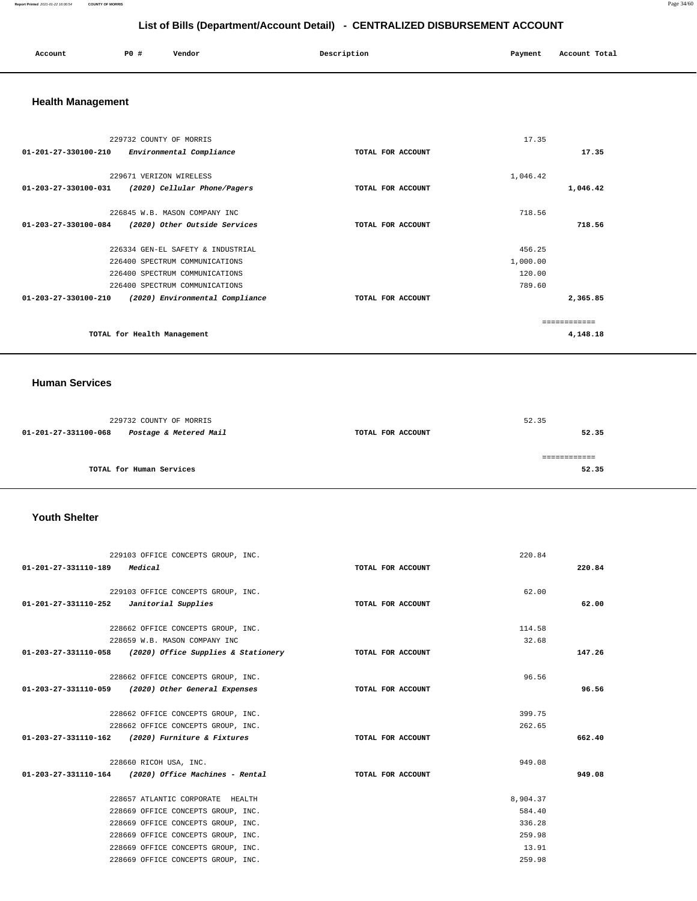#### **Report Printed** 2021-01-22 16:00:54 **COUNTY OF MORRIS** Page 34/60

## **List of Bills (Department/Account Detail) - CENTRALIZED DISBURSEMENT ACCOUNT**

| Account | P <sub>0</sub> | Vendor | Description | Payment | Account Total |
|---------|----------------|--------|-------------|---------|---------------|
|         |                |        |             |         |               |

## **Health Management**

| 229732 COUNTY OF MORRIS                                           |                   | 17.35    |        |
|-------------------------------------------------------------------|-------------------|----------|--------|
| $01 - 201 - 27 - 330100 - 210$<br>Environmental Compliance        | TOTAL FOR ACCOUNT |          | 17.35  |
| 229671 VERIZON WIRELESS                                           |                   | 1,046.42 |        |
| $01 - 203 - 27 - 330100 - 031$<br>(2020) Cellular Phone/Pagers    | TOTAL FOR ACCOUNT | 1,046.42 |        |
| 226845 W.B. MASON COMPANY INC                                     |                   | 718.56   |        |
| 01-203-27-330100-084<br>(2020) Other Outside Services             | TOTAL FOR ACCOUNT |          | 718.56 |
| 226334 GEN-EL SAFETY & INDUSTRIAL                                 |                   | 456.25   |        |
| 226400 SPECTRUM COMMUNICATIONS                                    |                   | 1,000.00 |        |
| 226400 SPECTRUM COMMUNICATIONS                                    |                   | 120.00   |        |
| 226400 SPECTRUM COMMUNICATIONS                                    |                   | 789.60   |        |
| $01 - 203 - 27 - 330100 - 210$<br>(2020) Environmental Compliance | TOTAL FOR ACCOUNT | 2,365.85 |        |
|                                                                   |                   |          |        |
| TOTAL for Health Management                                       |                   | 4,148.18 |        |

#### **Human Services**

|                          | 229732 COUNTY OF MORRIS |                   | 52.35 |
|--------------------------|-------------------------|-------------------|-------|
| 01-201-27-331100-068     | Postage & Metered Mail  | TOTAL FOR ACCOUNT | 52.35 |
|                          |                         |                   |       |
|                          |                         |                   |       |
| TOTAL for Human Services |                         |                   | 52.35 |

#### **Youth Shelter**

|                                            | 229103 OFFICE CONCEPTS GROUP, INC.                                         |                   | 220.84   |        |
|--------------------------------------------|----------------------------------------------------------------------------|-------------------|----------|--------|
| 01-201-27-331110-189                       | Medical                                                                    | TOTAL FOR ACCOUNT |          | 220.84 |
|                                            |                                                                            |                   |          |        |
|                                            | 229103 OFFICE CONCEPTS GROUP, INC.                                         |                   | 62.00    |        |
| $01-201-27-331110-252$ Janitorial Supplies |                                                                            | TOTAL FOR ACCOUNT |          | 62.00  |
|                                            | 228662 OFFICE CONCEPTS GROUP, INC.                                         |                   | 114.58   |        |
|                                            | 228659 W.B. MASON COMPANY INC                                              |                   | 32.68    |        |
|                                            |                                                                            |                   |          |        |
|                                            | 01-203-27-331110-058 (2020) Office Supplies & Stationery TOTAL FOR ACCOUNT |                   |          | 147.26 |
|                                            | 228662 OFFICE CONCEPTS GROUP, INC.                                         |                   | 96.56    |        |
|                                            | 01-203-27-331110-059 (2020) Other General Expenses                         | TOTAL FOR ACCOUNT |          | 96.56  |
|                                            |                                                                            |                   |          |        |
|                                            | 228662 OFFICE CONCEPTS GROUP, INC.                                         |                   | 399.75   |        |
|                                            | 228662 OFFICE CONCEPTS GROUP, INC.                                         |                   | 262.65   |        |
|                                            | $01 - 203 - 27 - 331110 - 162$ (2020) Furniture & Fixtures                 | TOTAL FOR ACCOUNT |          | 662.40 |
|                                            | 228660 RICOH USA, INC.                                                     |                   | 949.08   |        |
|                                            | $01-203-27-331110-164$ (2020) Office Machines - Rental                     | TOTAL FOR ACCOUNT |          | 949.08 |
|                                            |                                                                            |                   |          |        |
|                                            | 228657 ATLANTIC CORPORATE HEALTH                                           |                   | 8,904.37 |        |
|                                            | 228669 OFFICE CONCEPTS GROUP, INC.                                         |                   | 584.40   |        |
|                                            | 228669 OFFICE CONCEPTS GROUP, INC.                                         |                   | 336.28   |        |
|                                            | 228669 OFFICE CONCEPTS GROUP, INC.                                         |                   | 259.98   |        |
|                                            | 228669 OFFICE CONCEPTS GROUP, INC.                                         |                   | 13.91    |        |
|                                            | 228669 OFFICE CONCEPTS GROUP, INC.                                         |                   | 259.98   |        |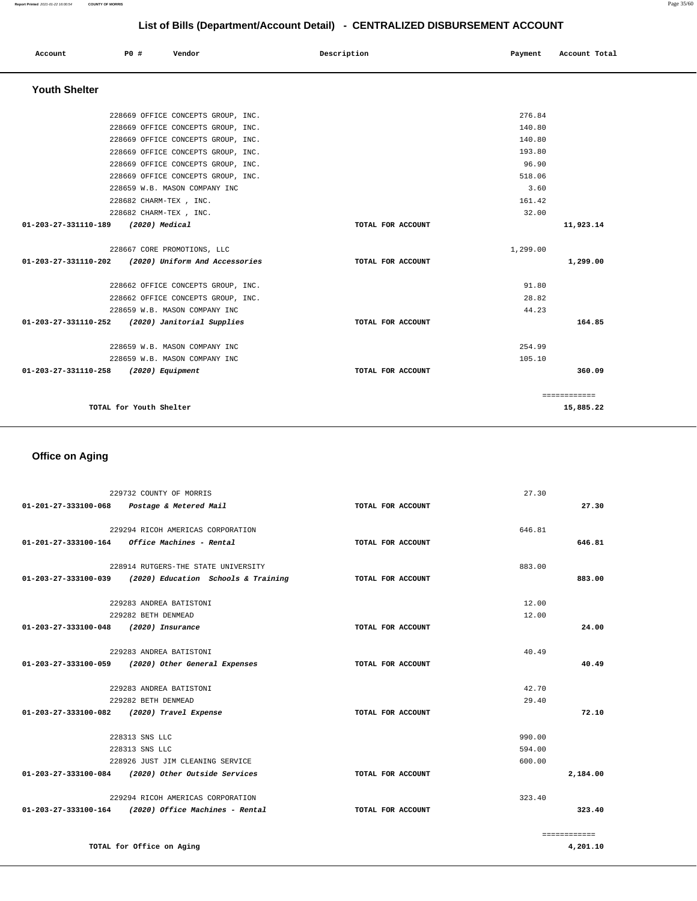| Account                               | P0 #                    | Vendor                             | Description       | Payment  | Account Total |  |
|---------------------------------------|-------------------------|------------------------------------|-------------------|----------|---------------|--|
| <b>Youth Shelter</b>                  |                         |                                    |                   |          |               |  |
|                                       |                         | 228669 OFFICE CONCEPTS GROUP, INC. |                   | 276.84   |               |  |
|                                       |                         | 228669 OFFICE CONCEPTS GROUP, INC. |                   | 140.80   |               |  |
|                                       |                         | 228669 OFFICE CONCEPTS GROUP, INC. |                   | 140.80   |               |  |
|                                       |                         | 228669 OFFICE CONCEPTS GROUP, INC. |                   | 193.80   |               |  |
|                                       |                         | 228669 OFFICE CONCEPTS GROUP, INC. |                   | 96.90    |               |  |
|                                       |                         | 228669 OFFICE CONCEPTS GROUP, INC. |                   | 518.06   |               |  |
|                                       |                         | 228659 W.B. MASON COMPANY INC      |                   | 3.60     |               |  |
|                                       | 228682 CHARM-TEX, INC.  |                                    |                   | 161.42   |               |  |
|                                       | 228682 CHARM-TEX, INC.  |                                    |                   | 32.00    |               |  |
| 01-203-27-331110-189 (2020) Medical   |                         |                                    | TOTAL FOR ACCOUNT |          | 11,923.14     |  |
|                                       |                         | 228667 CORE PROMOTIONS, LLC        |                   | 1,299.00 |               |  |
| 01-203-27-331110-202                  |                         | (2020) Uniform And Accessories     | TOTAL FOR ACCOUNT |          | 1,299.00      |  |
|                                       |                         | 228662 OFFICE CONCEPTS GROUP, INC. |                   | 91.80    |               |  |
|                                       |                         | 228662 OFFICE CONCEPTS GROUP, INC. |                   | 28.82    |               |  |
|                                       |                         | 228659 W.B. MASON COMPANY INC      |                   | 44.23    |               |  |
| 01-203-27-331110-252                  |                         | (2020) Janitorial Supplies         | TOTAL FOR ACCOUNT |          | 164.85        |  |
|                                       |                         | 228659 W.B. MASON COMPANY INC      |                   | 254.99   |               |  |
|                                       |                         | 228659 W.B. MASON COMPANY INC      |                   | 105.10   |               |  |
| 01-203-27-331110-258 (2020) Equipment |                         |                                    | TOTAL FOR ACCOUNT |          | 360.09        |  |
|                                       |                         |                                    |                   |          | ============  |  |
|                                       | TOTAL for Youth Shelter |                                    |                   |          | 15,885.22     |  |

## **Office on Aging**

**TOTAL for Office on Aging** 

|                                       | 229732 COUNTY OF MORRIS                                  |                   | 27.30        |
|---------------------------------------|----------------------------------------------------------|-------------------|--------------|
|                                       | 01-201-27-333100-068 Postage & Metered Mail              | TOTAL FOR ACCOUNT | 27.30        |
|                                       |                                                          |                   |              |
|                                       | 229294 RICOH AMERICAS CORPORATION                        |                   | 646.81       |
|                                       | $01-201-27-333100-164$ Office Machines - Rental          | TOTAL FOR ACCOUNT | 646.81       |
|                                       | 228914 RUTGERS-THE STATE UNIVERSITY                      |                   | 883.00       |
|                                       | 01-203-27-333100-039 (2020) Education Schools & Training | TOTAL FOR ACCOUNT | 883.00       |
|                                       | 229283 ANDREA BATISTONI                                  |                   | 12.00        |
|                                       | 229282 BETH DENMEAD                                      |                   | 12.00        |
| 01-203-27-333100-048 (2020) Insurance |                                                          | TOTAL FOR ACCOUNT | 24.00        |
|                                       |                                                          |                   |              |
|                                       | 229283 ANDREA BATISTONI                                  |                   | 40.49        |
|                                       | 01-203-27-333100-059 (2020) Other General Expenses       | TOTAL FOR ACCOUNT | 40.49        |
|                                       | 229283 ANDREA BATISTONI                                  |                   | 42.70        |
|                                       | 229282 BETH DENMEAD                                      |                   | 29.40        |
|                                       | 01-203-27-333100-082 (2020) Travel Expense               | TOTAL FOR ACCOUNT | 72.10        |
|                                       |                                                          |                   |              |
|                                       | 228313 SNS LLC                                           |                   | 990.00       |
|                                       | 228313 SNS LLC                                           |                   | 594.00       |
|                                       | 228926 JUST JIM CLEANING SERVICE                         |                   | 600.00       |
|                                       | 01-203-27-333100-084 (2020) Other Outside Services       | TOTAL FOR ACCOUNT | 2,184.00     |
|                                       | 229294 RICOH AMERICAS CORPORATION                        |                   | 323.40       |
|                                       | $01-203-27-333100-164$ (2020) Office Machines - Rental   | TOTAL FOR ACCOUNT | 323.40       |
|                                       |                                                          |                   | ============ |

**Report Printed** 2021-01-22 16:00:54 **COUNTY OF MORRIS** Page 35/60

**4,201.10**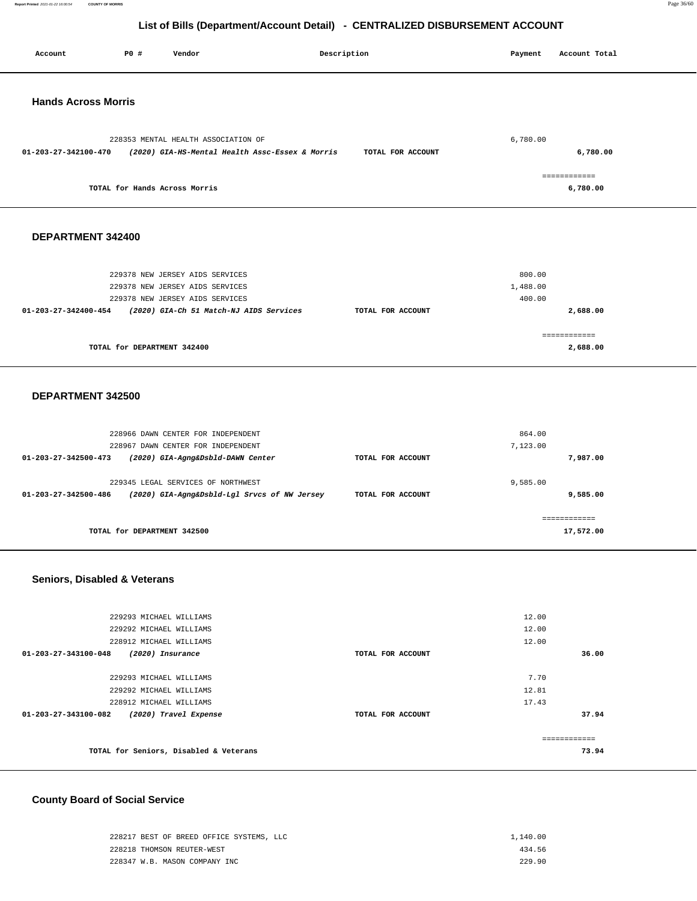**Report Printed** 2021-01-22 16:00:54 **COUNTY OF MORRIS** Page 36/60

## **List of Bills (Department/Account Detail) - CENTRALIZED DISBURSEMENT ACCOUNT**

| Account                      | P0 #                                               | Vendor                                                                                 | Description       | Payment        | Account Total |
|------------------------------|----------------------------------------------------|----------------------------------------------------------------------------------------|-------------------|----------------|---------------|
|                              |                                                    |                                                                                        |                   |                |               |
| <b>Hands Across Morris</b>   |                                                    |                                                                                        |                   |                |               |
|                              |                                                    |                                                                                        |                   |                |               |
| 01-203-27-342100-470         |                                                    | 228353 MENTAL HEALTH ASSOCIATION OF<br>(2020) GIA-HS-Mental Health Assc-Essex & Morris | TOTAL FOR ACCOUNT | 6,780.00       | 6,780.00      |
|                              |                                                    |                                                                                        |                   |                | ============  |
|                              | TOTAL for Hands Across Morris                      |                                                                                        |                   |                | 6,780.00      |
| DEPARTMENT 342400            |                                                    |                                                                                        |                   |                |               |
|                              |                                                    |                                                                                        |                   |                |               |
|                              |                                                    | 229378 NEW JERSEY AIDS SERVICES                                                        |                   | 800.00         |               |
|                              |                                                    | 229378 NEW JERSEY AIDS SERVICES                                                        |                   | 1,488.00       |               |
| 01-203-27-342400-454         |                                                    | 229378 NEW JERSEY AIDS SERVICES<br>(2020) GIA-Ch 51 Match-NJ AIDS Services             | TOTAL FOR ACCOUNT | 400.00         | 2,688.00      |
|                              |                                                    |                                                                                        |                   |                |               |
|                              |                                                    |                                                                                        |                   |                | ============  |
|                              | TOTAL for DEPARTMENT 342400                        |                                                                                        |                   |                | 2,688.00      |
|                              |                                                    |                                                                                        |                   |                |               |
| DEPARTMENT 342500            |                                                    |                                                                                        |                   |                |               |
|                              |                                                    | 228966 DAWN CENTER FOR INDEPENDENT                                                     |                   | 864.00         |               |
|                              |                                                    | 228967 DAWN CENTER FOR INDEPENDENT                                                     |                   | 7,123.00       |               |
| 01-203-27-342500-473         |                                                    | (2020) GIA-Agng&Dsbld-DAWN Center                                                      | TOTAL FOR ACCOUNT |                | 7,987.00      |
|                              |                                                    | 229345 LEGAL SERVICES OF NORTHWEST                                                     |                   | 9,585.00       |               |
| 01-203-27-342500-486         |                                                    | (2020) GIA-Agng&Dsbld-Lgl Srvcs of NW Jersey                                           | TOTAL FOR ACCOUNT |                | 9,585.00      |
|                              |                                                    |                                                                                        |                   |                | ============  |
|                              | TOTAL for DEPARTMENT 342500                        |                                                                                        |                   |                | 17,572.00     |
|                              |                                                    |                                                                                        |                   |                |               |
| Seniors, Disabled & Veterans |                                                    |                                                                                        |                   |                |               |
|                              | 229293 MICHAEL WILLIAMS                            |                                                                                        |                   | 12.00          |               |
|                              | 229292 MICHAEL WILLIAMS                            |                                                                                        |                   | 12.00          |               |
| 01-203-27-343100-048         | 228912 MICHAEL WILLIAMS<br>(2020) Insurance        |                                                                                        | TOTAL FOR ACCOUNT | 12.00          | 36.00         |
|                              |                                                    |                                                                                        |                   |                |               |
|                              | 229293 MICHAEL WILLIAMS                            |                                                                                        |                   | 7.70           |               |
|                              | 229292 MICHAEL WILLIAMS<br>228912 MICHAEL WILLIAMS |                                                                                        |                   | 12.81<br>17.43 |               |
| 01-203-27-343100-082         |                                                    | (2020) Travel Expense                                                                  | TOTAL FOR ACCOUNT |                | 37.94         |
|                              |                                                    |                                                                                        |                   |                | ============  |
|                              |                                                    | TOTAL for Seniors, Disabled & Veterans                                                 |                   |                | 73.94         |

## **County Board of Social Service**

| 228217 BEST OF BREED OFFICE SYSTEMS. LLC | 1,140.00 |
|------------------------------------------|----------|
| 228218 THOMSON REUTER-WEST               | 434.56   |
| 228347 W.B. MASON COMPANY INC            | 229 90   |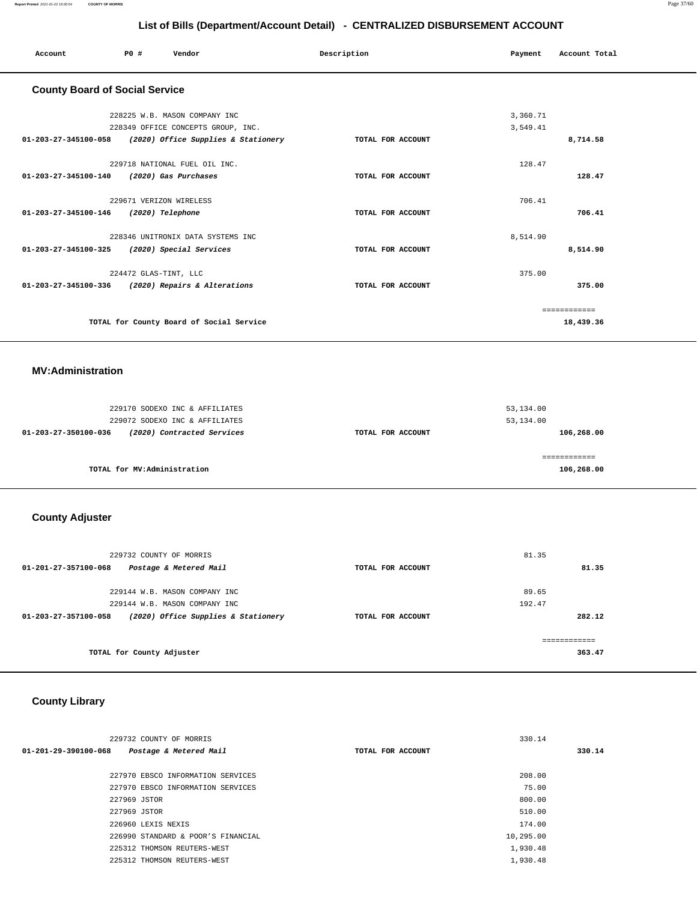| Account                                           | P0 #                    | Vendor                                                                                                                          | Description       | Payment              | Account Total             |
|---------------------------------------------------|-------------------------|---------------------------------------------------------------------------------------------------------------------------------|-------------------|----------------------|---------------------------|
| <b>County Board of Social Service</b>             |                         |                                                                                                                                 |                   |                      |                           |
|                                                   |                         | 228225 W.B. MASON COMPANY INC<br>228349 OFFICE CONCEPTS GROUP, INC.<br>01-203-27-345100-058 (2020) Office Supplies & Stationery | TOTAL FOR ACCOUNT | 3,360.71<br>3,549.41 | 8,714.58                  |
| 01-203-27-345100-140 (2020) Gas Purchases         |                         | 229718 NATIONAL FUEL OIL INC.                                                                                                   | TOTAL FOR ACCOUNT | 128.47               | 128.47                    |
| 01-203-27-345100-146 (2020) Telephone             | 229671 VERIZON WIRELESS |                                                                                                                                 | TOTAL FOR ACCOUNT | 706.41               | 706.41                    |
| 01-203-27-345100-325 (2020) Special Services      |                         | 228346 UNITRONIX DATA SYSTEMS INC                                                                                               | TOTAL FOR ACCOUNT | 8,514.90             | 8,514.90                  |
| 01-203-27-345100-336 (2020) Repairs & Alterations | 224472 GLAS-TINT, LLC   |                                                                                                                                 | TOTAL FOR ACCOUNT | 375.00               | 375.00                    |
|                                                   |                         | TOTAL for County Board of Social Service                                                                                        |                   |                      | ============<br>18,439.36 |

#### **MV:Administration**

|                   | 53,134.00<br>53,134.00 |
|-------------------|------------------------|
| TOTAL FOR ACCOUNT | 106,268.00             |
|                   | 106,268.00             |
|                   |                        |

## **County Adjuster**

| 229732 COUNTY OF MORRIS                                               |                   | 81.35       |
|-----------------------------------------------------------------------|-------------------|-------------|
| $01 - 201 - 27 - 357100 - 068$<br>Postage & Metered Mail              | TOTAL FOR ACCOUNT | 81.35       |
|                                                                       |                   |             |
| 229144 W.B. MASON COMPANY INC                                         |                   | 89.65       |
| 229144 W.B. MASON COMPANY INC                                         |                   | 192.47      |
| (2020) Office Supplies & Stationery<br>$01 - 203 - 27 - 357100 - 058$ | TOTAL FOR ACCOUNT | 282.12      |
|                                                                       |                   | =========== |
| TOTAL for County Adjuster                                             |                   | 363.47      |

## **County Library**

| 229732 COUNTY OF MORRIS                        |                   | 330.14    |        |
|------------------------------------------------|-------------------|-----------|--------|
| 01-201-29-390100-068<br>Postage & Metered Mail | TOTAL FOR ACCOUNT |           | 330.14 |
|                                                |                   |           |        |
| 227970 EBSCO INFORMATION SERVICES              |                   | 208.00    |        |
| 227970 EBSCO INFORMATION SERVICES              |                   | 75.00     |        |
| 227969 JSTOR                                   |                   | 800.00    |        |
| 227969 JSTOR                                   |                   | 510.00    |        |
| 226960 LEXIS NEXIS                             |                   | 174.00    |        |
| 226990 STANDARD & POOR'S FINANCIAL             |                   | 10,295.00 |        |
| 225312 THOMSON REUTERS-WEST                    |                   | 1,930.48  |        |
| 225312 THOMSON REUTERS-WEST                    |                   | 1,930.48  |        |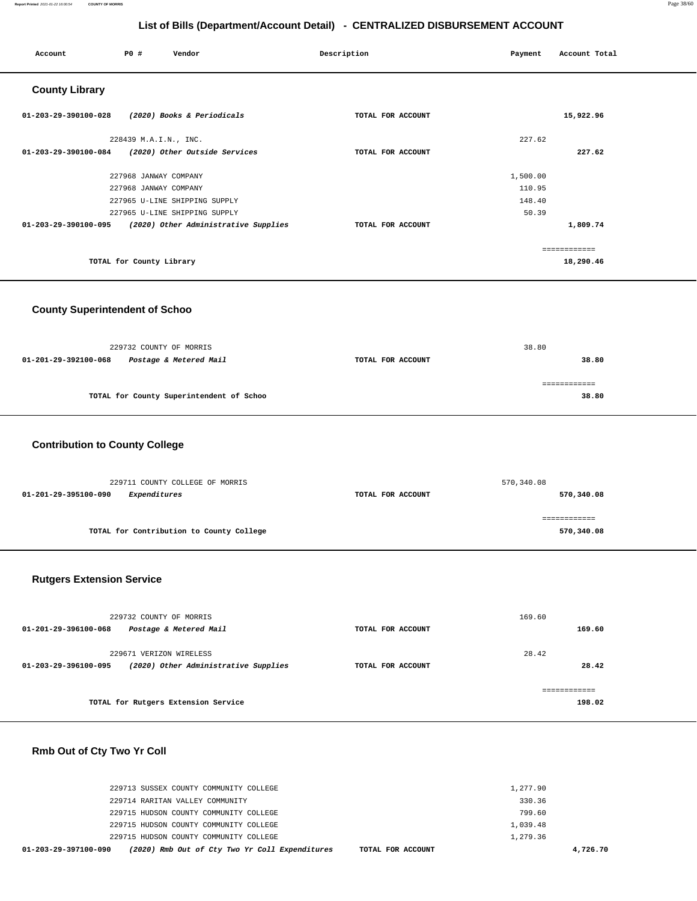| Account               | P0 #                     | Vendor                                                    | Description       | Payment  | Account Total |
|-----------------------|--------------------------|-----------------------------------------------------------|-------------------|----------|---------------|
| <b>County Library</b> |                          |                                                           |                   |          |               |
| 01-203-29-390100-028  |                          | (2020) Books & Periodicals                                | TOTAL FOR ACCOUNT |          | 15,922.96     |
|                       | 228439 M.A.I.N., INC.    |                                                           |                   | 227.62   |               |
| 01-203-29-390100-084  |                          | (2020) Other Outside Services                             | TOTAL FOR ACCOUNT |          | 227.62        |
|                       | 227968 JANWAY COMPANY    |                                                           |                   | 1,500.00 |               |
|                       | 227968 JANWAY COMPANY    |                                                           |                   | 110.95   |               |
|                       |                          | 227965 U-LINE SHIPPING SUPPLY                             |                   | 148.40   |               |
|                       |                          | 227965 U-LINE SHIPPING SUPPLY                             |                   | 50.39    |               |
|                       |                          | 01-203-29-390100-095 (2020) Other Administrative Supplies | TOTAL FOR ACCOUNT |          | 1,809.74      |
|                       |                          |                                                           |                   |          | ============  |
|                       | TOTAL for County Library |                                                           |                   |          | 18,290.46     |

#### **County Superintendent of Schoo**

|                      | 229732 COUNTY OF MORRIS                  |                   | 38.80        |
|----------------------|------------------------------------------|-------------------|--------------|
| 01-201-29-392100-068 | Postage & Metered Mail                   | TOTAL FOR ACCOUNT | 38.80        |
|                      |                                          |                   | ============ |
|                      | TOTAL for County Superintendent of Schoo |                   | 38.80        |
|                      |                                          |                   |              |

## **Contribution to County College**

| 229711 COUNTY COLLEGE OF MORRIS          |                   | 570,340.08   |
|------------------------------------------|-------------------|--------------|
| Expenditures<br>01-201-29-395100-090     | TOTAL FOR ACCOUNT | 570,340.08   |
|                                          |                   | ============ |
| TOTAL for Contribution to County College |                   | 570,340.08   |
|                                          |                   |              |

#### **Rutgers Extension Service**

| 229732 COUNTY OF MORRIS<br>Postage & Metered Mail<br>01-201-29-396100-068               | TOTAL FOR ACCOUNT | 169.60<br>169.60 |
|-----------------------------------------------------------------------------------------|-------------------|------------------|
| 229671 VERIZON WIRELESS<br>(2020) Other Administrative Supplies<br>01-203-29-396100-095 | TOTAL FOR ACCOUNT | 28.42<br>28.42   |
| TOTAL for Rutgers Extension Service                                                     |                   | 198.02           |

## **Rmb Out of Cty Two Yr Coll**

| 01-203-29-397100-090<br>(2020) Rmb Out of Cty Two Yr Coll Expenditures<br>TOTAL FOR ACCOUNT |          | 4,726.70 |
|---------------------------------------------------------------------------------------------|----------|----------|
| 229715 HUDSON COUNTY COMMUNITY COLLEGE                                                      | 1,279.36 |          |
| 229715 HUDSON COUNTY COMMUNITY COLLEGE                                                      | 1,039.48 |          |
| 229715 HUDSON COUNTY COMMUNITY COLLEGE                                                      | 799.60   |          |
| 229714 RARITAN VALLEY COMMUNITY                                                             | 330.36   |          |
| 229713 SUSSEX COUNTY COMMUNITY COLLEGE                                                      | 1,277.90 |          |
|                                                                                             |          |          |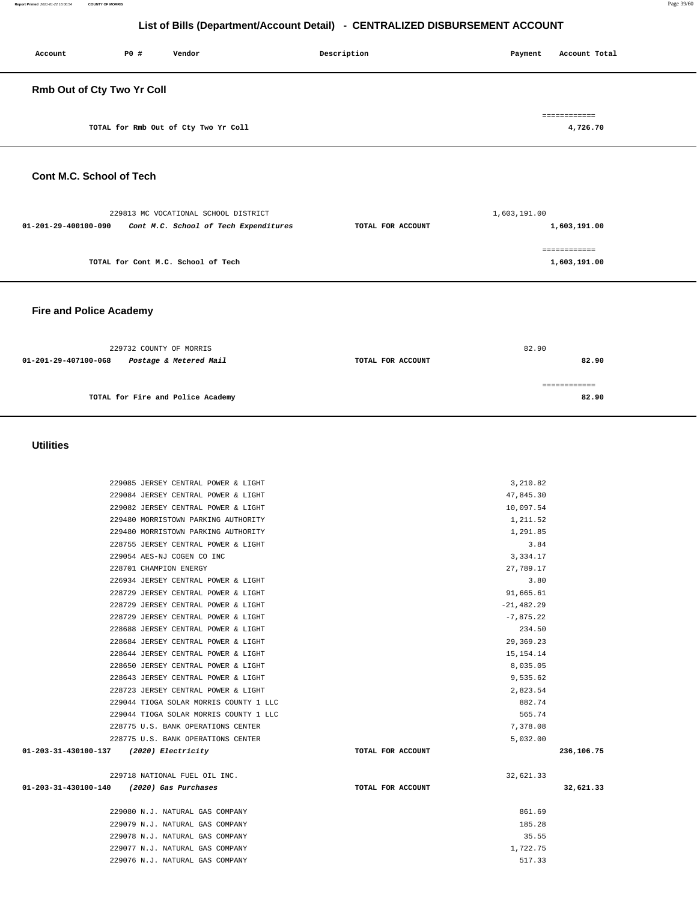| Account                           | P0 # | Vendor                               | Description | Payment | Account Total            |
|-----------------------------------|------|--------------------------------------|-------------|---------|--------------------------|
| <b>Rmb Out of Cty Two Yr Coll</b> |      |                                      |             |         |                          |
|                                   |      | TOTAL for Rmb Out of Cty Two Yr Coll |             |         | ============<br>4,726.70 |
|                                   |      |                                      |             |         |                          |

#### **Cont M.C. School of Tech**

| 229813 MC VOCATIONAL SCHOOL DISTRICT                          |                   | 1,603,191.00 |
|---------------------------------------------------------------|-------------------|--------------|
| Cont M.C. School of Tech Expenditures<br>01-201-29-400100-090 | TOTAL FOR ACCOUNT | 1,603,191.00 |
|                                                               |                   | ============ |
| TOTAL for Cont M.C. School of Tech                            |                   | 1,603,191.00 |
|                                                               |                   |              |

#### **Fire and Police Academy**

| 229732 COUNTY OF MORRIS |                                   |                   | 82.90 |  |
|-------------------------|-----------------------------------|-------------------|-------|--|
| 01-201-29-407100-068    | Postage & Metered Mail            | TOTAL FOR ACCOUNT | 82.90 |  |
|                         |                                   |                   |       |  |
|                         | TOTAL for Fire and Police Academy |                   | 82.90 |  |
|                         |                                   |                   |       |  |

#### **Utilities**

| 229085 JERSEY CENTRAL POWER & LIGHT          |                   | 3,210.82     |            |
|----------------------------------------------|-------------------|--------------|------------|
| 229084 JERSEY CENTRAL POWER & LIGHT          |                   | 47,845.30    |            |
| 229082 JERSEY CENTRAL POWER & LIGHT          |                   | 10,097.54    |            |
| 229480 MORRISTOWN PARKING AUTHORITY          |                   | 1,211.52     |            |
| 229480 MORRISTOWN PARKING AUTHORITY          |                   | 1,291.85     |            |
| 228755 JERSEY CENTRAL POWER & LIGHT          |                   | 3.84         |            |
| 229054 AES-NJ COGEN CO INC                   |                   | 3,334.17     |            |
| 228701 CHAMPION ENERGY                       |                   | 27,789.17    |            |
| 226934 JERSEY CENTRAL POWER & LIGHT          |                   | 3.80         |            |
| 228729 JERSEY CENTRAL POWER & LIGHT          |                   | 91,665.61    |            |
| 228729 JERSEY CENTRAL POWER & LIGHT          |                   | $-21,482.29$ |            |
| 228729 JERSEY CENTRAL POWER & LIGHT          |                   | $-7,875.22$  |            |
| 228688 JERSEY CENTRAL POWER & LIGHT          |                   | 234.50       |            |
| 228684 JERSEY CENTRAL POWER & LIGHT          |                   | 29,369.23    |            |
| 228644 JERSEY CENTRAL POWER & LIGHT          |                   | 15, 154. 14  |            |
| 228650 JERSEY CENTRAL POWER & LIGHT          |                   | 8,035.05     |            |
| 228643 JERSEY CENTRAL POWER & LIGHT          |                   | 9,535.62     |            |
| 228723 JERSEY CENTRAL POWER & LIGHT          |                   | 2,823.54     |            |
| 229044 TIOGA SOLAR MORRIS COUNTY 1 LLC       |                   | 882.74       |            |
| 229044 TIOGA SOLAR MORRIS COUNTY 1 LLC       |                   | 565.74       |            |
| 228775 U.S. BANK OPERATIONS CENTER           |                   | 7,378.08     |            |
| 228775 U.S. BANK OPERATIONS CENTER           |                   | 5,032.00     |            |
| 01-203-31-430100-137 (2020) Electricity      | TOTAL FOR ACCOUNT |              | 236,106.75 |
| 229718 NATIONAL FUEL OIL INC.                |                   | 32,621.33    |            |
| 01-203-31-430100-140<br>(2020) Gas Purchases | TOTAL FOR ACCOUNT |              | 32,621.33  |
| 229080 N.J. NATURAL GAS COMPANY              |                   | 861.69       |            |
| 229079 N.J. NATURAL GAS COMPANY              |                   | 185.28       |            |
| 229078 N.J. NATURAL GAS COMPANY              |                   | 35.55        |            |
| 229077 N.J. NATURAL GAS COMPANY              |                   | 1,722.75     |            |
| 229076 N.J. NATURAL GAS COMPANY              |                   | 517.33       |            |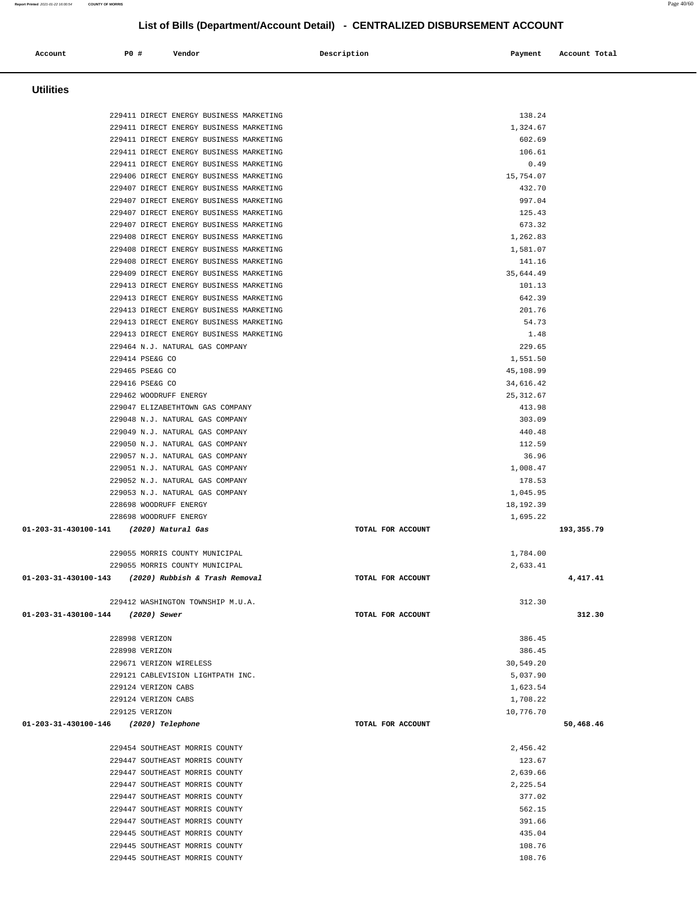Ī.

| Account                           | P0 #                | Vendor                                              | Description |                   | Payment    | Account Total |
|-----------------------------------|---------------------|-----------------------------------------------------|-------------|-------------------|------------|---------------|
|                                   |                     |                                                     |             |                   |            |               |
|                                   |                     |                                                     |             |                   |            |               |
| <b>Utilities</b>                  |                     |                                                     |             |                   |            |               |
|                                   |                     |                                                     |             |                   |            |               |
|                                   |                     | 229411 DIRECT ENERGY BUSINESS MARKETING             |             |                   | 138.24     |               |
|                                   |                     | 229411 DIRECT ENERGY BUSINESS MARKETING             |             |                   | 1,324.67   |               |
|                                   |                     | 229411 DIRECT ENERGY BUSINESS MARKETING             |             |                   | 602.69     |               |
|                                   |                     | 229411 DIRECT ENERGY BUSINESS MARKETING             |             |                   | 106.61     |               |
|                                   |                     | 229411 DIRECT ENERGY BUSINESS MARKETING             |             |                   | 0.49       |               |
|                                   |                     | 229406 DIRECT ENERGY BUSINESS MARKETING             |             |                   | 15,754.07  |               |
|                                   |                     | 229407 DIRECT ENERGY BUSINESS MARKETING             |             |                   | 432.70     |               |
|                                   |                     | 229407 DIRECT ENERGY BUSINESS MARKETING             |             |                   | 997.04     |               |
|                                   |                     | 229407 DIRECT ENERGY BUSINESS MARKETING             |             |                   | 125.43     |               |
|                                   |                     | 229407 DIRECT ENERGY BUSINESS MARKETING             |             |                   | 673.32     |               |
|                                   |                     | 229408 DIRECT ENERGY BUSINESS MARKETING             |             |                   | 1,262.83   |               |
|                                   |                     | 229408 DIRECT ENERGY BUSINESS MARKETING             |             |                   | 1,581.07   |               |
|                                   |                     | 229408 DIRECT ENERGY BUSINESS MARKETING             |             |                   | 141.16     |               |
|                                   |                     | 229409 DIRECT ENERGY BUSINESS MARKETING             |             |                   | 35,644.49  |               |
|                                   |                     | 229413 DIRECT ENERGY BUSINESS MARKETING             |             |                   | 101.13     |               |
|                                   |                     | 229413 DIRECT ENERGY BUSINESS MARKETING             |             |                   | 642.39     |               |
|                                   |                     | 229413 DIRECT ENERGY BUSINESS MARKETING             |             |                   | 201.76     |               |
|                                   |                     | 229413 DIRECT ENERGY BUSINESS MARKETING             |             |                   | 54.73      |               |
|                                   |                     | 229413 DIRECT ENERGY BUSINESS MARKETING             |             |                   | 1.48       |               |
|                                   |                     | 229464 N.J. NATURAL GAS COMPANY                     |             |                   | 229.65     |               |
|                                   | 229414 PSE&G CO     |                                                     |             |                   | 1,551.50   |               |
|                                   | 229465 PSE&G CO     |                                                     |             |                   | 45,108.99  |               |
|                                   | 229416 PSE&G CO     |                                                     |             |                   | 34,616.42  |               |
|                                   |                     | 229462 WOODRUFF ENERGY                              |             |                   | 25, 312.67 |               |
|                                   |                     | 229047 ELIZABETHTOWN GAS COMPANY                    |             |                   | 413.98     |               |
|                                   |                     | 229048 N.J. NATURAL GAS COMPANY                     |             |                   | 303.09     |               |
|                                   |                     | 229049 N.J. NATURAL GAS COMPANY                     |             |                   | 440.48     |               |
|                                   |                     | 229050 N.J. NATURAL GAS COMPANY                     |             |                   | 112.59     |               |
|                                   |                     | 229057 N.J. NATURAL GAS COMPANY                     |             |                   | 36.96      |               |
|                                   |                     | 229051 N.J. NATURAL GAS COMPANY                     |             |                   | 1,008.47   |               |
|                                   |                     | 229052 N.J. NATURAL GAS COMPANY                     |             |                   | 178.53     |               |
|                                   |                     | 229053 N.J. NATURAL GAS COMPANY                     |             |                   | 1,045.95   |               |
|                                   |                     | 228698 WOODRUFF ENERGY                              |             |                   | 18,192.39  |               |
|                                   |                     | 228698 WOODRUFF ENERGY                              |             |                   | 1,695.22   |               |
| 01-203-31-430100-141              |                     | (2020) Natural Gas                                  |             | TOTAL FOR ACCOUNT |            | 193,355.79    |
|                                   |                     |                                                     |             |                   |            |               |
|                                   |                     | 229055 MORRIS COUNTY MUNICIPAL                      |             |                   | 1,784.00   |               |
|                                   |                     | 229055 MORRIS COUNTY MUNICIPAL                      |             |                   | 2,633.41   |               |
|                                   |                     | 01-203-31-430100-143 (2020) Rubbish & Trash Removal |             | TOTAL FOR ACCOUNT |            | 4,417.41      |
|                                   |                     |                                                     |             |                   |            |               |
|                                   |                     | 229412 WASHINGTON TOWNSHIP M.U.A.                   |             |                   | 312.30     |               |
| 01-203-31-430100-144 (2020) Sewer |                     |                                                     |             | TOTAL FOR ACCOUNT |            | 312.30        |
|                                   |                     |                                                     |             |                   |            |               |
|                                   | 228998 VERIZON      |                                                     |             |                   | 386.45     |               |
|                                   |                     |                                                     |             |                   |            |               |
|                                   | 228998 VERIZON      |                                                     |             |                   | 386.45     |               |
|                                   |                     | 229671 VERIZON WIRELESS                             |             |                   | 30,549.20  |               |
|                                   |                     | 229121 CABLEVISION LIGHTPATH INC.                   |             |                   | 5,037.90   |               |
|                                   | 229124 VERIZON CABS |                                                     |             |                   | 1,623.54   |               |
|                                   | 229124 VERIZON CABS |                                                     |             |                   | 1,708.22   |               |
|                                   | 229125 VERIZON      |                                                     |             |                   | 10,776.70  |               |
| 01-203-31-430100-146              |                     | (2020) Telephone                                    |             | TOTAL FOR ACCOUNT |            | 50,468.46     |
|                                   |                     |                                                     |             |                   |            |               |
|                                   |                     | 229454 SOUTHEAST MORRIS COUNTY                      |             |                   | 2,456.42   |               |
|                                   |                     | 229447 SOUTHEAST MORRIS COUNTY                      |             |                   | 123.67     |               |
|                                   |                     | 229447 SOUTHEAST MORRIS COUNTY                      |             |                   | 2,639.66   |               |
|                                   |                     | 229447 SOUTHEAST MORRIS COUNTY                      |             |                   | 2,225.54   |               |
|                                   |                     | 229447 SOUTHEAST MORRIS COUNTY                      |             |                   | 377.02     |               |
|                                   |                     | 229447 SOUTHEAST MORRIS COUNTY                      |             |                   | 562.15     |               |
|                                   |                     | 229447 SOUTHEAST MORRIS COUNTY                      |             |                   | 391.66     |               |
|                                   |                     | 229445 SOUTHEAST MORRIS COUNTY                      |             |                   | 435.04     |               |
|                                   |                     | 229445 SOUTHEAST MORRIS COUNTY                      |             |                   | 108.76     |               |
|                                   |                     | 229445 SOUTHEAST MORRIS COUNTY                      |             |                   | 108.76     |               |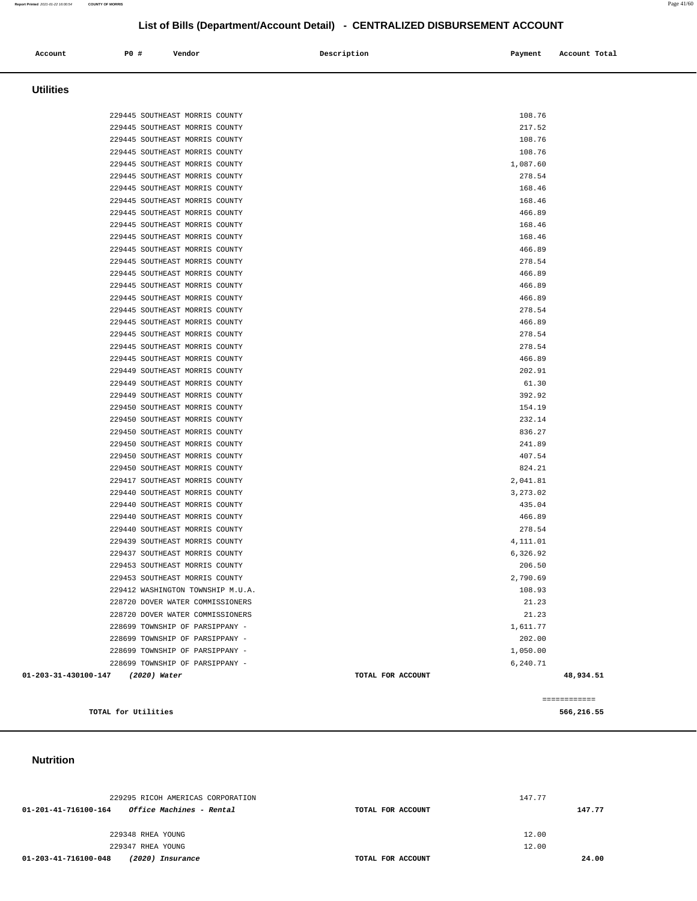| Account              | P0 #<br>Vendor                                                   | Description       | Payment<br>Account Total |  |
|----------------------|------------------------------------------------------------------|-------------------|--------------------------|--|
| <b>Utilities</b>     |                                                                  |                   |                          |  |
|                      |                                                                  |                   |                          |  |
|                      | 229445 SOUTHEAST MORRIS COUNTY                                   |                   | 108.76                   |  |
|                      | 229445 SOUTHEAST MORRIS COUNTY                                   |                   | 217.52                   |  |
|                      | 229445 SOUTHEAST MORRIS COUNTY<br>229445 SOUTHEAST MORRIS COUNTY |                   | 108.76<br>108.76         |  |
|                      | 229445 SOUTHEAST MORRIS COUNTY                                   |                   | 1,087.60                 |  |
|                      | 229445 SOUTHEAST MORRIS COUNTY                                   |                   | 278.54                   |  |
|                      | 229445 SOUTHEAST MORRIS COUNTY                                   |                   | 168.46                   |  |
|                      | 229445 SOUTHEAST MORRIS COUNTY                                   |                   | 168.46                   |  |
|                      | 229445 SOUTHEAST MORRIS COUNTY                                   |                   | 466.89                   |  |
|                      | 229445 SOUTHEAST MORRIS COUNTY                                   |                   | 168.46                   |  |
|                      | 229445 SOUTHEAST MORRIS COUNTY                                   |                   | 168.46                   |  |
|                      | 229445 SOUTHEAST MORRIS COUNTY                                   |                   | 466.89                   |  |
|                      | 229445 SOUTHEAST MORRIS COUNTY                                   |                   | 278.54                   |  |
|                      | 229445 SOUTHEAST MORRIS COUNTY                                   |                   | 466.89                   |  |
|                      | 229445 SOUTHEAST MORRIS COUNTY                                   |                   | 466.89                   |  |
|                      | 229445 SOUTHEAST MORRIS COUNTY                                   |                   | 466.89                   |  |
|                      | 229445 SOUTHEAST MORRIS COUNTY                                   |                   | 278.54                   |  |
|                      | 229445 SOUTHEAST MORRIS COUNTY                                   |                   | 466.89                   |  |
|                      | 229445 SOUTHEAST MORRIS COUNTY                                   |                   | 278.54                   |  |
|                      | 229445 SOUTHEAST MORRIS COUNTY                                   |                   | 278.54                   |  |
|                      | 229445 SOUTHEAST MORRIS COUNTY                                   |                   | 466.89                   |  |
|                      | 229449 SOUTHEAST MORRIS COUNTY                                   |                   | 202.91                   |  |
|                      | 229449 SOUTHEAST MORRIS COUNTY                                   |                   | 61.30                    |  |
|                      | 229449 SOUTHEAST MORRIS COUNTY                                   |                   | 392.92                   |  |
|                      | 229450 SOUTHEAST MORRIS COUNTY                                   |                   | 154.19                   |  |
|                      | 229450 SOUTHEAST MORRIS COUNTY                                   |                   | 232.14                   |  |
|                      | 229450 SOUTHEAST MORRIS COUNTY                                   |                   | 836.27                   |  |
|                      | 229450 SOUTHEAST MORRIS COUNTY                                   |                   | 241.89                   |  |
|                      | 229450 SOUTHEAST MORRIS COUNTY                                   |                   | 407.54                   |  |
|                      | 229450 SOUTHEAST MORRIS COUNTY                                   |                   | 824.21                   |  |
|                      | 229417 SOUTHEAST MORRIS COUNTY                                   |                   | 2,041.81                 |  |
|                      | 229440 SOUTHEAST MORRIS COUNTY                                   |                   | 3,273.02                 |  |
|                      | 229440 SOUTHEAST MORRIS COUNTY                                   |                   | 435.04                   |  |
|                      | 229440 SOUTHEAST MORRIS COUNTY<br>229440 SOUTHEAST MORRIS COUNTY |                   | 466.89<br>278.54         |  |
|                      | 229439 SOUTHEAST MORRIS COUNTY                                   |                   | 4,111.01                 |  |
|                      | 229437 SOUTHEAST MORRIS COUNTY                                   |                   | 6,326.92                 |  |
|                      | 229453 SOUTHEAST MORRIS COUNTY                                   |                   | 206.50                   |  |
|                      | 229453 SOUTHEAST MORRIS COUNTY                                   |                   | 2,790.69                 |  |
|                      | 229412 WASHINGTON TOWNSHIP M.U.A.                                |                   | 108.93                   |  |
|                      | 228720 DOVER WATER COMMISSIONERS                                 |                   | 21.23                    |  |
|                      | 228720 DOVER WATER COMMISSIONERS                                 |                   | 21.23                    |  |
|                      | 228699 TOWNSHIP OF PARSIPPANY -                                  |                   | 1,611.77                 |  |
|                      | 228699 TOWNSHIP OF PARSIPPANY -                                  |                   | 202.00                   |  |
|                      | 228699 TOWNSHIP OF PARSIPPANY -                                  |                   | 1,050.00                 |  |
|                      | 228699 TOWNSHIP OF PARSIPPANY -                                  |                   | 6,240.71                 |  |
| 01-203-31-430100-147 | (2020) Water                                                     | TOTAL FOR ACCOUNT | 48,934.51                |  |
|                      |                                                                  |                   | ============             |  |
|                      | TOTAL for Utilities                                              |                   | 566,216.55               |  |

 **Nutrition** 

| 229295 RICOH AMERICAS CORPORATION                              |                   | 147.77 |
|----------------------------------------------------------------|-------------------|--------|
| <i><b>Office Machines - Rental</b></i><br>01-201-41-716100-164 | TOTAL FOR ACCOUNT | 147.77 |
|                                                                |                   |        |
| 229348 RHEA YOUNG                                              |                   | 12.00  |
| 229347 RHEA YOUNG                                              |                   | 12.00  |
| 01-203-41-716100-048<br>(2020) Insurance                       | TOTAL FOR ACCOUNT | 24.00  |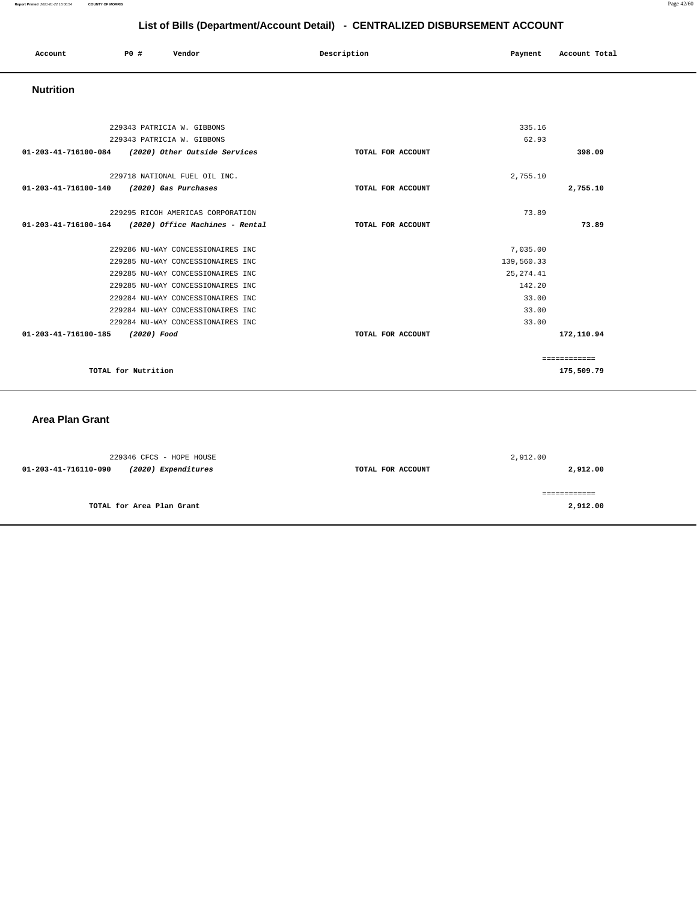| Account<br>. | P0 # | Vendor | Description | Payment | Account Total |
|--------------|------|--------|-------------|---------|---------------|
|              |      |        |             |         |               |

#### **Nutrition**

| 229343 PATRICIA W. GIBBONS                              |                   | 335.16     |              |
|---------------------------------------------------------|-------------------|------------|--------------|
| 229343 PATRICIA W. GIBBONS                              |                   | 62.93      |              |
| (2020) Other Outside Services<br>01-203-41-716100-084   | TOTAL FOR ACCOUNT |            | 398.09       |
|                                                         |                   |            |              |
| 229718 NATIONAL FUEL OIL INC.                           |                   | 2,755.10   |              |
| 01-203-41-716100-140<br>(2020) Gas Purchases            | TOTAL FOR ACCOUNT |            | 2,755.10     |
|                                                         |                   |            |              |
| 229295 RICOH AMERICAS CORPORATION                       |                   | 73.89      |              |
| 01-203-41-716100-164<br>(2020) Office Machines - Rental | TOTAL FOR ACCOUNT |            | 73.89        |
|                                                         |                   |            |              |
| 229286 NU-WAY CONCESSIONAIRES INC                       |                   | 7,035.00   |              |
| 229285 NU-WAY CONCESSIONAIRES INC                       |                   | 139,560.33 |              |
| 229285 NU-WAY CONCESSIONAIRES INC                       |                   | 25, 274.41 |              |
| 229285 NU-WAY CONCESSIONAIRES INC                       |                   | 142.20     |              |
| 229284 NU-WAY CONCESSIONAIRES INC                       |                   | 33.00      |              |
| 229284 NU-WAY CONCESSIONAIRES INC                       |                   | 33.00      |              |
| 229284 NU-WAY CONCESSIONAIRES INC                       |                   | 33.00      |              |
| $01 - 203 - 41 - 716100 - 185$<br>(2020) Food           | TOTAL FOR ACCOUNT |            | 172,110.94   |
|                                                         |                   |            |              |
|                                                         |                   |            | ============ |
| TOTAL for Nutrition                                     |                   |            | 175,509.79   |

#### **Area Plan Grant**

| 229346 CFCS - HOPE HOUSE                    |                   | 2,912.00 |
|---------------------------------------------|-------------------|----------|
| (2020) Expenditures<br>01-203-41-716110-090 | TOTAL FOR ACCOUNT | 2,912.00 |
|                                             |                   |          |
|                                             |                   |          |
|                                             |                   |          |
| TOTAL for Area Plan Grant                   |                   | 2,912.00 |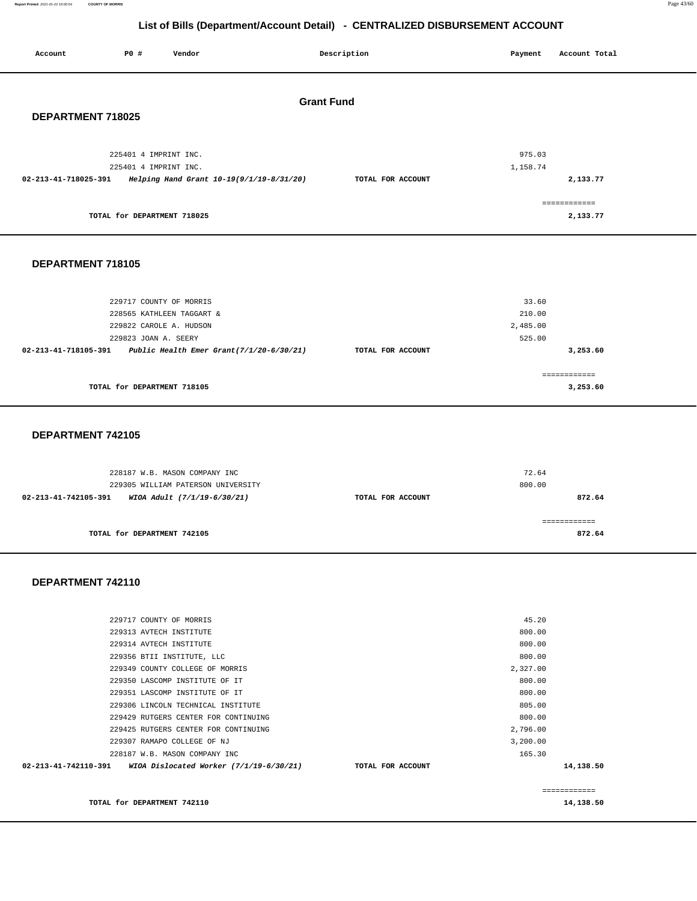**Report Printed** 2021-01-22 16:00:54 **COUNTY OF MORRIS** Page 43/60

## **List of Bills (Department/Account Detail) - CENTRALIZED DISBURSEMENT ACCOUNT**

| Account              | P0 #<br>Vendor                                                                                                                                      | Description       | Payment                               | Account Total |
|----------------------|-----------------------------------------------------------------------------------------------------------------------------------------------------|-------------------|---------------------------------------|---------------|
| DEPARTMENT 718025    |                                                                                                                                                     | <b>Grant Fund</b> |                                       |               |
| 02-213-41-718025-391 | 225401 4 IMPRINT INC.<br>225401 4 IMPRINT INC.<br>Helping Hand Grant 10-19(9/1/19-8/31/20)                                                          | TOTAL FOR ACCOUNT | 975.03<br>1,158.74                    | 2,133.77      |
|                      | TOTAL for DEPARTMENT 718025                                                                                                                         |                   | ============                          | 2,133.77      |
| DEPARTMENT 718105    |                                                                                                                                                     |                   |                                       |               |
| 02-213-41-718105-391 | 229717 COUNTY OF MORRIS<br>228565 KATHLEEN TAGGART &<br>229822 CAROLE A. HUDSON<br>229823 JOAN A. SEERY<br>Public Health Emer Grant(7/1/20-6/30/21) | TOTAL FOR ACCOUNT | 33.60<br>210.00<br>2,485.00<br>525.00 | 3,253.60      |

|                             | -------------<br>----------- |
|-----------------------------|------------------------------|
| TOTAL for DEPARTMENT 718105 | 3,253.60                     |

#### **DEPARTMENT 742105**

| 228187 W.B. MASON COMPANY INC                       |                   | 72.64  |
|-----------------------------------------------------|-------------------|--------|
| 229305 WILLIAM PATERSON UNIVERSITY                  |                   | 800.00 |
| 02-213-41-742105-391<br>WIOA Adult (7/1/19-6/30/21) | TOTAL FOR ACCOUNT | 872.64 |
|                                                     |                   |        |
|                                                     |                   |        |
| TOTAL for DEPARTMENT 742105                         |                   | 872.64 |
|                                                     |                   |        |

#### **DEPARTMENT 742110**

| 229306 LINCOLN TECHNICAL INSTITUTE<br>229429 RUTGERS CENTER FOR CONTINUING |                   | 805.00<br>800.00     |                           |
|----------------------------------------------------------------------------|-------------------|----------------------|---------------------------|
| 229425 RUTGERS CENTER FOR CONTINUING<br>229307 RAMAPO COLLEGE OF NJ        |                   | 2,796.00<br>3,200.00 |                           |
| 228187 W.B. MASON COMPANY INC                                              |                   | 165.30               |                           |
| $02 - 213 - 41 - 742110 - 391$ WIOA Dislocated Worker $(7/1/19 - 6/30/21)$ | TOTAL FOR ACCOUNT |                      | 14,138.50                 |
| TOTAL for DEPARTMENT 742110                                                |                   |                      | ============<br>14,138.50 |
|                                                                            |                   |                      |                           |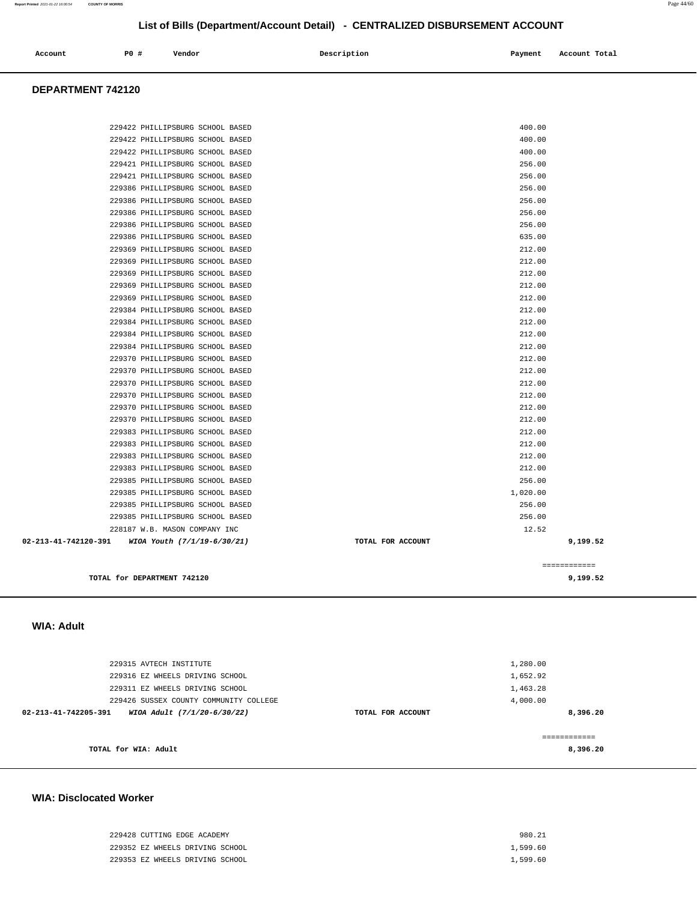| 229428 CUTTING EDGE ACADEMY     | 980.21   |
|---------------------------------|----------|
| 229352 EZ WHEELS DRIVING SCHOOL | 1,599.60 |
| 229353 EZ WHEELS DRIVING SCHOOL | 1,599.60 |

#### **WIA: Disclocated Worker**

| TOTAL for WIA: Adult                                |                   | 8,396.20 |
|-----------------------------------------------------|-------------------|----------|
|                                                     |                   |          |
| 02-213-41-742205-391<br>WIOA Adult (7/1/20-6/30/22) | TOTAL FOR ACCOUNT | 8,396.20 |
| 229426 SUSSEX COUNTY COMMUNITY COLLEGE              |                   | 4,000.00 |
| 229311 EZ WHEELS DRIVING SCHOOL                     |                   | 1,463.28 |
| 229316 EZ WHEELS DRIVING SCHOOL                     |                   | 1,652.92 |
| 229315 AVTECH INSTITUTE                             |                   | 1,280.00 |
|                                                     |                   |          |
| WA. AYYI                                            |                   |          |

#### **WIA: Adult**

| DEPARTMENT 742120                                |                   |                          |
|--------------------------------------------------|-------------------|--------------------------|
|                                                  |                   |                          |
|                                                  |                   |                          |
| 229422 PHILLIPSBURG SCHOOL BASED                 |                   | 400.00                   |
| 229422 PHILLIPSBURG SCHOOL BASED                 |                   | 400.00                   |
| 229422 PHILLIPSBURG SCHOOL BASED                 |                   | 400.00                   |
| 229421 PHILLIPSBURG SCHOOL BASED                 |                   | 256.00                   |
| 229421 PHILLIPSBURG SCHOOL BASED                 |                   | 256.00                   |
| 229386 PHILLIPSBURG SCHOOL BASED                 |                   | 256.00                   |
| 229386 PHILLIPSBURG SCHOOL BASED                 |                   | 256.00                   |
| 229386 PHILLIPSBURG SCHOOL BASED                 |                   | 256.00                   |
| 229386 PHILLIPSBURG SCHOOL BASED                 |                   | 256.00                   |
| 229386 PHILLIPSBURG SCHOOL BASED                 |                   | 635.00                   |
| 229369 PHILLIPSBURG SCHOOL BASED                 |                   | 212.00                   |
| 229369 PHILLIPSBURG SCHOOL BASED                 |                   | 212.00                   |
| 229369 PHILLIPSBURG SCHOOL BASED                 |                   | 212.00                   |
| 229369 PHILLIPSBURG SCHOOL BASED                 |                   | 212.00                   |
| 229369 PHILLIPSBURG SCHOOL BASED                 |                   | 212.00                   |
| 229384 PHILLIPSBURG SCHOOL BASED                 |                   | 212.00                   |
| 229384 PHILLIPSBURG SCHOOL BASED                 |                   | 212.00                   |
| 229384 PHILLIPSBURG SCHOOL BASED                 |                   | 212.00                   |
| 229384 PHILLIPSBURG SCHOOL BASED                 |                   | 212.00                   |
| 229370 PHILLIPSBURG SCHOOL BASED                 |                   | 212.00                   |
| 229370 PHILLIPSBURG SCHOOL BASED                 |                   | 212.00                   |
| 229370 PHILLIPSBURG SCHOOL BASED                 |                   | 212.00                   |
| 229370 PHILLIPSBURG SCHOOL BASED                 |                   | 212.00                   |
| 229370 PHILLIPSBURG SCHOOL BASED                 |                   | 212.00                   |
| 229370 PHILLIPSBURG SCHOOL BASED                 |                   | 212.00                   |
| 229383 PHILLIPSBURG SCHOOL BASED                 |                   | 212.00                   |
| 229383 PHILLIPSBURG SCHOOL BASED                 |                   | 212.00                   |
| 229383 PHILLIPSBURG SCHOOL BASED                 |                   | 212.00                   |
| 229383 PHILLIPSBURG SCHOOL BASED                 |                   | 212.00                   |
| 229385 PHILLIPSBURG SCHOOL BASED                 |                   | 256.00                   |
| 229385 PHILLIPSBURG SCHOOL BASED                 |                   | 1,020.00                 |
| 229385 PHILLIPSBURG SCHOOL BASED                 |                   | 256.00                   |
| 229385 PHILLIPSBURG SCHOOL BASED                 |                   | 256.00                   |
| 228187 W.B. MASON COMPANY INC                    |                   | 12.52                    |
| 02-213-41-742120-391 WIOA Youth (7/1/19-6/30/21) | TOTAL FOR ACCOUNT | 9,199.52                 |
|                                                  |                   |                          |
| TOTAL for DEPARTMENT 742120                      |                   | ------------<br>9,199.52 |
|                                                  |                   |                          |

**Account** P0 # Vendor Payment Account Total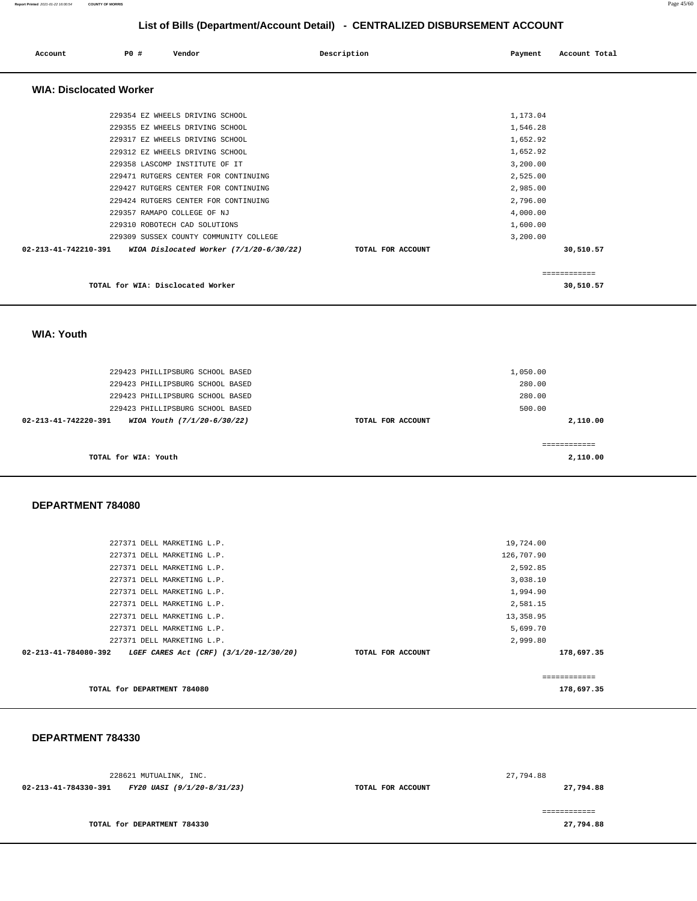| Account                        | PO# | Vendor                               |                                         | Description       | Payment  | Account Total |  |
|--------------------------------|-----|--------------------------------------|-----------------------------------------|-------------------|----------|---------------|--|
| <b>WIA: Disclocated Worker</b> |     |                                      |                                         |                   |          |               |  |
|                                |     | 229354 EZ WHEELS DRIVING SCHOOL      |                                         |                   | 1,173.04 |               |  |
|                                |     | 229355 EZ WHEELS DRIVING SCHOOL      |                                         |                   | 1,546.28 |               |  |
|                                |     | 229317 EZ WHEELS DRIVING SCHOOL      |                                         |                   | 1,652.92 |               |  |
|                                |     | 229312 EZ WHEELS DRIVING SCHOOL      |                                         |                   | 1,652.92 |               |  |
|                                |     | 229358 LASCOMP INSTITUTE OF IT       |                                         |                   | 3,200.00 |               |  |
|                                |     | 229471 RUTGERS CENTER FOR CONTINUING |                                         |                   | 2,525.00 |               |  |
|                                |     | 229427 RUTGERS CENTER FOR CONTINUING |                                         |                   | 2,985.00 |               |  |
|                                |     | 229424 RUTGERS CENTER FOR CONTINUING |                                         |                   | 2,796.00 |               |  |
|                                |     | 229357 RAMAPO COLLEGE OF NJ          |                                         |                   | 4,000.00 |               |  |
|                                |     | 229310 ROBOTECH CAD SOLUTIONS        |                                         |                   | 1,600.00 |               |  |
|                                |     |                                      | 229309 SUSSEX COUNTY COMMUNITY COLLEGE  |                   | 3,200.00 |               |  |
| 02-213-41-742210-391           |     |                                      | WIOA Dislocated Worker (7/1/20-6/30/22) | TOTAL FOR ACCOUNT |          | 30,510.57     |  |
|                                |     |                                      |                                         |                   |          | ============  |  |
|                                |     | TOTAL for WIA: Disclocated Worker    |                                         |                   |          | 30,510.57     |  |

 **WIA: Youth** 

| 2,110.00 |
|----------|
|          |
|          |
| 2,110.00 |
|          |

#### **DEPARTMENT 784080**

| TOTAL for DEPARTMENT 784080                                              |                   | 178,697.35 |  |
|--------------------------------------------------------------------------|-------------------|------------|--|
|                                                                          |                   |            |  |
| $02 - 213 - 41 - 784080 - 392$<br>LGEF CARES Act (CRF) (3/1/20-12/30/20) | TOTAL FOR ACCOUNT | 178,697.35 |  |
| 227371 DELL MARKETING L.P.                                               |                   | 2,999.80   |  |
| 227371 DELL MARKETING L.P.                                               |                   | 5,699.70   |  |
| 227371 DELL MARKETING L.P.                                               |                   | 13,358.95  |  |
| 227371 DELL MARKETING L.P.                                               |                   | 2,581.15   |  |
| 227371 DELL MARKETING L.P.                                               |                   | 1,994.90   |  |
| 227371 DELL MARKETING L.P.                                               |                   | 3,038.10   |  |
| 227371 DELL MARKETING L.P.                                               |                   | 2,592.85   |  |
| 227371 DELL MARKETING L.P.                                               |                   | 126,707.90 |  |
| 227371 DELL MARKETING L.P.                                               |                   | 19,724.00  |  |
|                                                                          |                   |            |  |

#### **DEPARTMENT 784330**

| 228621 MUTUALINK, INC.                             |                   | 27,794.88 |
|----------------------------------------------------|-------------------|-----------|
| 02-213-41-784330-391<br>FY20 UASI (9/1/20-8/31/23) | TOTAL FOR ACCOUNT | 27,794.88 |
|                                                    |                   |           |
| TOTAL for DEPARTMENT 784330                        |                   | 27,794.88 |

**Report Printed** 2021-01-22 16:00:54 **COUNTY OF MORRIS** Page 45/60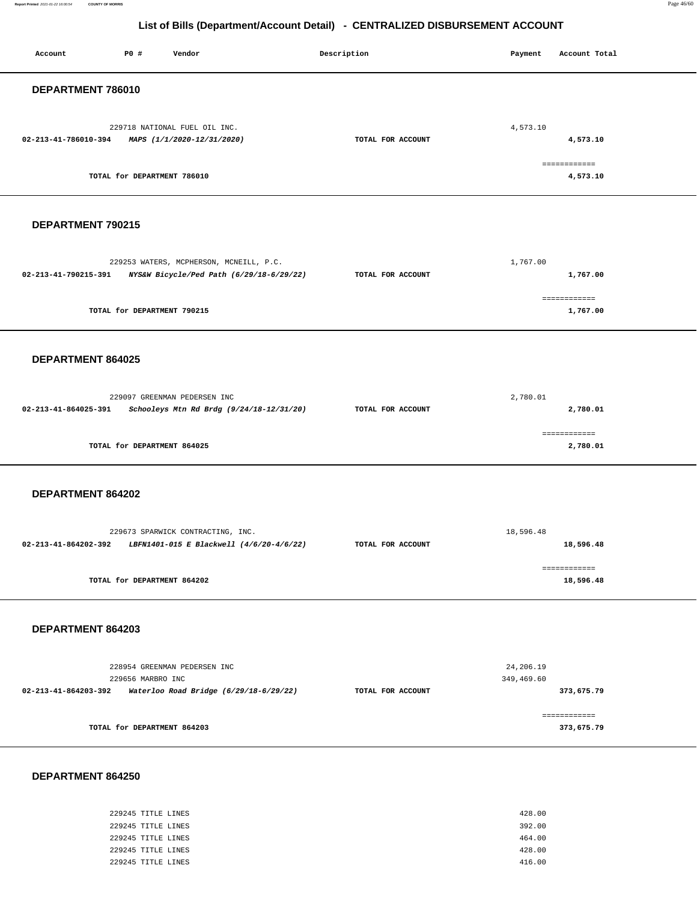**Report Printed** 2021-01-22 16:00:54 **COUNTY OF MORRIS** Page 46/60

## **List of Bills (Department/Account Detail) - CENTRALIZED DISBURSEMENT ACCOUNT**

| DEPARTMENT 786010<br>229718 NATIONAL FUEL OIL INC.<br>4,573.10<br>02-213-41-786010-394<br>MAPS (1/1/2020-12/31/2020)<br>TOTAL FOR ACCOUNT<br>4,573.10<br>============             |  |
|-----------------------------------------------------------------------------------------------------------------------------------------------------------------------------------|--|
|                                                                                                                                                                                   |  |
|                                                                                                                                                                                   |  |
| TOTAL for DEPARTMENT 786010<br>4,573.10                                                                                                                                           |  |
| DEPARTMENT 790215                                                                                                                                                                 |  |
| 229253 WATERS, MCPHERSON, MCNEILL, P.C.<br>1,767.00<br>NYS&W Bicycle/Ped Path (6/29/18-6/29/22)<br>02-213-41-790215-391<br>TOTAL FOR ACCOUNT<br>1,767.00                          |  |
| ============<br>TOTAL for DEPARTMENT 790215<br>1,767.00                                                                                                                           |  |
| DEPARTMENT 864025                                                                                                                                                                 |  |
| 229097 GREENMAN PEDERSEN INC<br>2,780.01<br>02-213-41-864025-391<br>Schooleys Mtn Rd Brdg (9/24/18-12/31/20)<br>TOTAL FOR ACCOUNT<br>2,780.01                                     |  |
| ============<br>TOTAL for DEPARTMENT 864025<br>2,780.01                                                                                                                           |  |
| DEPARTMENT 864202                                                                                                                                                                 |  |
| 18,596.48<br>229673 SPARWICK CONTRACTING, INC.<br>02-213-41-864202-392<br>LBFN1401-015 E Blackwell (4/6/20-4/6/22)<br>TOTAL FOR ACCOUNT<br>18,596.48                              |  |
| ============<br>TOTAL for DEPARTMENT 864202<br>18,596.48                                                                                                                          |  |
| DEPARTMENT 864203                                                                                                                                                                 |  |
| 228954 GREENMAN PEDERSEN INC<br>24,206.19<br>229656 MARBRO INC<br>349,469.60<br>02-213-41-864203-392<br>Waterloo Road Bridge (6/29/18-6/29/22)<br>TOTAL FOR ACCOUNT<br>373,675.79 |  |
| ============<br>TOTAL for DEPARTMENT 864203<br>373,675.79                                                                                                                         |  |

#### **DEPARTMENT 864250**

Report Printed 2021-01-22 16:00:54

| 229245 TITLE LINES | 428.00 |
|--------------------|--------|
| 229245 TITLE LINES | 392.00 |
| 229245 TITLE LINES | 464.00 |
| 229245 TITLE LINES | 428.00 |
| 229245 TITLE LINES | 416.00 |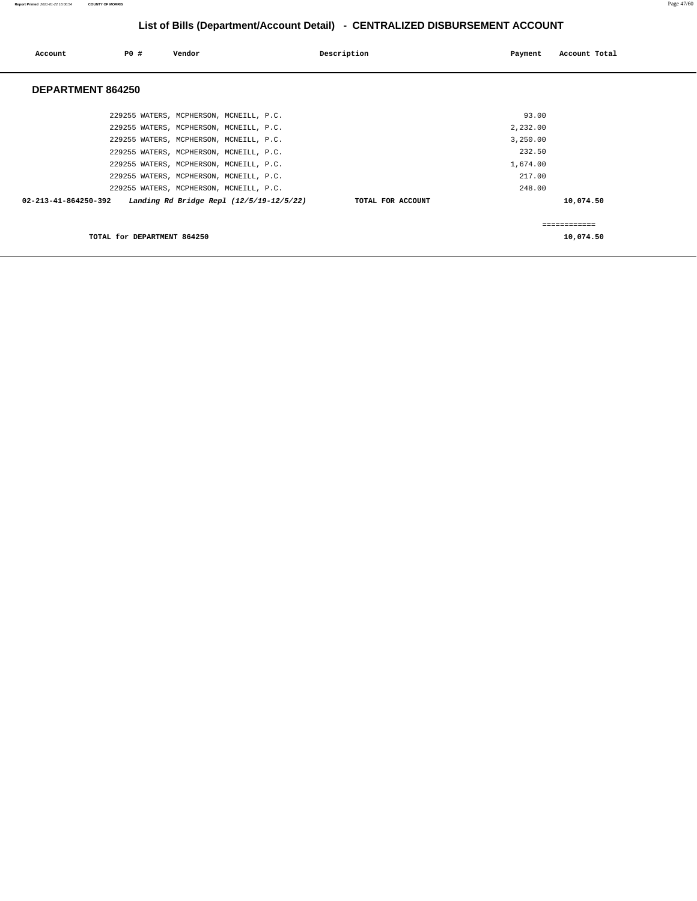| Account              | P0 #                        | Vendor                                   | Description       | Payment  | Account Total |
|----------------------|-----------------------------|------------------------------------------|-------------------|----------|---------------|
| DEPARTMENT 864250    |                             |                                          |                   |          |               |
|                      |                             | 229255 WATERS, MCPHERSON, MCNEILL, P.C.  |                   | 93.00    |               |
|                      |                             | 229255 WATERS, MCPHERSON, MCNEILL, P.C.  |                   | 2,232.00 |               |
|                      |                             | 229255 WATERS, MCPHERSON, MCNEILL, P.C.  |                   | 3,250.00 |               |
|                      |                             | 229255 WATERS, MCPHERSON, MCNEILL, P.C.  |                   | 232.50   |               |
|                      |                             | 229255 WATERS, MCPHERSON, MCNEILL, P.C.  |                   | 1,674.00 |               |
|                      |                             | 229255 WATERS, MCPHERSON, MCNEILL, P.C.  |                   | 217.00   |               |
|                      |                             | 229255 WATERS, MCPHERSON, MCNEILL, P.C.  |                   | 248.00   |               |
| 02-213-41-864250-392 |                             | Landing Rd Bridge Repl (12/5/19-12/5/22) | TOTAL FOR ACCOUNT |          | 10,074.50     |
|                      |                             |                                          |                   |          | ============  |
|                      | TOTAL for DEPARTMENT 864250 |                                          |                   |          | 10,074.50     |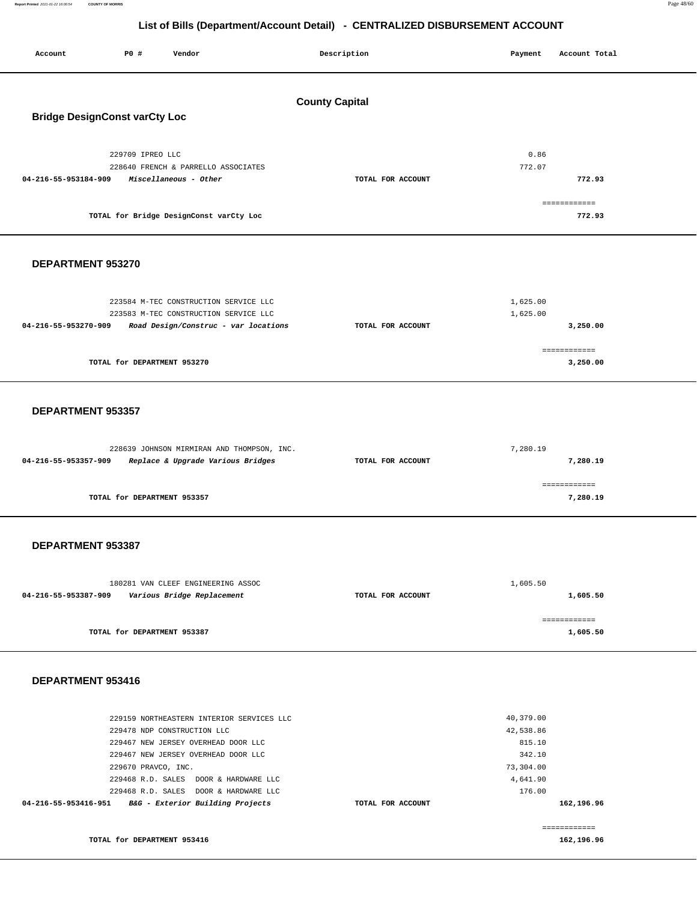**Report Printed** 2021-01-22 16:00:54 **COUNTY OF MORRIS** Page 48/60

## **List of Bills (Department/Account Detail) - CENTRALIZED DISBURSEMENT ACCOUNT**

| Account                              | P0 #                        | Vendor                                                                                                                 |  | Description           |  | Payment              | Account Total              |
|--------------------------------------|-----------------------------|------------------------------------------------------------------------------------------------------------------------|--|-----------------------|--|----------------------|----------------------------|
|                                      |                             |                                                                                                                        |  | <b>County Capital</b> |  |                      |                            |
| <b>Bridge DesignConst varCty Loc</b> |                             |                                                                                                                        |  |                       |  |                      |                            |
| 04-216-55-953184-909                 | 229709 IPREO LLC            | 228640 FRENCH & PARRELLO ASSOCIATES<br>Miscellaneous - Other                                                           |  | TOTAL FOR ACCOUNT     |  | 0.86<br>772.07       | 772.93                     |
|                                      |                             | TOTAL for Bridge DesignConst varCty Loc                                                                                |  |                       |  |                      | ============<br>772.93     |
|                                      |                             |                                                                                                                        |  |                       |  |                      |                            |
| DEPARTMENT 953270                    |                             |                                                                                                                        |  |                       |  |                      |                            |
| 04-216-55-953270-909                 |                             | 223584 M-TEC CONSTRUCTION SERVICE LLC<br>223583 M-TEC CONSTRUCTION SERVICE LLC<br>Road Design/Construc - var locations |  | TOTAL FOR ACCOUNT     |  | 1,625.00<br>1,625.00 | 3,250.00                   |
|                                      | TOTAL for DEPARTMENT 953270 |                                                                                                                        |  |                       |  |                      | ============<br>3,250.00   |
|                                      |                             |                                                                                                                        |  |                       |  |                      |                            |
| DEPARTMENT 953357                    |                             |                                                                                                                        |  |                       |  |                      |                            |
| 04-216-55-953357-909                 |                             | 228639 JOHNSON MIRMIRAN AND THOMPSON, INC.<br>Replace & Upgrade Various Bridges                                        |  | TOTAL FOR ACCOUNT     |  | 7,280.19             | 7,280.19                   |
|                                      | TOTAL for DEPARTMENT 953357 |                                                                                                                        |  |                       |  |                      | ============<br>7,280.19   |
| DEPARTMENT 953387                    |                             |                                                                                                                        |  |                       |  |                      |                            |
| 04-216-55-953387-909                 |                             | 180281 VAN CLEEF ENGINEERING ASSOC<br>Various Bridge Replacement                                                       |  | TOTAL FOR ACCOUNT     |  | 1,605.50             | 1,605.50                   |
|                                      | TOTAL for DEPARTMENT 953387 |                                                                                                                        |  |                       |  |                      | ------------<br>1,605.50   |
| DEPARTMENT 953416                    |                             |                                                                                                                        |  |                       |  |                      |                            |
|                                      |                             | 229159 NORTHEASTERN INTERIOR SERVICES LLC                                                                              |  |                       |  | 40,379.00            |                            |
|                                      |                             | 229478 NDP CONSTRUCTION LLC                                                                                            |  |                       |  | 42,538.86            |                            |
|                                      |                             | 229467 NEW JERSEY OVERHEAD DOOR LLC<br>229467 NEW JERSEY OVERHEAD DOOR LLC                                             |  |                       |  | 815.10<br>342.10     |                            |
|                                      | 229670 PRAVCO, INC.         |                                                                                                                        |  |                       |  | 73,304.00            |                            |
|                                      |                             | 229468 R.D. SALES DOOR & HARDWARE LLC<br>229468 R.D. SALES DOOR & HARDWARE LLC                                         |  |                       |  | 4,641.90<br>176.00   |                            |
| 04-216-55-953416-951                 |                             | B&G - Exterior Building Projects                                                                                       |  | TOTAL FOR ACCOUNT     |  |                      | 162,196.96                 |
|                                      | TOTAL for DEPARTMENT 953416 |                                                                                                                        |  |                       |  |                      | ============<br>162,196.96 |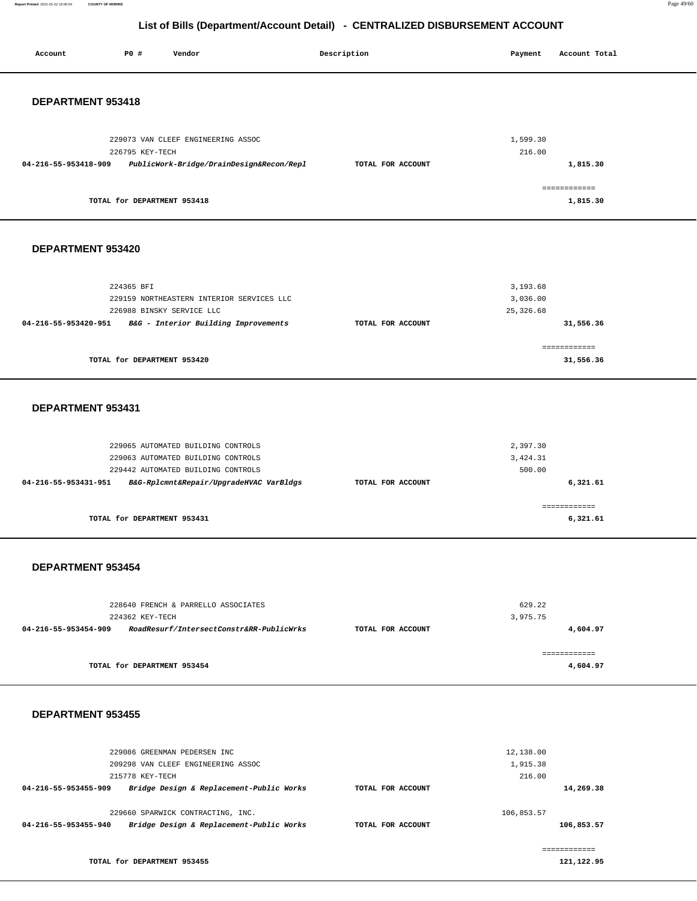**Report Printed** 2021-01-22 16:00:54 **COUNTY OF MORRIS** Page 49/60

# **List of Bills (Department/Account Detail) - CENTRALIZED DISBURSEMENT ACCOUNT**

| Account                  | P0 #<br>Vendor                                                                | Description       | Payment                | Account Total             |
|--------------------------|-------------------------------------------------------------------------------|-------------------|------------------------|---------------------------|
|                          |                                                                               |                   |                        |                           |
| DEPARTMENT 953418        |                                                                               |                   |                        |                           |
|                          |                                                                               |                   |                        |                           |
|                          | 229073 VAN CLEEF ENGINEERING ASSOC                                            |                   | 1,599.30               |                           |
|                          | 226795 KEY-TECH                                                               | TOTAL FOR ACCOUNT | 216.00                 |                           |
| 04-216-55-953418-909     | PublicWork-Bridge/DrainDesign&Recon/Repl                                      |                   |                        | 1,815.30                  |
|                          | TOTAL for DEPARTMENT 953418                                                   |                   |                        | ------------<br>1,815.30  |
|                          |                                                                               |                   |                        |                           |
|                          |                                                                               |                   |                        |                           |
| DEPARTMENT 953420        |                                                                               |                   |                        |                           |
|                          |                                                                               |                   |                        |                           |
|                          | 224365 BFI                                                                    |                   | 3,193.68               |                           |
|                          | 229159 NORTHEASTERN INTERIOR SERVICES LLC<br>226988 BINSKY SERVICE LLC        |                   | 3,036.00<br>25, 326.68 |                           |
| 04-216-55-953420-951     | B&G - Interior Building Improvements                                          | TOTAL FOR ACCOUNT |                        | 31,556.36                 |
|                          |                                                                               |                   |                        |                           |
|                          | TOTAL for DEPARTMENT 953420                                                   |                   |                        | ============<br>31,556.36 |
|                          |                                                                               |                   |                        |                           |
|                          |                                                                               |                   |                        |                           |
| DEPARTMENT 953431        |                                                                               |                   |                        |                           |
|                          |                                                                               |                   |                        |                           |
|                          | 229065 AUTOMATED BUILDING CONTROLS                                            |                   | 2,397.30               |                           |
|                          | 229063 AUTOMATED BUILDING CONTROLS                                            |                   | 3,424.31               |                           |
|                          | 229442 AUTOMATED BUILDING CONTROLS<br>B&G-Rplcmnt&Repair/UpgradeHVAC VarBldgs |                   | 500.00                 | 6,321.61                  |
| 04-216-55-953431-951     |                                                                               | TOTAL FOR ACCOUNT |                        |                           |
|                          | TOTAL for DEPARTMENT 953431                                                   |                   |                        | ============<br>6,321.61  |
|                          |                                                                               |                   |                        |                           |
|                          |                                                                               |                   |                        |                           |
| DEPARTMENT 953454        |                                                                               |                   |                        |                           |
|                          |                                                                               |                   |                        |                           |
|                          | 228640 FRENCH & PARRELLO ASSOCIATES                                           |                   | 629.22                 |                           |
|                          | 224362 KEY-TECH                                                               |                   | 3,975.75               |                           |
|                          | 04-216-55-953454-909 RoadResurf/IntersectConstr&RR-PublicWrks                 | TOTAL FOR ACCOUNT |                        | 4,604.97                  |
|                          |                                                                               |                   |                        | ============              |
|                          | TOTAL for DEPARTMENT 953454                                                   |                   |                        | 4,604.97                  |
|                          |                                                                               |                   |                        |                           |
| <b>DEPARTMENT 953455</b> |                                                                               |                   |                        |                           |
|                          |                                                                               |                   |                        |                           |
|                          | 229086 GREENMAN PEDERSEN INC                                                  |                   | 12,138.00              |                           |
|                          | 209298 VAN CLEEF ENGINEERING ASSOC                                            |                   | 1,915.38               |                           |

|                      | 209298 VAN CLEEF ENGINEERING ASSOC       |                   | 1,915.38   |            |
|----------------------|------------------------------------------|-------------------|------------|------------|
|                      | 215778 KEY-TECH                          |                   | 216.00     |            |
| 04-216-55-953455-909 | Bridge Design & Replacement-Public Works | TOTAL FOR ACCOUNT |            | 14,269.38  |
|                      | 229660 SPARWICK CONTRACTING, INC.        |                   | 106,853.57 |            |
| 04-216-55-953455-940 | Bridge Design & Replacement-Public Works | TOTAL FOR ACCOUNT |            | 106,853.57 |
|                      |                                          |                   |            |            |

**TOTAL for DEPARTMENT 953455** 

**121,122.95**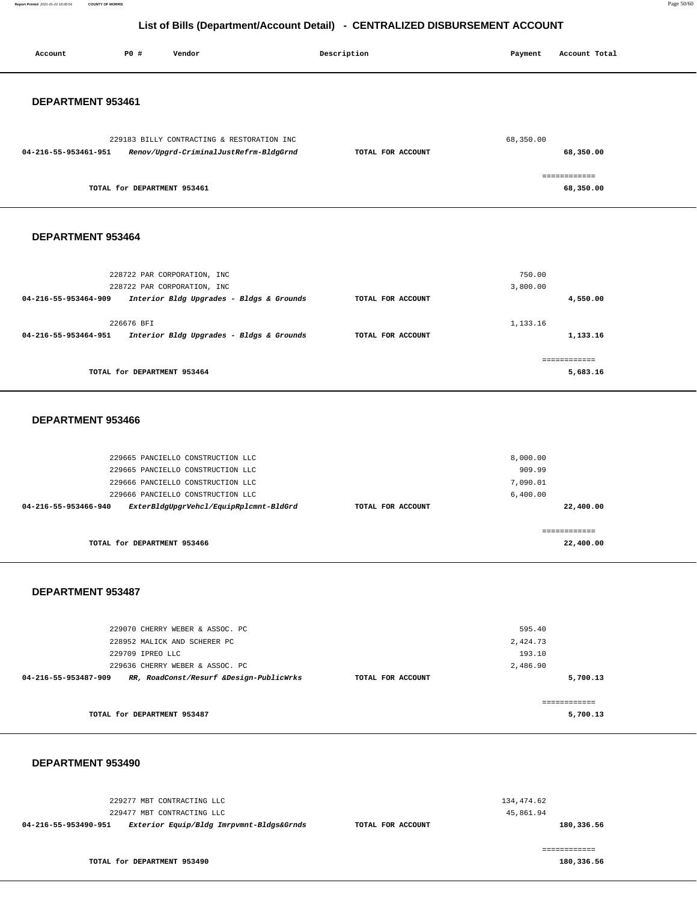**Report Printed** 2021-01-22 16:00:54 **COUNTY OF MORRIS** Page 50/60

## **List of Bills (Department/Account Detail) - CENTRALIZED DISBURSEMENT ACCOUNT**

| Account              | PO#                         | Vendor                                                                                                 | Description       | Payment            | Account Total             |
|----------------------|-----------------------------|--------------------------------------------------------------------------------------------------------|-------------------|--------------------|---------------------------|
| DEPARTMENT 953461    |                             |                                                                                                        |                   |                    |                           |
| 04-216-55-953461-951 |                             | 229183 BILLY CONTRACTING & RESTORATION INC<br>Renov/Upgrd-CriminalJustRefrm-BldgGrnd                   | TOTAL FOR ACCOUNT | 68,350.00          | 68,350.00                 |
|                      | TOTAL for DEPARTMENT 953461 |                                                                                                        |                   |                    | ============<br>68,350.00 |
| DEPARTMENT 953464    |                             |                                                                                                        |                   |                    |                           |
| 04-216-55-953464-909 |                             | 228722 PAR CORPORATION, INC<br>228722 PAR CORPORATION, INC<br>Interior Bldg Upgrades - Bldgs & Grounds | TOTAL FOR ACCOUNT | 750.00<br>3,800.00 | 4,550.00                  |

|                      | 226676 BFI                               |                   | 1,133.16 |
|----------------------|------------------------------------------|-------------------|----------|
| 04-216-55-953464-951 | Interior Bldg Upgrades - Bldgs & Grounds | TOTAL FOR ACCOUNT | 1,133.16 |
|                      |                                          |                   |          |
|                      | TOTAL for DEPARTMENT 953464              |                   | 5,683.16 |

#### **DEPARTMENT 953466**

| TOTAL for DEPARTMENT 953466                                    |                   | 22,400.00 |
|----------------------------------------------------------------|-------------------|-----------|
|                                                                |                   |           |
| ExterBldgUpgrVehcl/EquipRplcmnt-BldGrd<br>04-216-55-953466-940 | TOTAL FOR ACCOUNT | 22,400.00 |
| 229666 PANCIELLO CONSTRUCTION LLC                              |                   | 6,400.00  |
| 229666 PANCIELLO CONSTRUCTION LLC                              |                   | 7,090.01  |
| 229665 PANCIELLO CONSTRUCTION LLC                              |                   | 909.99    |
| 229665 PANCIELLO CONSTRUCTION LLC                              |                   | 8,000.00  |
|                                                                |                   |           |

#### **DEPARTMENT 953487**

| 229070 CHERRY WEBER & ASSOC. PC                                 |                   | 595.40   |
|-----------------------------------------------------------------|-------------------|----------|
| 228952 MALICK AND SCHERER PC                                    |                   | 2,424.73 |
| 229709 IPREO LLC                                                |                   | 193.10   |
| 229636 CHERRY WEBER & ASSOC. PC                                 |                   | 2,486.90 |
| RR, RoadConst/Resurf &Design-PublicWrks<br>04-216-55-953487-909 | TOTAL FOR ACCOUNT | 5,700.13 |
| TOTAL for DEPARTMENT 953487                                     |                   | 5,700.13 |

#### **DEPARTMENT 953490**

| Exterior Equip/Bldg Imrpvmnt-Bldgs&Grnds | TOTAL FOR ACCOUNT                                        | 180,336.56 |
|------------------------------------------|----------------------------------------------------------|------------|
|                                          |                                                          | 45,861.94  |
|                                          |                                                          | 134,474.62 |
|                                          |                                                          |            |
|                                          | 229277 MBT CONTRACTING LLC<br>229477 MBT CONTRACTING LLC |            |

**TOTAL for DEPARTMENT 953490** 

**180,336.56**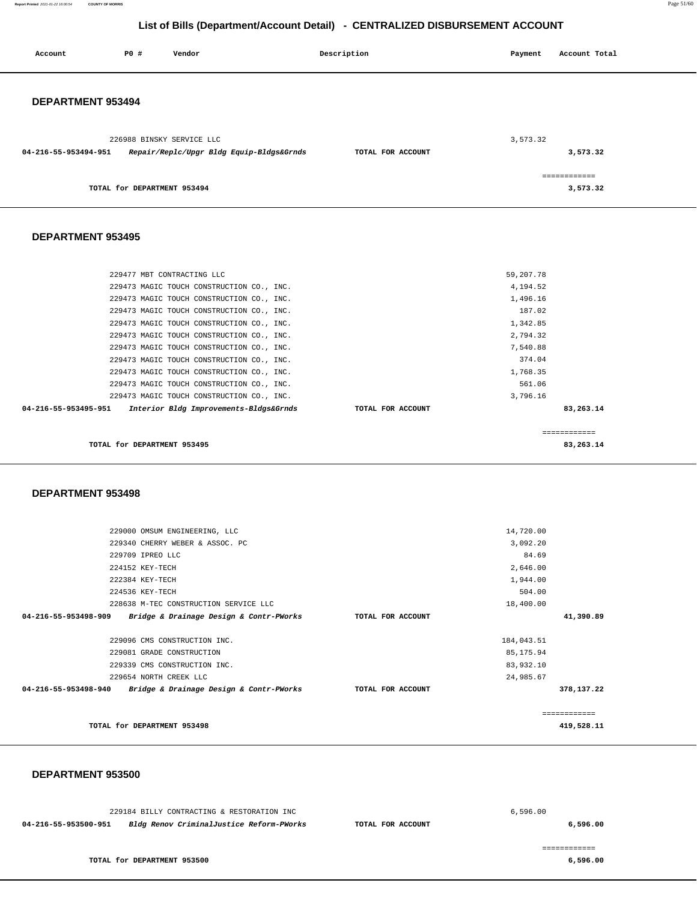**Report Printed** 2021-01-22 16:00:54 **COUNTY OF MORRIS** Page 51/60

## **List of Bills (Department/Account Detail) - CENTRALIZED DISBURSEMENT ACCOUNT**

| Account              | <b>PO #</b>                 | Vendor                                    | Description       | Payment   | Account Total            |
|----------------------|-----------------------------|-------------------------------------------|-------------------|-----------|--------------------------|
| DEPARTMENT 953494    |                             |                                           |                   |           |                          |
| 04-216-55-953494-951 | 226988 BINSKY SERVICE LLC   | Repair/Replc/Upgr Bldg Equip-Bldgs&Grnds  | TOTAL FOR ACCOUNT | 3,573.32  | 3,573.32                 |
|                      | TOTAL for DEPARTMENT 953494 |                                           |                   |           | ============<br>3,573.32 |
| DEPARTMENT 953495    |                             |                                           |                   |           |                          |
|                      |                             | 229477 MBT CONTRACTING LLC                |                   | 59,207.78 |                          |
|                      |                             | 229473 MAGIC TOUCH CONSTRUCTION CO., INC. |                   | 4,194.52  |                          |
|                      |                             | 229473 MAGIC TOUCH CONSTRUCTION CO., INC. |                   | 1,496.16  |                          |
|                      |                             | 229473 MAGIC TOUCH CONSTRUCTION CO., INC. |                   | 187.02    |                          |
|                      |                             | 229473 MAGIC TOUCH CONSTRUCTION CO., INC. |                   | 1,342.85  |                          |
|                      |                             | 229473 MAGIC TOUCH CONSTRUCTION CO., INC. |                   | 2,794.32  |                          |
|                      |                             | 229473 MAGIC TOUCH CONSTRUCTION CO., INC. |                   | 7,540.88  |                          |
|                      |                             | 229473 MAGIC TOUCH CONSTRUCTION CO., INC. |                   | 374.04    |                          |
|                      |                             | 229473 MAGIC TOUCH CONSTRUCTION CO., INC. |                   | 1,768.35  |                          |
|                      |                             | 229473 MAGIC TOUCH CONSTRUCTION CO., INC. |                   | 561.06    |                          |
|                      |                             | 229473 MAGIC TOUCH CONSTRUCTION CO., INC. |                   | 3,796.16  |                          |
| 04-216-55-953495-951 |                             | Interior Bldg Improvements-Bldgs&Grnds    | TOTAL FOR ACCOUNT |           | 83,263.14                |
|                      |                             |                                           |                   |           | ============             |

**TOTAL for DEPARTMENT 953495 83,263.14**

#### **DEPARTMENT 953498**

| TOTAL for DEPARTMENT 953498                                     |                   |            | 419,528.11    |
|-----------------------------------------------------------------|-------------------|------------|---------------|
|                                                                 |                   |            | ------------- |
| Bridge & Drainage Design & Contr-PWorks<br>04-216-55-953498-940 | TOTAL FOR ACCOUNT |            | 378,137.22    |
| 229654 NORTH CREEK LLC                                          |                   | 24,985.67  |               |
| 229339 CMS CONSTRUCTION INC.                                    |                   | 83,932.10  |               |
| 229081 GRADE CONSTRUCTION                                       |                   | 85,175.94  |               |
| 229096 CMS CONSTRUCTION INC.                                    |                   | 184,043.51 |               |
| Bridge & Drainage Design & Contr-PWorks<br>04-216-55-953498-909 | TOTAL FOR ACCOUNT |            | 41,390.89     |
| 228638 M-TEC CONSTRUCTION SERVICE LLC                           |                   | 18,400.00  |               |
| 224536 KEY-TECH                                                 |                   | 504.00     |               |
| 222384 KEY-TECH                                                 |                   | 1,944.00   |               |
| 224152 KEY-TECH                                                 |                   | 2,646.00   |               |
| 229709 IPREO LLC                                                |                   | 84.69      |               |
| 229340 CHERRY WEBER & ASSOC. PC                                 |                   | 3,092.20   |               |
| 229000 OMSUM ENGINEERING, LLC                                   |                   | 14,720.00  |               |
|                                                                 |                   |            |               |

#### **DEPARTMENT 953500**

| 229184 BILLY CONTRACTING & RESTORATION INC                       |                   | 6.596.00 |
|------------------------------------------------------------------|-------------------|----------|
| Bldg Renov CriminalJustice Reform-PWorks<br>04-216-55-953500-951 | TOTAL FOR ACCOUNT | 6,596.00 |
|                                                                  |                   |          |
|                                                                  |                   |          |
| TOTAL for DEPARTMENT 953500                                      |                   | 6,596.00 |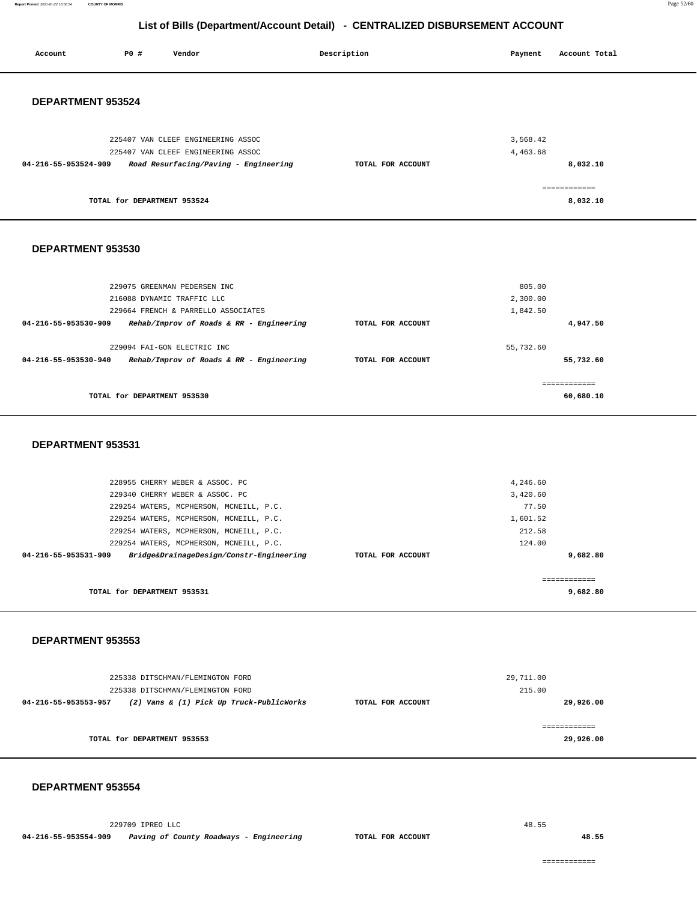**Report Printed** 2021-01-22 16:00:54 **COUNTY OF MORRIS** Page 52/60

## **List of Bills (Department/Account Detail) - CENTRALIZED DISBURSEMENT ACCOUNT**

| Account                  | P0 #                        | Vendor                                  |                                          | Description       | Payment   | Account Total |
|--------------------------|-----------------------------|-----------------------------------------|------------------------------------------|-------------------|-----------|---------------|
|                          |                             |                                         |                                          |                   |           |               |
|                          |                             |                                         |                                          |                   |           |               |
| DEPARTMENT 953524        |                             |                                         |                                          |                   |           |               |
|                          |                             |                                         |                                          |                   |           |               |
|                          |                             |                                         |                                          |                   |           |               |
|                          |                             | 225407 VAN CLEEF ENGINEERING ASSOC      |                                          |                   | 3,568.42  |               |
|                          |                             | 225407 VAN CLEEF ENGINEERING ASSOC      |                                          |                   | 4,463.68  |               |
| 04-216-55-953524-909     |                             | Road Resurfacing/Paving - Engineering   |                                          | TOTAL FOR ACCOUNT |           | 8,032.10      |
|                          |                             |                                         |                                          |                   |           |               |
|                          |                             |                                         |                                          |                   |           | ------------  |
|                          | TOTAL for DEPARTMENT 953524 |                                         |                                          |                   |           | 8,032.10      |
|                          |                             |                                         |                                          |                   |           |               |
|                          |                             |                                         |                                          |                   |           |               |
| DEPARTMENT 953530        |                             |                                         |                                          |                   |           |               |
|                          |                             |                                         |                                          |                   |           |               |
|                          |                             |                                         |                                          |                   |           |               |
|                          |                             | 229075 GREENMAN PEDERSEN INC            |                                          |                   | 805.00    |               |
|                          |                             | 216088 DYNAMIC TRAFFIC LLC              |                                          |                   | 2,300.00  |               |
|                          |                             | 229664 FRENCH & PARRELLO ASSOCIATES     |                                          |                   | 1,842.50  |               |
| 04-216-55-953530-909     |                             |                                         | Rehab/Improv of Roads & RR - Engineering | TOTAL FOR ACCOUNT |           | 4,947.50      |
|                          |                             | 229094 FAI-GON ELECTRIC INC             |                                          |                   | 55,732.60 |               |
| 04-216-55-953530-940     |                             |                                         | Rehab/Improv of Roads & RR - Engineering | TOTAL FOR ACCOUNT |           | 55,732.60     |
|                          |                             |                                         |                                          |                   |           |               |
|                          |                             |                                         |                                          |                   |           | ============  |
|                          | TOTAL for DEPARTMENT 953530 |                                         |                                          |                   |           | 60,680.10     |
|                          |                             |                                         |                                          |                   |           |               |
|                          |                             |                                         |                                          |                   |           |               |
| DEPARTMENT 953531        |                             |                                         |                                          |                   |           |               |
|                          |                             |                                         |                                          |                   |           |               |
|                          |                             |                                         |                                          |                   |           |               |
|                          |                             | 228955 CHERRY WEBER & ASSOC. PC         |                                          |                   | 4,246.60  |               |
|                          |                             | 229340 CHERRY WEBER & ASSOC. PC         |                                          |                   | 3,420.60  |               |
|                          |                             | 229254 WATERS, MCPHERSON, MCNEILL, P.C. |                                          |                   | 77.50     |               |
|                          |                             | 229254 WATERS, MCPHERSON, MCNEILL, P.C. |                                          |                   | 1,601.52  |               |
|                          |                             | 229254 WATERS, MCPHERSON, MCNEILL, P.C. |                                          |                   | 212.58    |               |
|                          |                             | 229254 WATERS, MCPHERSON, MCNEILL, P.C. |                                          |                   | 124.00    |               |
| 04-216-55-953531-909     |                             |                                         | Bridge&DrainageDesign/Constr-Engineering | TOTAL FOR ACCOUNT |           | 9.682.80      |
|                          |                             |                                         |                                          |                   |           | ============  |
|                          | TOTAL for DEPARTMENT 953531 |                                         |                                          |                   |           | 9,682.80      |
|                          |                             |                                         |                                          |                   |           |               |
|                          |                             |                                         |                                          |                   |           |               |
|                          |                             |                                         |                                          |                   |           |               |
| <b>DEPARTMENT 953553</b> |                             |                                         |                                          |                   |           |               |
|                          |                             |                                         |                                          |                   |           |               |
|                          |                             |                                         |                                          |                   |           |               |
|                          |                             | 225338 DITSCHMAN/FLEMINGTON FORD        |                                          |                   | 29,711.00 |               |
| 04-216-55-953553-957     |                             | 225338 DITSCHMAN/FLEMINGTON FORD        |                                          | TOTAL FOR ACCOUNT | 215.00    | 29,926.00     |
|                          |                             |                                         | (2) Vans & (1) Pick Up Truck-PublicWorks |                   |           |               |
|                          |                             |                                         |                                          |                   |           | ============  |
|                          | TOTAL for DEPARTMENT 953553 |                                         |                                          |                   |           | 29,926.00     |
|                          |                             |                                         |                                          |                   |           |               |

#### **DEPARTMENT 953554**

229709 IPREO LLC **04-216-55-953554-909 Paving of County Roadways - Engineering TOTAL FOR ACCOUNT**  48.55

**48.55**

============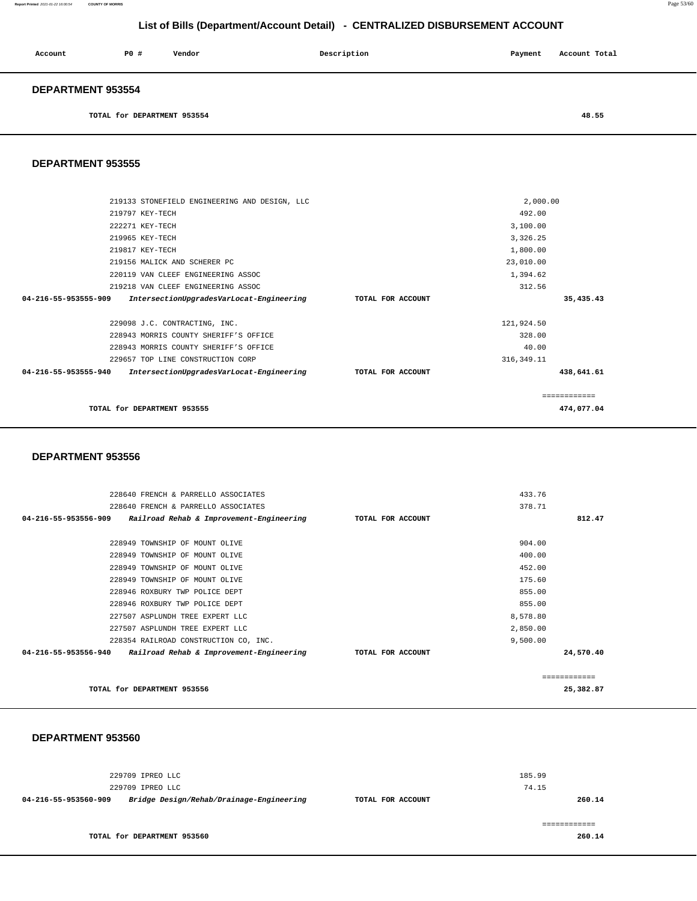**Report Printed** 2021-01-22 16:00:54 **COUNTY OF MORRIS** Page 53/60

## **List of Bills (Department/Account Detail) - CENTRALIZED DISBURSEMENT ACCOUNT**

| Account                  | PO# | Vendor | Description | Payment | Account Total |
|--------------------------|-----|--------|-------------|---------|---------------|
| <b>DEPARTMENT 953554</b> |     |        |             |         |               |

**TOTAL for DEPARTMENT 953554 48.55** 

#### **DEPARTMENT 953555**

| TOTAL for DEPARTMENT 953555                                      |                   |             | 474,077.04 |
|------------------------------------------------------------------|-------------------|-------------|------------|
|                                                                  |                   |             |            |
| 04-216-55-953555-940<br>IntersectionUpgradesVarLocat-Engineering | TOTAL FOR ACCOUNT |             | 438,641.61 |
| 229657 TOP LINE CONSTRUCTION CORP                                |                   | 316, 349.11 |            |
| 228943 MORRIS COUNTY SHERIFF'S OFFICE                            |                   | 40.00       |            |
| 228943 MORRIS COUNTY SHERIFF'S OFFICE                            |                   | 328.00      |            |
| 229098 J.C. CONTRACTING, INC.                                    |                   | 121,924.50  |            |
| 04-216-55-953555-909<br>IntersectionUpgradesVarLocat-Engineering | TOTAL FOR ACCOUNT |             | 35,435.43  |
| 219218 VAN CLEEF ENGINEERING ASSOC                               |                   | 312.56      |            |
| 220119 VAN CLEEF ENGINEERING ASSOC                               |                   | 1,394.62    |            |
| 219156 MALICK AND SCHERER PC                                     |                   | 23,010.00   |            |
| 219817 KEY-TECH                                                  |                   | 1,800.00    |            |
| 219965 KEY-TECH                                                  |                   | 3,326.25    |            |
| 222271 KEY-TECH                                                  |                   | 3,100.00    |            |
| 219797 KEY-TECH                                                  |                   | 492.00      |            |
| 219133 STONEFIELD ENGINEERING AND DESIGN, LLC                    |                   | 2,000.00    |            |
|                                                                  |                   |             |            |

#### **DEPARTMENT 953556**

| 228640 FRENCH & PARRELLO ASSOCIATES                              |                   | 433.76        |
|------------------------------------------------------------------|-------------------|---------------|
| 228640 FRENCH & PARRELLO ASSOCIATES                              |                   | 378.71        |
| 04-216-55-953556-909<br>Railroad Rehab & Improvement-Engineering | TOTAL FOR ACCOUNT | 812.47        |
|                                                                  |                   |               |
| 228949 TOWNSHIP OF MOUNT OLIVE                                   |                   | 904.00        |
| 228949 TOWNSHIP OF MOUNT OLIVE                                   |                   | 400.00        |
| 228949 TOWNSHIP OF MOUNT OLIVE                                   |                   | 452.00        |
| 228949 TOWNSHIP OF MOUNT OLIVE                                   |                   | 175.60        |
| 228946 ROXBURY TWP POLICE DEPT                                   |                   | 855.00        |
| 228946 ROXBURY TWP POLICE DEPT                                   |                   | 855.00        |
| 227507 ASPLUNDH TREE EXPERT LLC                                  |                   | 8,578.80      |
| 227507 ASPLUNDH TREE EXPERT LLC                                  |                   | 2,850.00      |
| 228354 RAILROAD CONSTRUCTION CO, INC.                            |                   | 9,500.00      |
| 04-216-55-953556-940<br>Railroad Rehab & Improvement-Engineering | TOTAL FOR ACCOUNT | 24,570.40     |
|                                                                  |                   | ------------- |
| TOTAL for DEPARTMENT 953556                                      |                   | 25,382.87     |

#### **DEPARTMENT 953560**

|                      | 229709 IPREO LLC<br>229709 IPREO LLC     |                   | 185.99<br>74.15 |
|----------------------|------------------------------------------|-------------------|-----------------|
| 04-216-55-953560-909 | Bridge Design/Rehab/Drainage-Engineering | TOTAL FOR ACCOUNT | 260.14          |
|                      | TOTAL for DEPARTMENT 953560              |                   | 260.14          |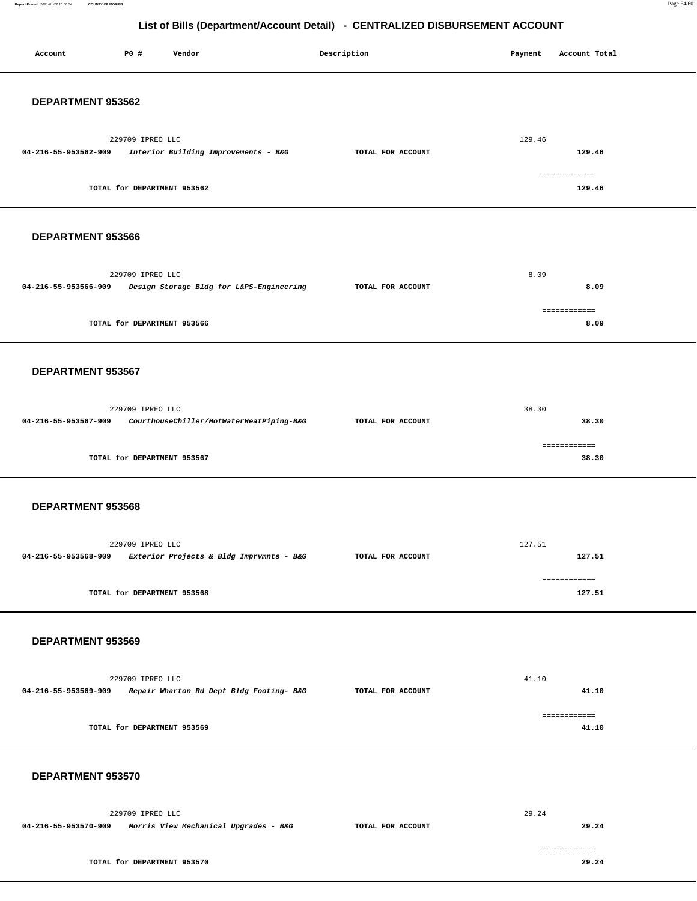**Report Printed** 2021-01-22 16:00:54 **COUNTY OF MORRIS** Page 54/60

## **List of Bills (Department/Account Detail) - CENTRALIZED DISBURSEMENT ACCOUNT**

| Account              | P0 #                        | Vendor                                                        | Description |                   | Payment | Account Total          |  |
|----------------------|-----------------------------|---------------------------------------------------------------|-------------|-------------------|---------|------------------------|--|
| DEPARTMENT 953562    |                             |                                                               |             |                   |         |                        |  |
| 04-216-55-953562-909 | 229709 IPREO LLC            | Interior Building Improvements - B&G                          |             | TOTAL FOR ACCOUNT | 129.46  | 129.46                 |  |
|                      | TOTAL for DEPARTMENT 953562 |                                                               |             |                   |         | ============<br>129.46 |  |
| DEPARTMENT 953566    |                             |                                                               |             |                   |         |                        |  |
| 04-216-55-953566-909 | 229709 IPREO LLC            | Design Storage Bldg for L&PS-Engineering                      |             | TOTAL FOR ACCOUNT |         | 8.09<br>8.09           |  |
|                      | TOTAL for DEPARTMENT 953566 |                                                               |             |                   |         | ============<br>8.09   |  |
| DEPARTMENT 953567    |                             |                                                               |             |                   |         |                        |  |
| 04-216-55-953567-909 | 229709 IPREO LLC            | CourthouseChiller/HotWaterHeatPiping-B&G                      |             | TOTAL FOR ACCOUNT | 38.30   | 38.30                  |  |
|                      | TOTAL for DEPARTMENT 953567 |                                                               |             |                   |         | ============<br>38.30  |  |
| DEPARTMENT 953568    |                             |                                                               |             |                   |         |                        |  |
|                      | 229709 IPREO LLC            | 04-216-55-953568-909 Exterior Projects & Bldg Imprvmnts - B&G |             | TOTAL FOR ACCOUNT | 127.51  | 127.51                 |  |
|                      | TOTAL for DEPARTMENT 953568 |                                                               |             |                   |         | ------------<br>127.51 |  |
| DEPARTMENT 953569    |                             |                                                               |             |                   |         |                        |  |
|                      | 229709 IPREO LLC            | 04-216-55-953569-909 Repair Wharton Rd Dept Bldg Footing- B&G |             | TOTAL FOR ACCOUNT | 41.10   | 41.10                  |  |
|                      | TOTAL for DEPARTMENT 953569 |                                                               |             |                   |         | ------------<br>41.10  |  |
| DEPARTMENT 953570    |                             |                                                               |             |                   |         |                        |  |
|                      | 229709 IPREO LLC            | 04-216-55-953570-909 Morris View Mechanical Upgrades - B&G    |             | TOTAL FOR ACCOUNT | 29.24   | 29.24                  |  |
|                      | TOTAL for DEPARTMENT 953570 |                                                               |             |                   |         | ============<br>29.24  |  |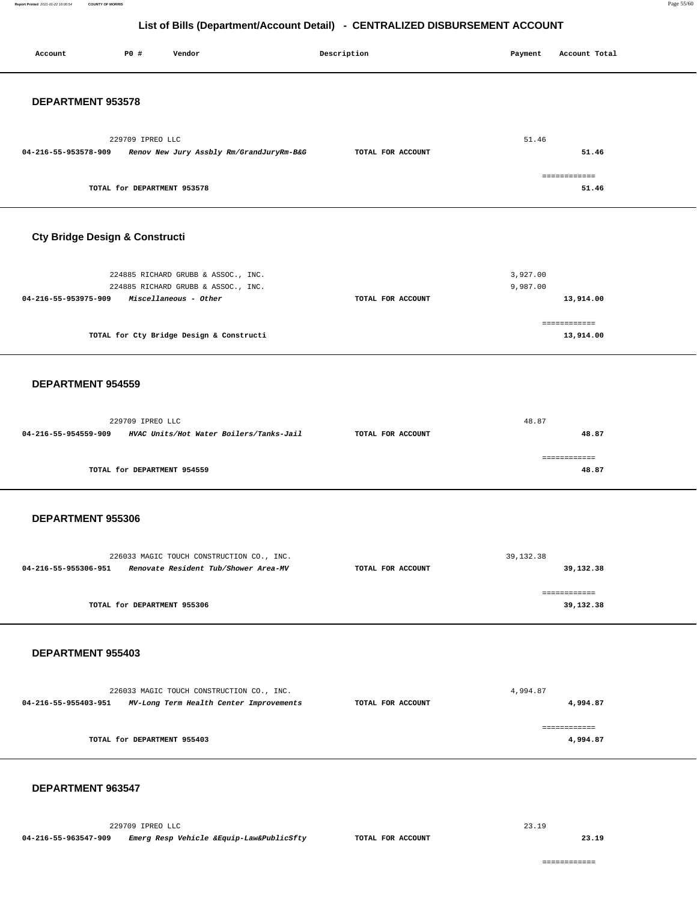| Account                        | P0 #                        | Vendor                                                                               | Description |                   |  | Payment     | Account Total             |  |
|--------------------------------|-----------------------------|--------------------------------------------------------------------------------------|-------------|-------------------|--|-------------|---------------------------|--|
| DEPARTMENT 953578              |                             |                                                                                      |             |                   |  |             |                           |  |
|                                |                             |                                                                                      |             |                   |  |             |                           |  |
| 04-216-55-953578-909           | 229709 IPREO LLC            | Renov New Jury Assbly Rm/GrandJuryRm-B&G                                             |             | TOTAL FOR ACCOUNT |  | 51.46       | 51.46                     |  |
|                                | TOTAL for DEPARTMENT 953578 |                                                                                      |             |                   |  |             | ============<br>51.46     |  |
| Cty Bridge Design & Constructi |                             |                                                                                      |             |                   |  |             |                           |  |
|                                |                             | 224885 RICHARD GRUBB & ASSOC., INC.                                                  |             |                   |  | 3,927.00    |                           |  |
| 04-216-55-953975-909           |                             | 224885 RICHARD GRUBB & ASSOC., INC.<br>Miscellaneous - Other                         |             | TOTAL FOR ACCOUNT |  | 9,987.00    | 13,914.00                 |  |
|                                |                             |                                                                                      |             |                   |  |             |                           |  |
|                                |                             | TOTAL for Cty Bridge Design & Constructi                                             |             |                   |  |             | ------------<br>13,914.00 |  |
| DEPARTMENT 954559              |                             |                                                                                      |             |                   |  |             |                           |  |
|                                |                             |                                                                                      |             |                   |  |             |                           |  |
|                                | 229709 IPREO LLC            |                                                                                      |             |                   |  | 48.87       |                           |  |
| 04-216-55-954559-909           |                             | HVAC Units/Hot Water Boilers/Tanks-Jail                                              |             | TOTAL FOR ACCOUNT |  |             | 48.87                     |  |
|                                | TOTAL for DEPARTMENT 954559 |                                                                                      |             |                   |  |             | ============<br>48.87     |  |
| DEPARTMENT 955306              |                             |                                                                                      |             |                   |  |             |                           |  |
|                                |                             |                                                                                      |             |                   |  |             |                           |  |
| 04-216-55-955306-951           |                             | 226033 MAGIC TOUCH CONSTRUCTION CO., INC.<br>Renovate Resident Tub/Shower Area-MV    |             | TOTAL FOR ACCOUNT |  | 39, 132. 38 |                           |  |
|                                |                             |                                                                                      |             |                   |  |             | 39,132.38                 |  |
|                                | TOTAL for DEPARTMENT 955306 |                                                                                      |             |                   |  |             | ============<br>39,132.38 |  |
| DEPARTMENT 955403              |                             |                                                                                      |             |                   |  |             |                           |  |
|                                |                             |                                                                                      |             |                   |  |             |                           |  |
| 04-216-55-955403-951           |                             | 226033 MAGIC TOUCH CONSTRUCTION CO., INC.<br>MV-Long Term Health Center Improvements |             | TOTAL FOR ACCOUNT |  | 4,994.87    | 4,994.87                  |  |
|                                | TOTAL for DEPARTMENT 955403 |                                                                                      |             |                   |  |             | ============<br>4,994.87  |  |
| DEPARTMENT 963547              |                             |                                                                                      |             |                   |  |             |                           |  |

229709 IPREO LLC **04-216-55-963547-909 Emerg Resp Vehicle &Equip-Law&PublicSfty TOTAL FOR ACCOUNT**  23.19

**23.19**

============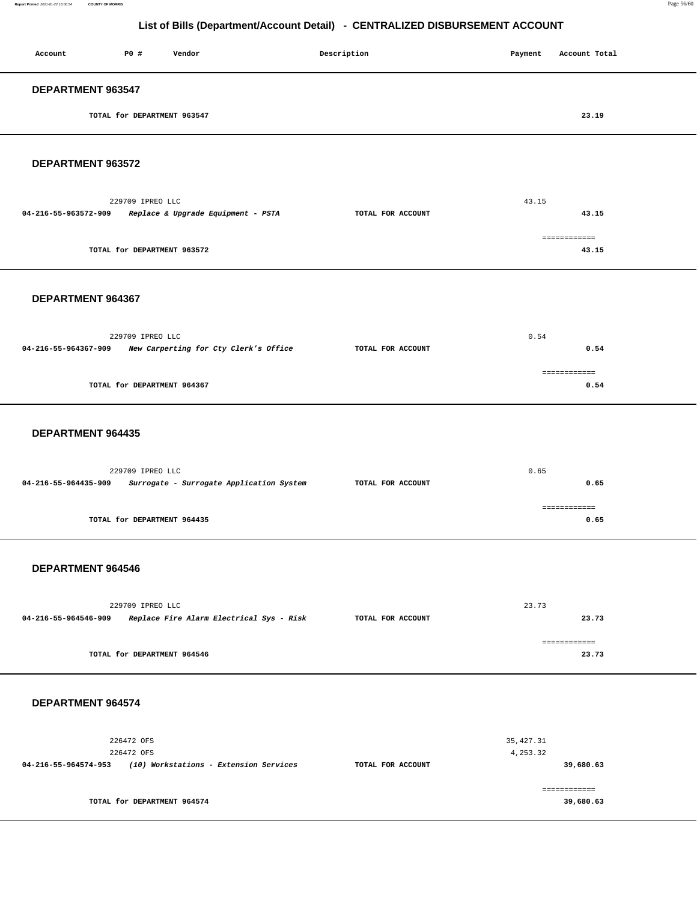| Account           | <b>PO #</b>                 | Vendor | Description | Payment | Account Total |
|-------------------|-----------------------------|--------|-------------|---------|---------------|
| DEPARTMENT 963547 |                             |        |             |         |               |
|                   | TOTAL for DEPARTMENT 963547 |        |             |         | 23.19         |

#### **DEPARTMENT 963572**

| 229709 IPREO LLC                                           |                   | 43.15 |  |
|------------------------------------------------------------|-------------------|-------|--|
| Replace & Upgrade Equipment - PSTA<br>04-216-55-963572-909 | TOTAL FOR ACCOUNT | 43.15 |  |
|                                                            |                   |       |  |
| TOTAL for DEPARTMENT 963572                                |                   | 43.15 |  |

#### **DEPARTMENT 964367**

|                      | 229709 IPREO LLC                      | 0.54              |      |  |
|----------------------|---------------------------------------|-------------------|------|--|
| 04-216-55-964367-909 | New Carperting for Cty Clerk's Office | TOTAL FOR ACCOUNT | 0.54 |  |
|                      |                                       |                   |      |  |
|                      |                                       |                   |      |  |
|                      | TOTAL for DEPARTMENT 964367           |                   | 0.54 |  |
|                      |                                       |                   |      |  |

#### **DEPARTMENT 964435**

|                      | 229709 IPREO LLC                         |                   | 0.65       |
|----------------------|------------------------------------------|-------------------|------------|
| 04-216-55-964435-909 | Surrogate - Surrogate Application System | TOTAL FOR ACCOUNT | 0.65       |
|                      |                                          |                   |            |
|                      |                                          |                   | ---------- |
|                      | TOTAL for DEPARTMENT 964435              |                   | 0.65       |
|                      |                                          |                   |            |

#### **DEPARTMENT 964546**

|                      | 229709 IPREO LLC                         |                   | 23.73 |
|----------------------|------------------------------------------|-------------------|-------|
| 04-216-55-964546-909 | Replace Fire Alarm Electrical Sys - Risk | TOTAL FOR ACCOUNT | 23.73 |
|                      |                                          |                   |       |
|                      |                                          |                   |       |
|                      | TOTAL for DEPARTMENT 964546              |                   | 23.73 |

#### **DEPARTMENT 964574**

| 226472 OFS                                                     |                   | 35,427.31 |
|----------------------------------------------------------------|-------------------|-----------|
| 226472 OFS                                                     |                   | 4,253.32  |
| (10) Workstations - Extension Services<br>04-216-55-964574-953 | TOTAL FOR ACCOUNT | 39,680.63 |
|                                                                |                   |           |
|                                                                |                   |           |
| TOTAL for DEPARTMENT 964574                                    |                   | 39,680.63 |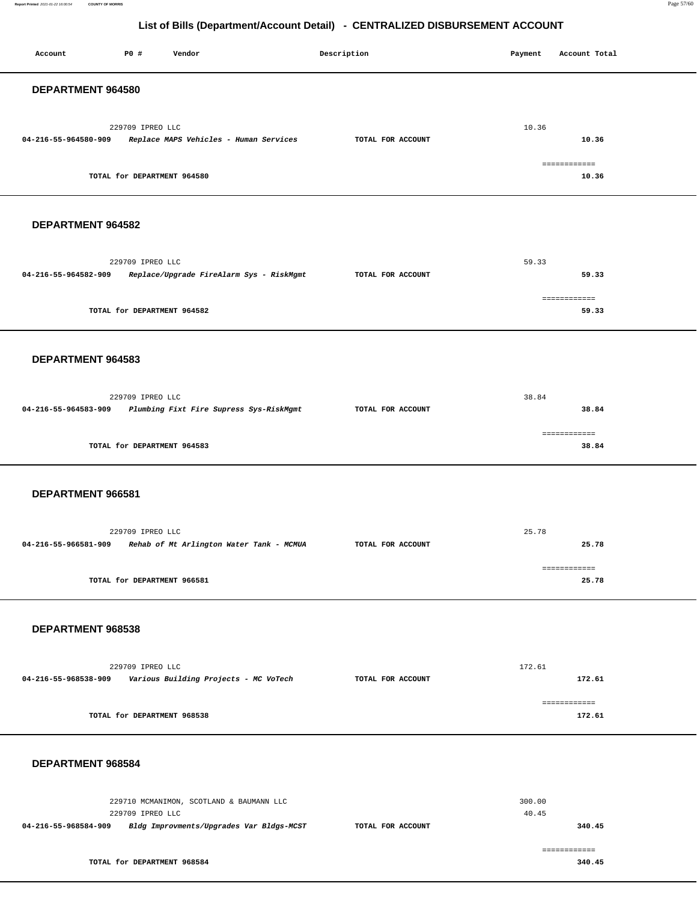**Report Printed** 2021-01-22 16:00:54 **COUNTY OF MORRIS** Page 57/60

## **List of Bills (Department/Account Detail) - CENTRALIZED DISBURSEMENT ACCOUNT**

| Account              | P0 #                                            | Vendor                                   | Description       | Payment         | Account Total                  |
|----------------------|-------------------------------------------------|------------------------------------------|-------------------|-----------------|--------------------------------|
| DEPARTMENT 964580    |                                                 |                                          |                   |                 |                                |
| 04-216-55-964580-909 | 229709 IPREO LLC<br>TOTAL for DEPARTMENT 964580 | Replace MAPS Vehicles - Human Services   | TOTAL FOR ACCOUNT | 10.36           | 10.36<br>============<br>10.36 |
|                      |                                                 |                                          |                   |                 |                                |
| DEPARTMENT 964582    |                                                 |                                          |                   |                 |                                |
| 04-216-55-964582-909 | 229709 IPREO LLC                                | Replace/Upgrade FireAlarm Sys - RiskMgmt | TOTAL FOR ACCOUNT | 59.33           | 59.33                          |
|                      | TOTAL for DEPARTMENT 964582                     |                                          |                   |                 | ============<br>59.33          |
| DEPARTMENT 964583    |                                                 |                                          |                   |                 |                                |
|                      |                                                 |                                          |                   |                 |                                |
| 04-216-55-964583-909 | 229709 IPREO LLC                                | Plumbing Fixt Fire Supress Sys-RiskMgmt  | TOTAL FOR ACCOUNT | 38.84           | 38.84                          |
|                      | TOTAL for DEPARTMENT 964583                     |                                          |                   |                 | ============<br>38.84          |
| DEPARTMENT 966581    |                                                 |                                          |                   |                 |                                |
|                      |                                                 |                                          |                   |                 |                                |
| 04-216-55-966581-909 | 229709 IPREO LLC                                | Rehab of Mt Arlington Water Tank - MCMUA | TOTAL FOR ACCOUNT | 25.78           | 25.78                          |
|                      | TOTAL for DEPARTMENT 966581                     |                                          |                   |                 | ============<br>25.78          |
| DEPARTMENT 968538    |                                                 |                                          |                   |                 |                                |
|                      |                                                 |                                          |                   |                 |                                |
| 04-216-55-968538-909 | 229709 IPREO LLC                                | Various Building Projects - MC VoTech    | TOTAL FOR ACCOUNT | 172.61          | 172.61                         |
|                      | TOTAL for DEPARTMENT 968538                     |                                          |                   |                 | ============<br>172.61         |
| DEPARTMENT 968584    |                                                 |                                          |                   |                 |                                |
|                      | 229709 IPREO LLC                                | 229710 MCMANIMON, SCOTLAND & BAUMANN LLC |                   | 300.00<br>40.45 |                                |
| 04-216-55-968584-909 |                                                 | Bldg Improvments/Upgrades Var Bldgs-MCST | TOTAL FOR ACCOUNT |                 | 340.45                         |
|                      | TOTAL for DEPARTMENT 968584                     |                                          |                   |                 | ============<br>340.45         |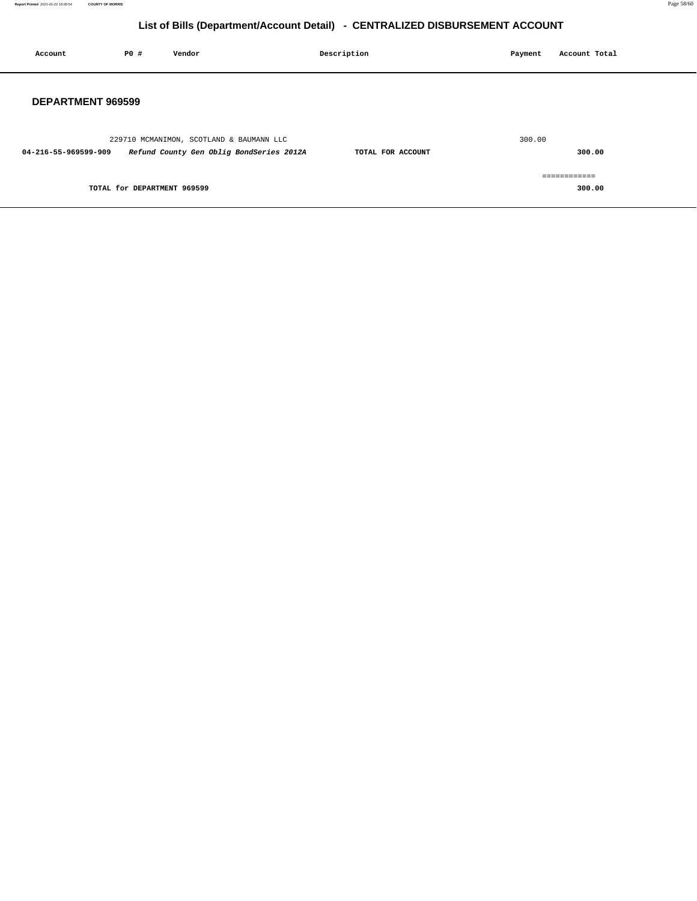| Account              | <b>PO #</b>                 | Vendor                                                                               | Description       | Payment | Account Total          |
|----------------------|-----------------------------|--------------------------------------------------------------------------------------|-------------------|---------|------------------------|
| DEPARTMENT 969599    |                             |                                                                                      |                   |         |                        |
| 04-216-55-969599-909 |                             | 229710 MCMANIMON, SCOTLAND & BAUMANN LLC<br>Refund County Gen Oblig BondSeries 2012A | TOTAL FOR ACCOUNT | 300.00  | 300.00                 |
|                      | TOTAL for DEPARTMENT 969599 |                                                                                      |                   |         | ============<br>300.00 |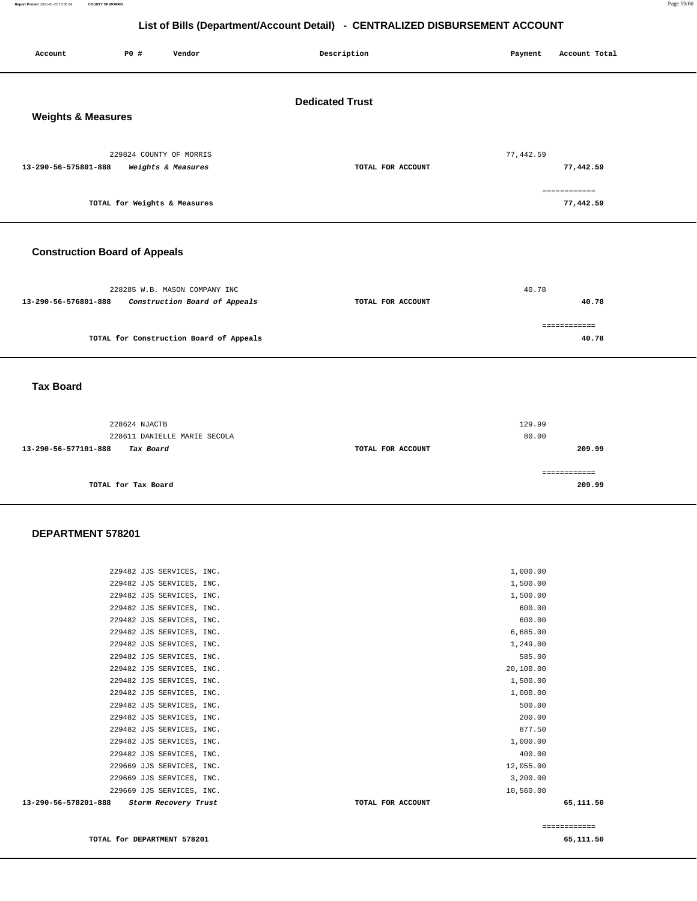**Report Printed** 2021-01-22 16:00:54 **COUNTY OF MORRIS** Page 59/60

## **List of Bills (Department/Account Detail) - CENTRALIZED DISBURSEMENT ACCOUNT**

| Account                                                 | P0 #                         | Vendor                                                         | Description       | Payment         | Account Total                          |  |
|---------------------------------------------------------|------------------------------|----------------------------------------------------------------|-------------------|-----------------|----------------------------------------|--|
| <b>Dedicated Trust</b><br><b>Weights &amp; Measures</b> |                              |                                                                |                   |                 |                                        |  |
| 13-290-56-575801-888                                    | TOTAL for Weights & Measures | 229824 COUNTY OF MORRIS<br>Weights & Measures                  | TOTAL FOR ACCOUNT | 77,442.59       | 77,442.59<br>============<br>77,442.59 |  |
| <b>Construction Board of Appeals</b>                    |                              |                                                                |                   |                 |                                        |  |
| 13-290-56-576801-888                                    |                              | 228285 W.B. MASON COMPANY INC<br>Construction Board of Appeals | TOTAL FOR ACCOUNT | 40.78           | 40.78                                  |  |
|                                                         |                              | TOTAL for Construction Board of Appeals                        |                   |                 | ============<br>40.78                  |  |
| <b>Tax Board</b>                                        |                              |                                                                |                   |                 |                                        |  |
|                                                         | 228624 NJACTB                | 228611 DANIELLE MARIE SECOLA                                   |                   | 129.99<br>80.00 |                                        |  |

**13-290-56-577101-888 Tax Board TOTAL FOR ACCOUNT 209.99 TOTAL for Tax Board**  ============ **209.99**

#### **DEPARTMENT 578201**

| 13-290-56-578201-888<br>Storm Recovery Trust | TOTAL FOR ACCOUNT | 65,111.50 |
|----------------------------------------------|-------------------|-----------|
| 229669 JJS SERVICES, INC.                    | 10,560.00         |           |
| 229669 JJS SERVICES, INC.                    | 3,200.00          |           |
| 229669 JJS SERVICES, INC.                    | 12,055.00         |           |
| 229482 JJS SERVICES, INC.                    | 400.00            |           |
| 229482 JJS SERVICES, INC.                    | 1,000.00          |           |
| 229482 JJS SERVICES, INC.                    | 877.50            |           |
| 229482 JJS SERVICES, INC.                    | 200.00            |           |
| 229482 JJS SERVICES, INC.                    | 500.00            |           |
| 229482 JJS SERVICES, INC.                    | 1,000.00          |           |
| 229482 JJS SERVICES, INC.                    | 1,500.00          |           |
| 229482 JJS SERVICES, INC.                    | 20,100.00         |           |
| 229482 JJS SERVICES, INC.                    | 585.00            |           |
| 229482 JJS SERVICES, INC.                    | 1,249.00          |           |
| 229482 JJS SERVICES, INC.                    | 6,685.00          |           |
| 229482 JJS SERVICES, INC.                    | 600.00            |           |
| 229482 JJS SERVICES, INC.                    | 600.00            |           |
| 229482 JJS SERVICES, INC.                    | 1,500.00          |           |
| 229482 JJS SERVICES, INC.                    | 1,500.00          |           |
| 229482 JJS SERVICES, INC.                    | 1,000.00          |           |
|                                              |                   |           |

**TOTAL for DEPARTMENT 578201 65,111.50** 

============